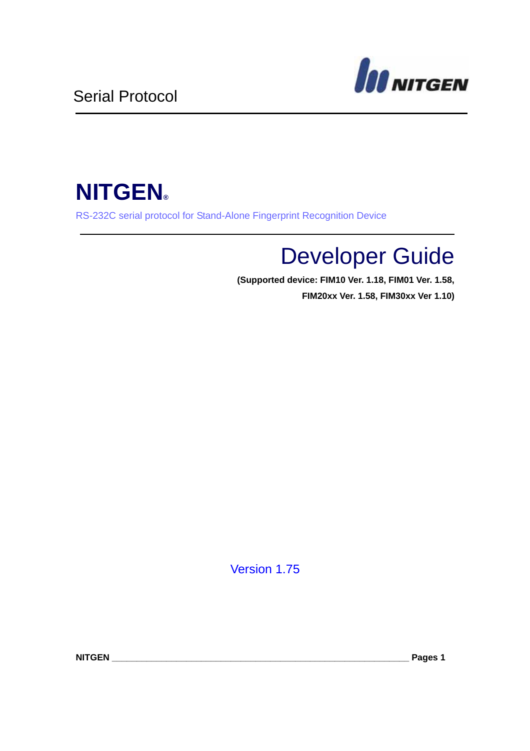

# **NITGEN®**

RS-232C serial protocol for Stand-Alone Fingerprint Recognition Device

# Developer Guide

**(Supported device: FIM10 Ver. 1.18, FIM01 Ver. 1.58, FIM20xx Ver. 1.58, FIM30xx Ver 1.10)**

Version 1.75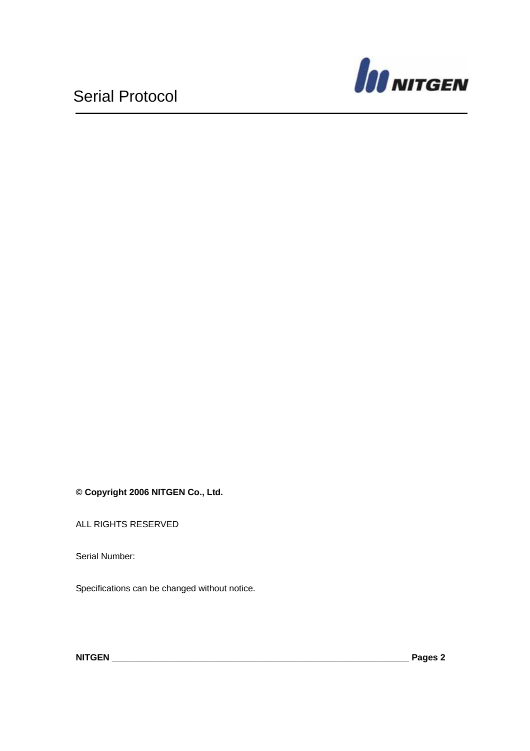

**© Copyright 2006 NITGEN Co., Ltd.** 

ALL RIGHTS RESERVED

Serial Number:

Specifications can be changed without notice.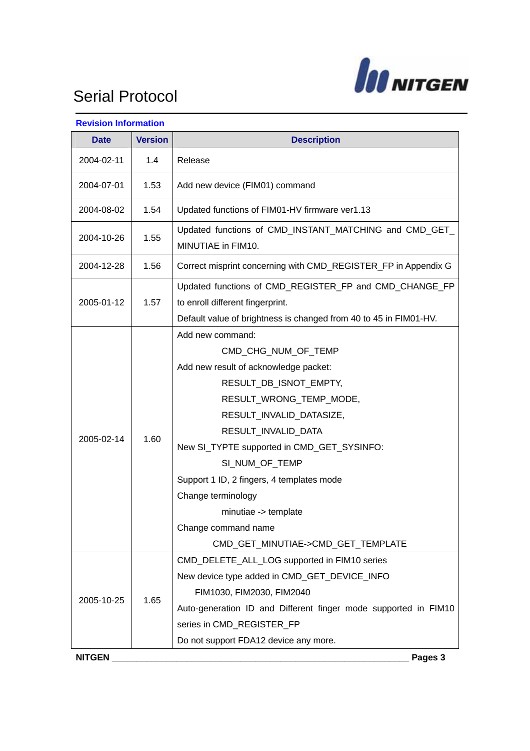

| <b>Revision Information</b> |                |                                                                                                                                                                                                                                                                                                                                                                                                                  |
|-----------------------------|----------------|------------------------------------------------------------------------------------------------------------------------------------------------------------------------------------------------------------------------------------------------------------------------------------------------------------------------------------------------------------------------------------------------------------------|
| <b>Date</b>                 | <b>Version</b> | <b>Description</b>                                                                                                                                                                                                                                                                                                                                                                                               |
| 2004-02-11                  | 1.4            | Release                                                                                                                                                                                                                                                                                                                                                                                                          |
| 2004-07-01                  | 1.53           | Add new device (FIM01) command                                                                                                                                                                                                                                                                                                                                                                                   |
| 2004-08-02                  | 1.54           | Updated functions of FIM01-HV firmware ver1.13                                                                                                                                                                                                                                                                                                                                                                   |
| 2004-10-26                  | 1.55           | Updated functions of CMD_INSTANT_MATCHING and CMD_GET_<br>MINUTIAE in FIM10.                                                                                                                                                                                                                                                                                                                                     |
| 2004-12-28                  | 1.56           | Correct misprint concerning with CMD_REGISTER_FP in Appendix G                                                                                                                                                                                                                                                                                                                                                   |
| 2005-01-12                  | 1.57           | Updated functions of CMD_REGISTER_FP and CMD_CHANGE_FP<br>to enroll different fingerprint.<br>Default value of brightness is changed from 40 to 45 in FIM01-HV.                                                                                                                                                                                                                                                  |
| 2005-02-14                  | 1.60           | Add new command:<br>CMD CHG NUM OF TEMP<br>Add new result of acknowledge packet:<br>RESULT_DB_ISNOT_EMPTY,<br>RESULT_WRONG_TEMP_MODE,<br>RESULT_INVALID_DATASIZE,<br>RESULT_INVALID_DATA<br>New SI_TYPTE supported in CMD_GET_SYSINFO:<br>SI NUM OF TEMP<br>Support 1 ID, 2 fingers, 4 templates mode<br>Change terminology<br>minutiae -> template<br>Change command name<br>CMD_GET_MINUTIAE->CMD_GET_TEMPLATE |
| 2005-10-25                  | 1.65           | CMD_DELETE_ALL_LOG supported in FIM10 series<br>New device type added in CMD_GET_DEVICE_INFO<br>FIM1030, FIM2030, FIM2040<br>Auto-generation ID and Different finger mode supported in FIM10<br>series in CMD_REGISTER_FP<br>Do not support FDA12 device any more.                                                                                                                                               |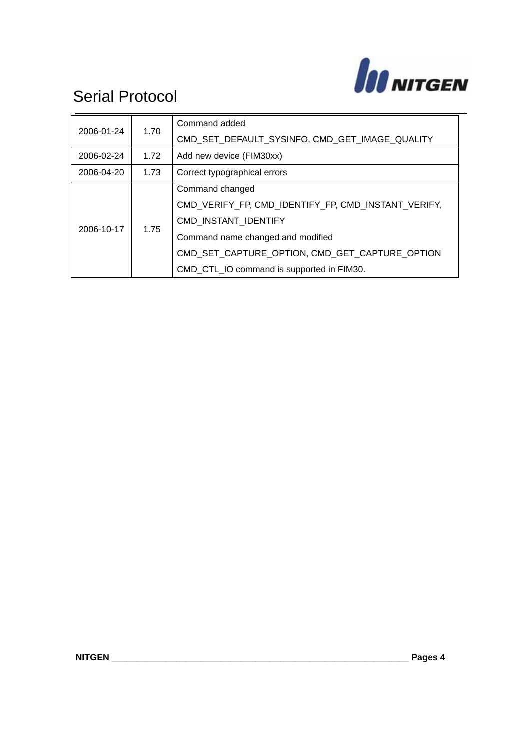

| 2006-01-24 | 1.70 | Command added                                       |
|------------|------|-----------------------------------------------------|
|            |      | CMD SET DEFAULT SYSINFO, CMD GET IMAGE QUALITY      |
| 2006-02-24 | 1.72 | Add new device (FIM30xx)                            |
| 2006-04-20 | 1.73 | Correct typographical errors                        |
| 2006-10-17 | 1.75 | Command changed                                     |
|            |      | CMD VERIFY FP, CMD IDENTIFY FP, CMD INSTANT VERIFY, |
|            |      | CMD INSTANT_IDENTIFY                                |
|            |      | Command name changed and modified                   |
|            |      | CMD SET CAPTURE OPTION, CMD GET CAPTURE OPTION      |
|            |      | CMD_CTL_IO command is supported in FIM30.           |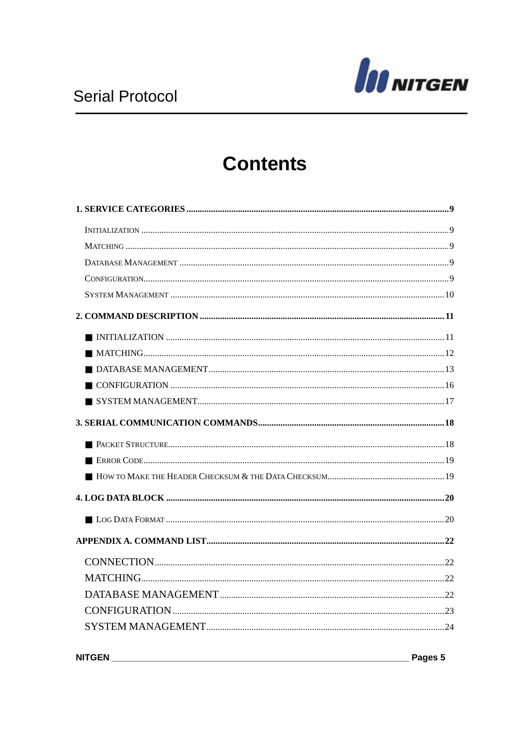

## **Contents**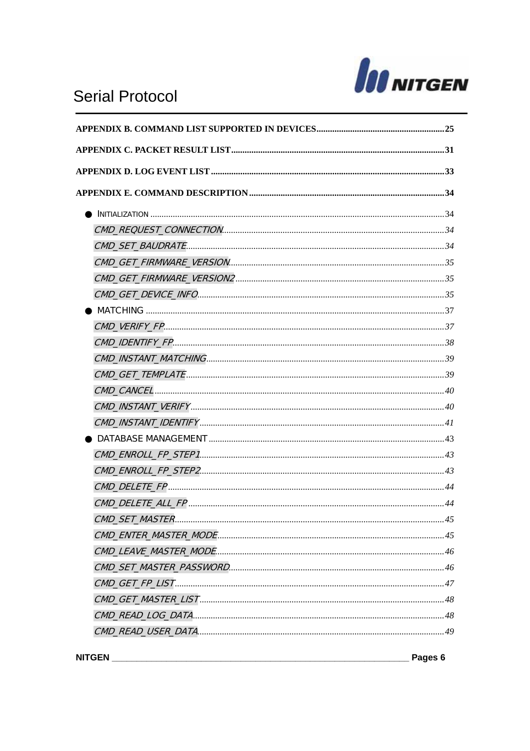

### **Serial Protocol**

| . 45 |
|------|
|      |
|      |
|      |
|      |
|      |
|      |
|      |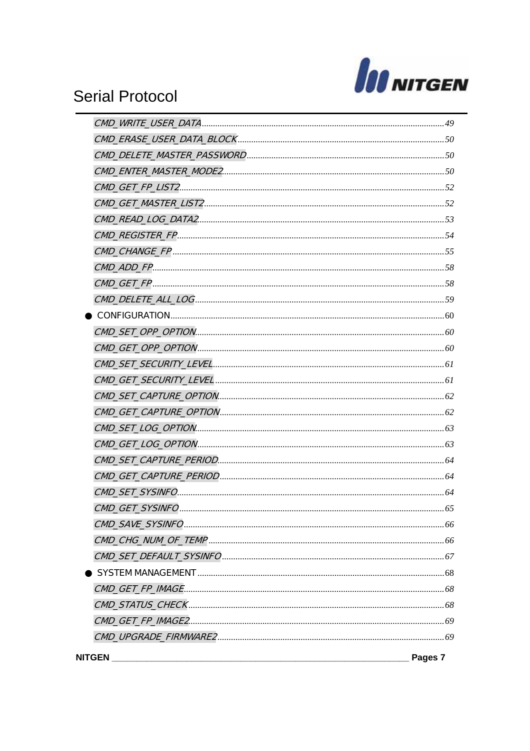

### **Serial Protocol**

| <b>NITGEN</b> | Pages 7 |
|---------------|---------|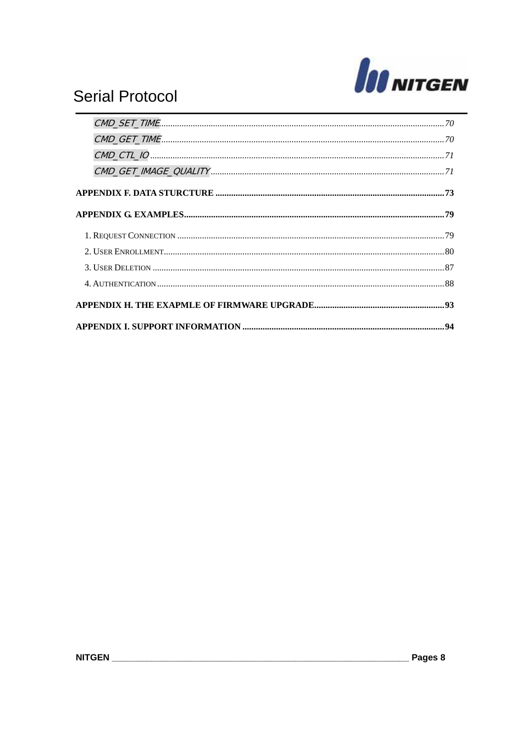

### **Serial Protocol**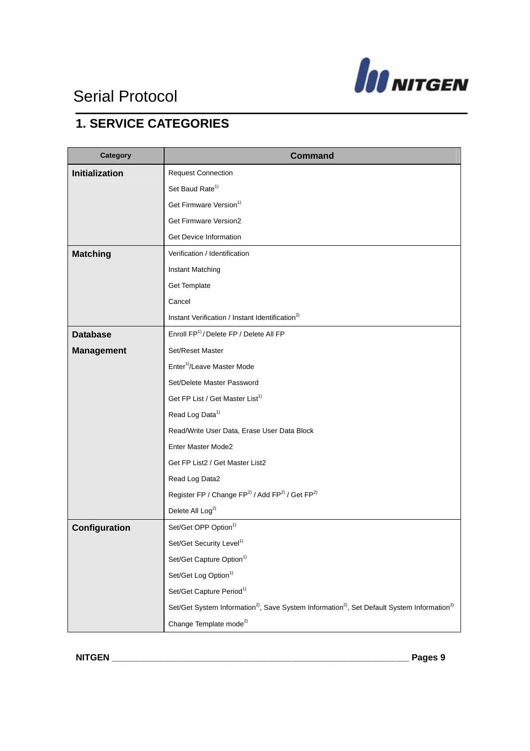

### **1. SERVICE CATEGORIES**

| Category              | <b>Command</b>                                                                                                                  |
|-----------------------|---------------------------------------------------------------------------------------------------------------------------------|
| <b>Initialization</b> | <b>Request Connection</b>                                                                                                       |
|                       | Set Baud Rate <sup>1)</sup>                                                                                                     |
|                       | Get Firmware Version <sup>1)</sup>                                                                                              |
|                       | Get Firmware Version2                                                                                                           |
|                       | Get Device Information                                                                                                          |
| <b>Matching</b>       | Verification / Identification                                                                                                   |
|                       | Instant Matching                                                                                                                |
|                       | Get Template                                                                                                                    |
|                       | Cancel                                                                                                                          |
|                       | Instant Verification / Instant Identification <sup>2)</sup>                                                                     |
| <b>Database</b>       | Enroll FP <sup>1)</sup> / Delete FP / Delete All FP                                                                             |
| <b>Management</b>     | Set/Reset Master                                                                                                                |
|                       | Enter <sup>1)</sup> /Leave Master Mode                                                                                          |
|                       | Set/Delete Master Password                                                                                                      |
|                       | Get FP List / Get Master List <sup>1)</sup>                                                                                     |
|                       | Read Log Data <sup>1)</sup>                                                                                                     |
|                       | Read/Write User Data, Erase User Data Block                                                                                     |
|                       | Enter Master Mode2                                                                                                              |
|                       | Get FP List2 / Get Master List2                                                                                                 |
|                       | Read Log Data2                                                                                                                  |
|                       | Register FP / Change FP <sup>2)</sup> / Add FP <sup>2)</sup> / Get FP <sup>2)</sup>                                             |
|                       | Delete All Log <sup>2)</sup>                                                                                                    |
| Configuration         | Set/Get OPP Option <sup>1)</sup>                                                                                                |
|                       | Set/Get Security Level <sup>1)</sup>                                                                                            |
|                       | Set/Get Capture Option <sup>1)</sup>                                                                                            |
|                       | Set/Get Log Option <sup>1)</sup>                                                                                                |
|                       | Set/Get Capture Period <sup>1)</sup>                                                                                            |
|                       | Set/Get System Information <sup>2)</sup> , Save System Information <sup>2)</sup> , Set Default System Information <sup>2)</sup> |
|                       | Change Template mode <sup>2)</sup>                                                                                              |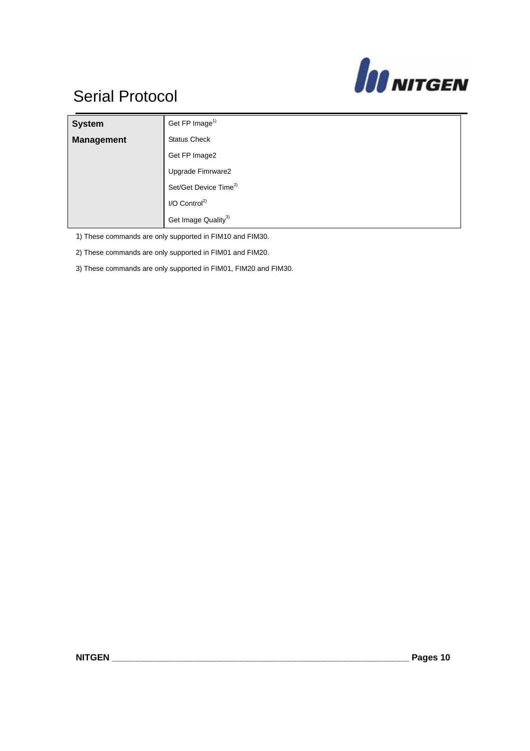

| <b>System</b>     | Get FP Image <sup>1)</sup>        |
|-------------------|-----------------------------------|
| <b>Management</b> | <b>Status Check</b>               |
|                   | Get FP Image2                     |
|                   | Upgrade Fimrware2                 |
|                   | Set/Get Device Time <sup>2)</sup> |
|                   | $I/O$ Control <sup>2)</sup>       |
|                   | Get Image Quality <sup>3)</sup>   |

1) These commands are only supported in FIM10 and FIM30.

2) These commands are only supported in FIM01 and FIM20.

3) These commands are only supported in FIM01, FIM20 and FIM30.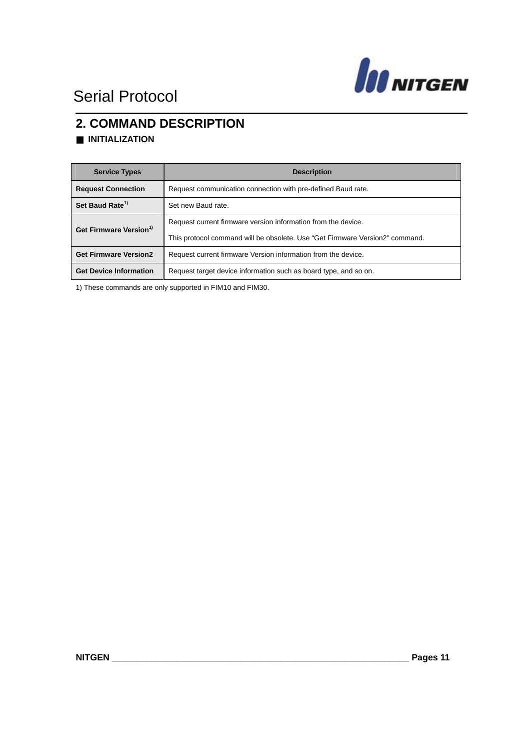

#### **2. COMMAND DESCRIPTION**  ■ **INITIALIZATION**

| <b>Service Types</b>               | <b>Description</b>                                                           |
|------------------------------------|------------------------------------------------------------------------------|
| <b>Request Connection</b>          | Request communication connection with pre-defined Baud rate.                 |
| Set Baud Rate <sup>1)</sup>        | Set new Baud rate.                                                           |
| Get Firmware Version <sup>1)</sup> | Request current firmware version information from the device.                |
|                                    | This protocol command will be obsolete. Use "Get Firmware Version2" command. |
| <b>Get Firmware Version2</b>       | Request current firmware Version information from the device.                |
| <b>Get Device Information</b>      | Request target device information such as board type, and so on.             |

1) These commands are only supported in FIM10 and FIM30.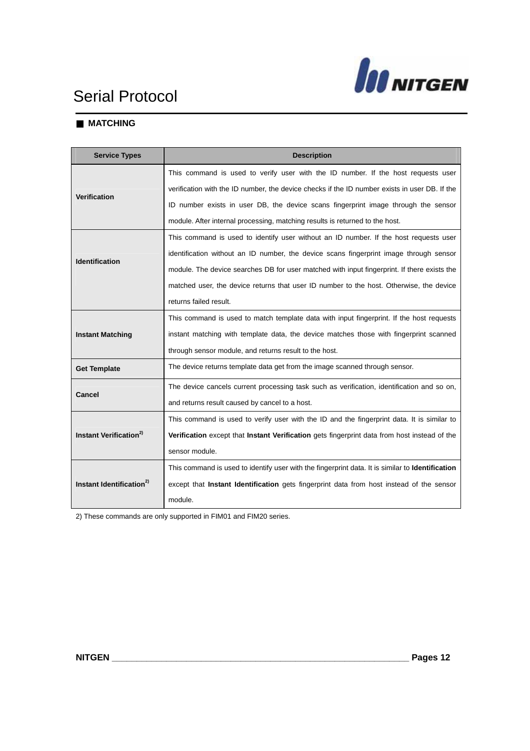

#### ■ **MATCHING**

| <b>Service Types</b>                 | <b>Description</b>                                                                               |
|--------------------------------------|--------------------------------------------------------------------------------------------------|
|                                      | This command is used to verify user with the ID number. If the host requests user                |
| <b>Verification</b>                  | verification with the ID number, the device checks if the ID number exists in user DB. If the    |
|                                      | ID number exists in user DB, the device scans fingerprint image through the sensor               |
|                                      | module. After internal processing, matching results is returned to the host.                     |
|                                      | This command is used to identify user without an ID number. If the host requests user            |
| <b>Identification</b>                | identification without an ID number, the device scans fingerprint image through sensor           |
|                                      | module. The device searches DB for user matched with input fingerprint. If there exists the      |
|                                      | matched user, the device returns that user ID number to the host. Otherwise, the device          |
|                                      | returns failed result.                                                                           |
|                                      | This command is used to match template data with input fingerprint. If the host requests         |
| <b>Instant Matching</b>              | instant matching with template data, the device matches those with fingerprint scanned           |
|                                      | through sensor module, and returns result to the host.                                           |
| <b>Get Template</b>                  | The device returns template data get from the image scanned through sensor.                      |
| <b>Cancel</b>                        | The device cancels current processing task such as verification, identification and so on,       |
|                                      | and returns result caused by cancel to a host.                                                   |
|                                      | This command is used to verify user with the ID and the fingerprint data. It is similar to       |
| Instant Verification <sup>2)</sup>   | Verification except that Instant Verification gets fingerprint data from host instead of the     |
|                                      | sensor module.                                                                                   |
|                                      | This command is used to identify user with the fingerprint data. It is similar to Identification |
| Instant Identification <sup>2)</sup> | except that Instant Identification gets fingerprint data from host instead of the sensor         |
|                                      | module.                                                                                          |

2) These commands are only supported in FIM01 and FIM20 series.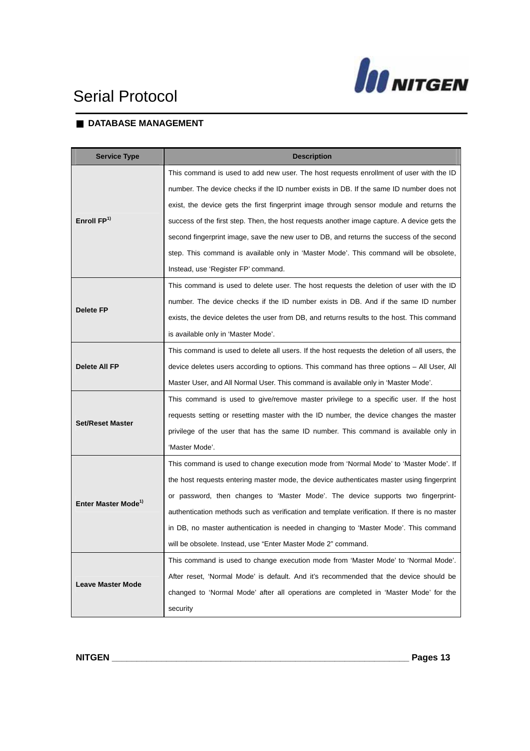



#### ■ **DATABASE MANAGEMENT**

| <b>Service Type</b>             | <b>Description</b>                                                                            |
|---------------------------------|-----------------------------------------------------------------------------------------------|
|                                 | This command is used to add new user. The host requests enrollment of user with the ID        |
|                                 | number. The device checks if the ID number exists in DB. If the same ID number does not       |
|                                 | exist, the device gets the first fingerprint image through sensor module and returns the      |
| Enroll FP <sup>1)</sup>         | success of the first step. Then, the host requests another image capture. A device gets the   |
|                                 | second fingerprint image, save the new user to DB, and returns the success of the second      |
|                                 | step. This command is available only in 'Master Mode'. This command will be obsolete,         |
|                                 | Instead, use 'Register FP' command.                                                           |
|                                 | This command is used to delete user. The host requests the deletion of user with the ID       |
|                                 | number. The device checks if the ID number exists in DB. And if the same ID number            |
| <b>Delete FP</b>                | exists, the device deletes the user from DB, and returns results to the host. This command    |
|                                 | is available only in 'Master Mode'.                                                           |
|                                 | This command is used to delete all users. If the host requests the deletion of all users, the |
| Delete All FP                   | device deletes users according to options. This command has three options - All User, All     |
|                                 | Master User, and All Normal User. This command is available only in 'Master Mode'.            |
|                                 | This command is used to give/remove master privilege to a specific user. If the host          |
| <b>Set/Reset Master</b>         | requests setting or resetting master with the ID number, the device changes the master        |
|                                 | privilege of the user that has the same ID number. This command is available only in          |
|                                 | 'Master Mode'.                                                                                |
|                                 | This command is used to change execution mode from 'Normal Mode' to 'Master Mode'. If         |
|                                 | the host requests entering master mode, the device authenticates master using fingerprint     |
| Enter Master Mode <sup>1)</sup> | or password, then changes to 'Master Mode'. The device supports two fingerprint-              |
|                                 | authentication methods such as verification and template verification. If there is no master  |
|                                 | in DB, no master authentication is needed in changing to 'Master Mode'. This command          |
|                                 | will be obsolete. Instead, use "Enter Master Mode 2" command.                                 |
|                                 | This command is used to change execution mode from 'Master Mode' to 'Normal Mode'.            |
| <b>Leave Master Mode</b>        | After reset, 'Normal Mode' is default. And it's recommended that the device should be         |
|                                 | changed to 'Normal Mode' after all operations are completed in 'Master Mode' for the          |
|                                 | security                                                                                      |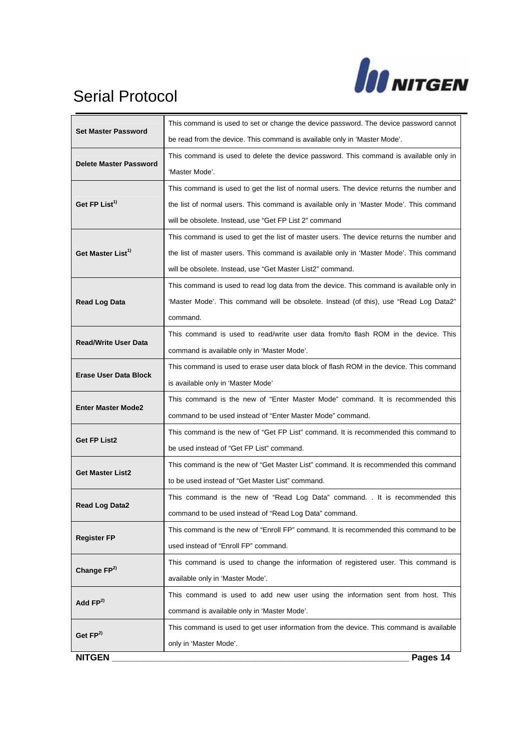

| <b>Set Master Password</b><br><b>Delete Master Password</b> | This command is used to set or change the device password. The device password cannot    |
|-------------------------------------------------------------|------------------------------------------------------------------------------------------|
|                                                             | be read from the device. This command is available only in 'Master Mode'.                |
|                                                             | This command is used to delete the device password. This command is available only in    |
| Get FP List <sup>1)</sup>                                   | 'Master Mode'.                                                                           |
|                                                             | This command is used to get the list of normal users. The device returns the number and  |
|                                                             | the list of normal users. This command is available only in 'Master Mode'. This command  |
|                                                             | will be obsolete. Instead, use "Get FP List 2" command                                   |
|                                                             | This command is used to get the list of master users. The device returns the number and  |
| Get Master List <sup>1)</sup>                               | the list of master users. This command is available only in 'Master Mode'. This command  |
|                                                             | will be obsolete. Instead, use "Get Master List2" command.                               |
|                                                             | This command is used to read log data from the device. This command is available only in |
| <b>Read Log Data</b>                                        | 'Master Mode'. This command will be obsolete. Instead (of this), use "Read Log Data2"    |
|                                                             | command.                                                                                 |
|                                                             | This command is used to read/write user data from/to flash ROM in the device. This       |
| <b>Read/Write User Data</b>                                 | command is available only in 'Master Mode'.                                              |
|                                                             | This command is used to erase user data block of flash ROM in the device. This command   |
| <b>Erase User Data Block</b>                                | is available only in 'Master Mode'                                                       |
|                                                             | This command is the new of "Enter Master Mode" command. It is recommended this           |
| <b>Enter Master Mode2</b>                                   | command to be used instead of "Enter Master Mode" command.                               |
|                                                             | This command is the new of "Get FP List" command. It is recommended this command to      |
| <b>Get FP List2</b>                                         | be used instead of "Get FP List" command.                                                |
|                                                             | This command is the new of "Get Master List" command. It is recommended this command     |
| <b>Get Master List2</b>                                     | to be used instead of "Get Master List" command.                                         |
|                                                             | This command is the new of "Read Log Data" command. It is recommended this               |
| <b>Read Log Data2</b>                                       | command to be used instead of "Read Log Data" command.                                   |
|                                                             | This command is the new of "Enroll FP" command. It is recommended this command to be     |
| <b>Register FP</b>                                          | used instead of "Enroll FP" command.                                                     |
|                                                             | This command is used to change the information of registered user. This command is       |
| Change FP <sup>2)</sup>                                     | available only in 'Master Mode'.                                                         |
| Add $FP2$                                                   | This command is used to add new user using the information sent from host. This          |
|                                                             | command is available only in 'Master Mode'.                                              |
|                                                             | This command is used to get user information from the device. This command is available  |
| Get FP <sup>2)</sup>                                        | only in 'Master Mode'.                                                                   |
| <b>NITGEN</b>                                               | Pages 14                                                                                 |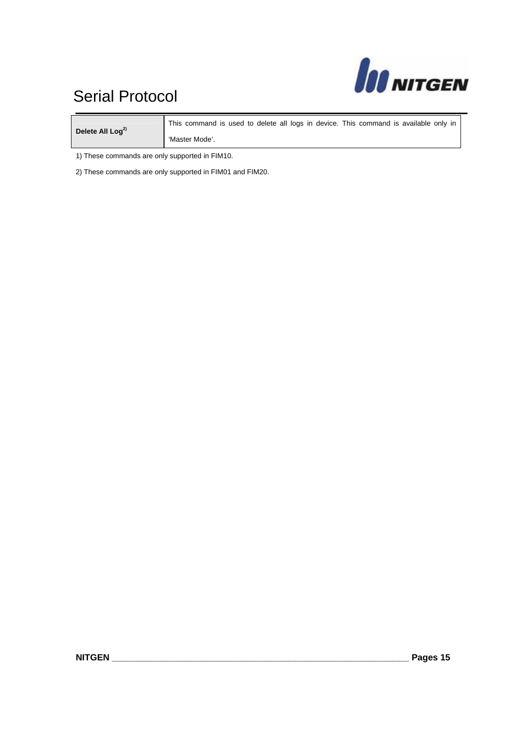# **JO NITGEN**

### Serial Protocol Serial Protocol

Delete All Log<sup>2)</sup> This command is used to delete all logs in device. This command is available only in 'Master Mode'.

1) These commands are only supported in FIM10.

2) These commands are only supported in FIM01 and FIM20.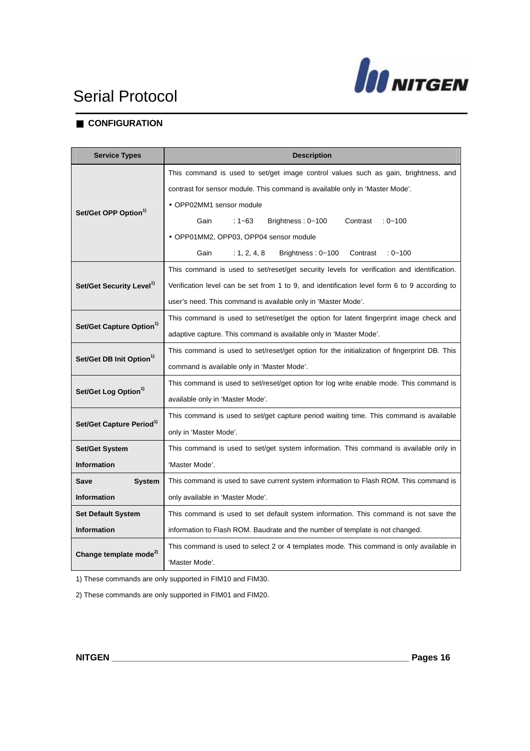

#### ■ **CONFIGURATION**

| <b>Service Types</b>                 | <b>Description</b>                                                                           |  |
|--------------------------------------|----------------------------------------------------------------------------------------------|--|
|                                      | This command is used to set/get image control values such as gain, brightness, and           |  |
|                                      | contrast for sensor module. This command is available only in 'Master Mode'.                 |  |
| Set/Get OPP Option <sup>1)</sup>     | • OPP02MM1 sensor module                                                                     |  |
|                                      | Gain<br>:1~63<br>Brightness: 0~100<br>Contrast<br>$: 0 - 100$                                |  |
|                                      | · OPP01MM2, OPP03, OPP04 sensor module                                                       |  |
|                                      | Gain<br>: 1, 2, 4, 8<br>Brightness: 0~100<br>Contrast<br>$: 0 - 100$                         |  |
|                                      | This command is used to set/reset/get security levels for verification and identification.   |  |
| Set/Get Security Level <sup>1)</sup> | Verification level can be set from 1 to 9, and identification level form 6 to 9 according to |  |
|                                      | user's need. This command is available only in 'Master Mode'.                                |  |
|                                      | This command is used to set/reset/get the option for latent fingerprint image check and      |  |
| Set/Get Capture Option <sup>1)</sup> | adaptive capture. This command is available only in 'Master Mode'.                           |  |
|                                      | This command is used to set/reset/get option for the initialization of fingerprint DB. This  |  |
| Set/Get DB Init Option <sup>1)</sup> | command is available only in 'Master Mode'.                                                  |  |
|                                      | This command is used to set/reset/get option for log write enable mode. This command is      |  |
| Set/Get Log Option <sup>1)</sup>     | available only in 'Master Mode'.                                                             |  |
|                                      | This command is used to set/get capture period waiting time. This command is available       |  |
| Set/Get Capture Period <sup>1)</sup> | only in 'Master Mode'.                                                                       |  |
| <b>Set/Get System</b>                | This command is used to set/get system information. This command is available only in        |  |
| <b>Information</b>                   | 'Master Mode'.                                                                               |  |
| <b>System</b><br>Save                | This command is used to save current system information to Flash ROM. This command is        |  |
| <b>Information</b>                   | only available in 'Master Mode'.                                                             |  |
| <b>Set Default System</b>            | This command is used to set default system information. This command is not save the         |  |
| <b>Information</b>                   | information to Flash ROM. Baudrate and the number of template is not changed.                |  |
|                                      | This command is used to select 2 or 4 templates mode. This command is only available in      |  |
| Change template mode <sup>2)</sup>   | 'Master Mode'.                                                                               |  |

1) These commands are only supported in FIM10 and FIM30.

2) These commands are only supported in FIM01 and FIM20.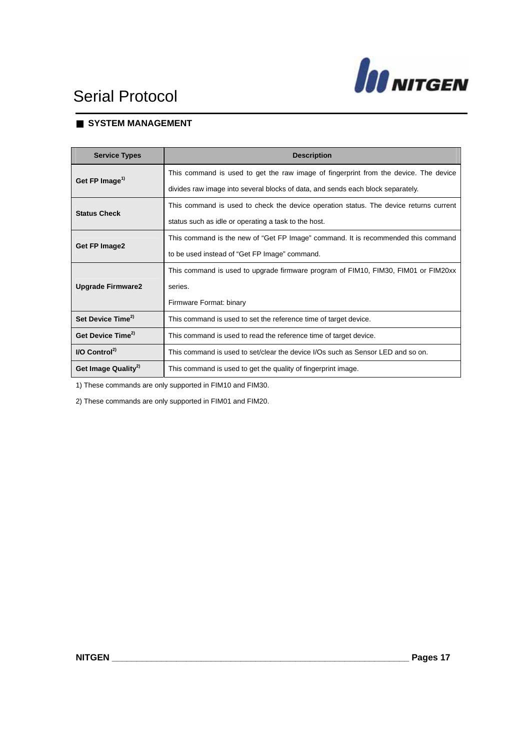

#### ■ **SYSTEM MANAGEMENT**

| <b>Service Types</b>                                                                               | <b>Description</b>                                                                    |
|----------------------------------------------------------------------------------------------------|---------------------------------------------------------------------------------------|
| Get FP Image <sup>1)</sup>                                                                         | This command is used to get the raw image of fingerprint from the device. The device  |
|                                                                                                    | divides raw image into several blocks of data, and sends each block separately.       |
| <b>Status Check</b>                                                                                | This command is used to check the device operation status. The device returns current |
|                                                                                                    | status such as idle or operating a task to the host.                                  |
|                                                                                                    | This command is the new of "Get FP Image" command. It is recommended this command     |
| Get FP Image2                                                                                      | to be used instead of "Get FP Image" command.                                         |
|                                                                                                    | This command is used to upgrade firmware program of FIM10, FIM30, FIM01 or FIM20xx    |
| <b>Upgrade Firmware2</b>                                                                           | series.                                                                               |
|                                                                                                    | Firmware Format: binary                                                               |
| Set Device Time <sup>2)</sup><br>This command is used to set the reference time of target device.  |                                                                                       |
| Get Device Time <sup>2)</sup><br>This command is used to read the reference time of target device. |                                                                                       |
| $IO$ Control <sup>2)</sup>                                                                         | This command is used to set/clear the device I/Os such as Sensor LED and so on.       |
| Get Image Quality <sup>2)</sup>                                                                    | This command is used to get the quality of fingerprint image.                         |

1) These commands are only supported in FIM10 and FIM30.

2) These commands are only supported in FIM01 and FIM20.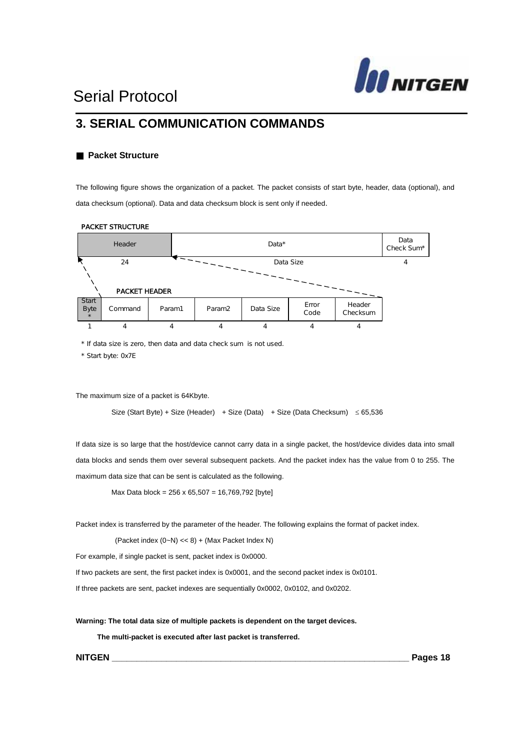

#### **3. SERIAL COMMUNICATION COMMANDS**

#### ■ **Packet Structure**

The following figure shows the organization of a packet. The packet consists of start byte, header, data (optional), and data checksum (optional). Data and data checksum block is sent only if needed.



#### PACKET STRUCTURE

\* If data size is zero, then data and data check sum is not used.

\* Start byte: 0x7E

The maximum size of a packet is 64Kbyte.

Size (Start Byte) + Size (Header) + Size (Data) + Size (Data Checksum)  $\leq 65,536$ 

If data size is so large that the host/device cannot carry data in a single packet, the host/device divides data into small data blocks and sends them over several subsequent packets. And the packet index has the value from 0 to 255. The maximum data size that can be sent is calculated as the following.

Max Data block = 256 x 65,507 = 16,769,792 [byte]

Packet index is transferred by the parameter of the header. The following explains the format of packet index.

(Packet index  $(0-N) \ll 8$ ) + (Max Packet Index N)

For example, if single packet is sent, packet index is 0x0000.

If two packets are sent, the first packet index is 0x0001, and the second packet index is 0x0101.

If three packets are sent, packet indexes are sequentially 0x0002, 0x0102, and 0x0202.

**Warning: The total data size of multiple packets is dependent on the target devices.** 

 **The multi-packet is executed after last packet is transferred.** 

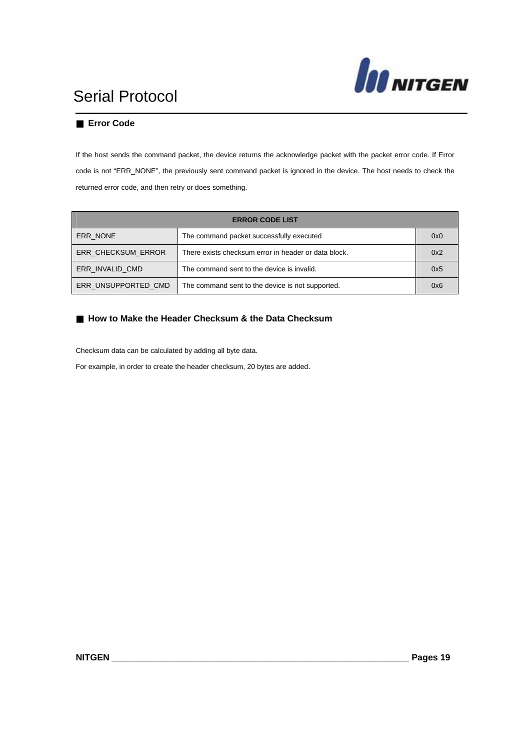

#### **Error Code**

If the host sends the command packet, the device returns the acknowledge packet with the packet error code. If Error code is not "ERR\_NONE", the previously sent command packet is ignored in the device. The host needs to check the returned error code, and then retry or does something.

| <b>ERROR CODE LIST</b>                                                     |                                                  |     |
|----------------------------------------------------------------------------|--------------------------------------------------|-----|
| ERR NONE                                                                   | The command packet successfully executed         | 0x0 |
| ERR CHECKSUM ERROR<br>There exists checksum error in header or data block. |                                                  | 0x2 |
| ERR INVALID CMD<br>The command sent to the device is invalid.              |                                                  | 0x5 |
| ERR UNSUPPORTED CMD                                                        | The command sent to the device is not supported. | 0x6 |

#### **How to Make the Header Checksum & the Data Checksum**

Checksum data can be calculated by adding all byte data.

For example, in order to create the header checksum, 20 bytes are added.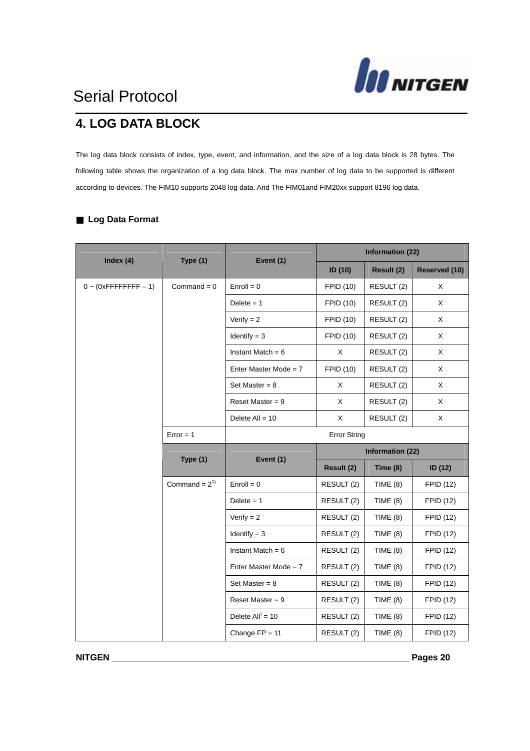

### **4. LOG DATA BLOCK**

The log data block consists of index, type, event, and information, and the size of a log data block is 28 bytes. The following table shows the organization of a log data block. The max number of log data to be supported is different according to devices. The FIM10 supports 2048 log data. And The FIM01and FIM20xx support 8196 log data.

|                             | Type (1)          | Event (1)               | <b>Information (22)</b> |                  |                  |
|-----------------------------|-------------------|-------------------------|-------------------------|------------------|------------------|
| Index $(4)$                 |                   |                         | ID (10)                 | Result (2)       | Reserved (10)    |
| $0 \sim (0x$ FFFFFFFFF - 1) | Command = $0$     | $Enroll = 0$            | <b>FPID (10)</b>        | RESULT (2)       | X                |
|                             |                   | Delete $= 1$            | <b>FPID (10)</b>        | RESULT (2)       | X                |
|                             |                   | Verify $= 2$            | <b>FPID (10)</b>        | RESULT (2)       | X                |
|                             |                   | $Identity = 3$          | <b>FPID (10)</b>        | RESULT (2)       | X                |
|                             |                   | Instant Match = $6$     | X                       | RESULT (2)       | X                |
|                             |                   | Enter Master Mode = $7$ | FPID (10)               | RESULT (2)       | X                |
|                             |                   | Set Master = $8$        | X                       | RESULT (2)       | X                |
|                             |                   | Reset Master = $9$      | X                       | RESULT (2)       | X                |
|                             |                   | Delete $All = 10$       | X                       | RESULT (2)       | X                |
|                             | $Error = 1$       |                         | <b>Error String</b>     |                  |                  |
|                             | Type (1)          | Event (1)               |                         | Information (22) |                  |
|                             |                   |                         | Result (2)              | Time $(8)$       | ID (12)          |
|                             | Command = $2^{1}$ | $Enroll = 0$            | RESULT (2)              | TIME $(8)$       | <b>FPID (12)</b> |
|                             |                   | Delete $= 1$            | RESULT (2)              | TIME $(8)$       | <b>FPID (12)</b> |
|                             |                   | Verify $= 2$            | RESULT (2)              | TIME $(8)$       | <b>FPID (12)</b> |
|                             |                   | Identify $= 3$          | RESULT (2)              | TIME $(8)$       | <b>FPID (12)</b> |
|                             |                   | Instant Match = $6$     | RESULT (2)              | TIME $(8)$       | <b>FPID (12)</b> |
|                             |                   | Enter Master Mode = $7$ | RESULT (2)              | TIME $(8)$       | <b>FPID (12)</b> |
|                             |                   | Set Master = $8$        | RESULT (2)              | TIME $(8)$       | <b>FPID (12)</b> |
|                             |                   |                         |                         |                  |                  |
|                             |                   | Reset Master = $9$      | RESULT (2)              | TIME $(8)$       | <b>FPID (12)</b> |
|                             |                   | Delete All $) = 10$     | RESULT (2)              | TIME $(8)$       | <b>FPID (12)</b> |

#### ■ **Log Data Format**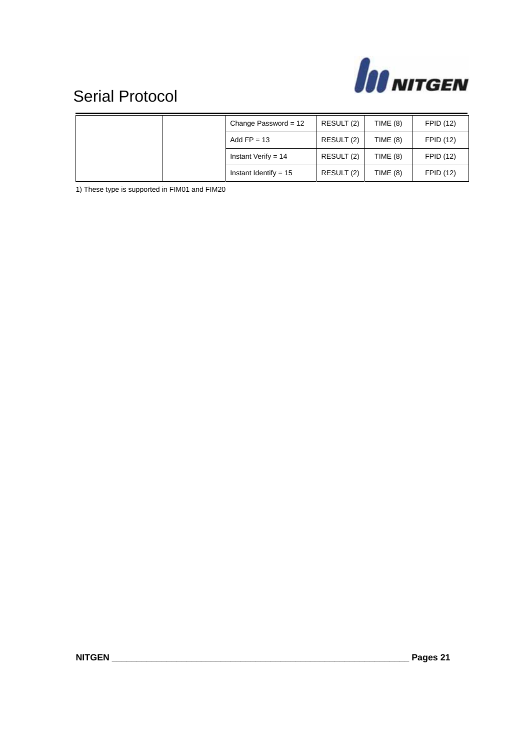

|  | Change Password = $12$  | RESULT (2) | TIME $(8)$      | <b>FPID (12)</b> |
|--|-------------------------|------------|-----------------|------------------|
|  | Add $FP = 13$           | RESULT (2) | TIME $(8)$      | <b>FPID (12)</b> |
|  | Instant Verify = $14$   | RESULT (2) | TIME $(8)$      | <b>FPID (12)</b> |
|  | Instant Identify = $15$ | RESULT (2) | <b>TIME (8)</b> | <b>FPID (12)</b> |

1) These type is supported in FIM01 and FIM20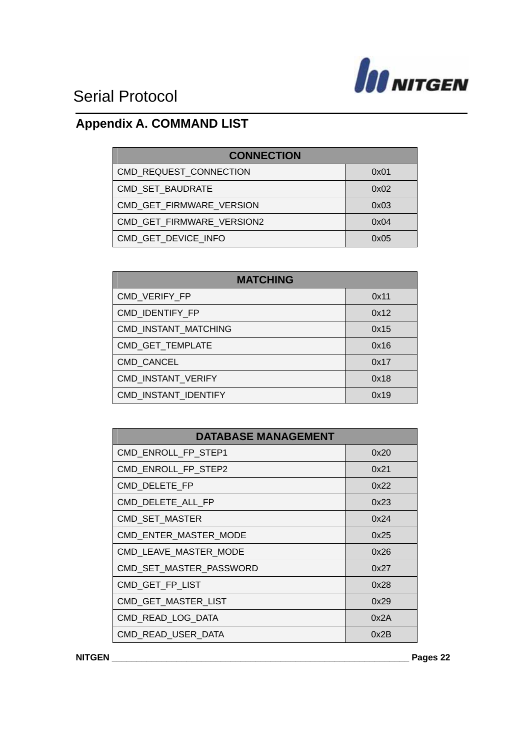

### **Appendix A. COMMAND LIST**

| <b>CONNECTION</b>         |      |  |
|---------------------------|------|--|
|                           |      |  |
| CMD REQUEST CONNECTION    | 0x01 |  |
| CMD_SET_BAUDRATE          | 0x02 |  |
| CMD GET FIRMWARE VERSION  | 0x03 |  |
| CMD GET FIRMWARE VERSION2 | 0x04 |  |
| CMD GET DEVICE INFO       | 0x05 |  |

| <b>MATCHING</b>      |      |  |
|----------------------|------|--|
| CMD VERIFY FP        | 0x11 |  |
| CMD IDENTIFY FP      | 0x12 |  |
| CMD INSTANT MATCHING | 0x15 |  |
| CMD GET TEMPLATE     | 0x16 |  |
| <b>CMD CANCEL</b>    | 0x17 |  |
| CMD INSTANT VERIFY   | 0x18 |  |
| CMD INSTANT IDENTIFY | 0x19 |  |

| <b>DATABASE MANAGEMENT</b> |      |  |
|----------------------------|------|--|
| CMD ENROLL FP STEP1        | 0x20 |  |
| CMD_ENROLL_FP_STEP2        | 0x21 |  |
| CMD_DELETE FP              | 0x22 |  |
| CMD DELETE_ALL_FP          | 0x23 |  |
| <b>CMD SET MASTER</b>      | 0x24 |  |
| CMD_ENTER_MASTER_MODE      | 0x25 |  |
| CMD LEAVE MASTER MODE      | 0x26 |  |
| CMD_SET_MASTER_PASSWORD    | 0x27 |  |
| CMD_GET_FP_LIST            | 0x28 |  |
| CMD_GET_MASTER_LIST        | 0x29 |  |
| CMD_READ_LOG_DATA          | 0x2A |  |
| CMD READ USER DATA         | 0x2B |  |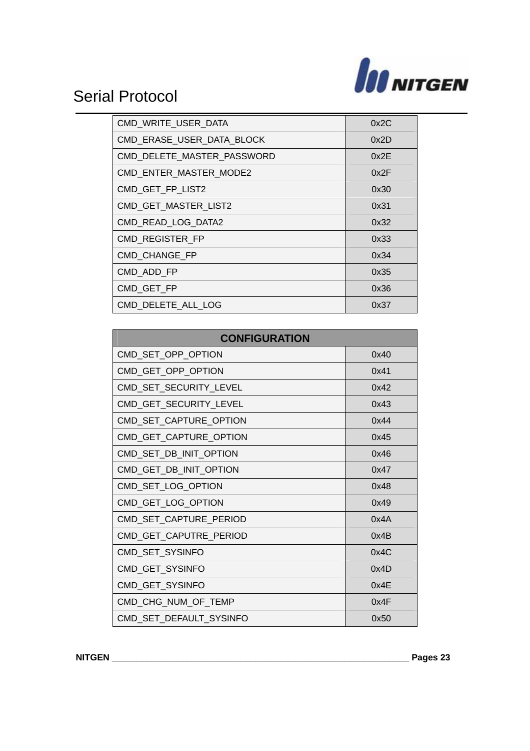

| CMD WRITE USER DATA        | 0x2C |
|----------------------------|------|
| CMD ERASE USER DATA BLOCK  | 0x2D |
| CMD_DELETE_MASTER_PASSWORD | 0x2E |
| CMD_ENTER_MASTER_MODE2     | 0x2F |
| CMD_GET_FP_LIST2           | 0x30 |
| CMD_GET_MASTER_LIST2       | 0x31 |
| CMD READ LOG DATA2         | 0x32 |
| CMD REGISTER FP            | 0x33 |
| CMD_CHANGE_FP              | 0x34 |
| CMD_ADD_FP                 | 0x35 |
| CMD GET FP                 | 0x36 |
| CMD DELETE ALL LOG         | 0x37 |

| <b>CONFIGURATION</b>    |      |  |
|-------------------------|------|--|
| CMD_SET_OPP_OPTION      | 0x40 |  |
| CMD_GET_OPP_OPTION      | 0x41 |  |
| CMD_SET_SECURITY_LEVEL  | 0x42 |  |
| CMD_GET_SECURITY_LEVEL  | 0x43 |  |
| CMD_SET_CAPTURE_OPTION  | 0x44 |  |
| CMD_GET_CAPTURE_OPTION  | 0x45 |  |
| CMD_SET_DB_INIT_OPTION  | 0x46 |  |
| CMD_GET_DB_INIT_OPTION  | 0x47 |  |
| CMD_SET_LOG_OPTION      | 0x48 |  |
| CMD_GET_LOG_OPTION      | 0x49 |  |
| CMD_SET_CAPTURE_PERIOD  | 0x4A |  |
| CMD_GET_CAPUTRE_PERIOD  | 0x4B |  |
| CMD_SET_SYSINFO         | 0x4C |  |
| CMD_GET_SYSINFO         | 0x4D |  |
| CMD_GET_SYSINFO         | 0x4E |  |
| CMD_CHG_NUM_OF_TEMP     | 0x4F |  |
| CMD_SET_DEFAULT_SYSINFO | 0x50 |  |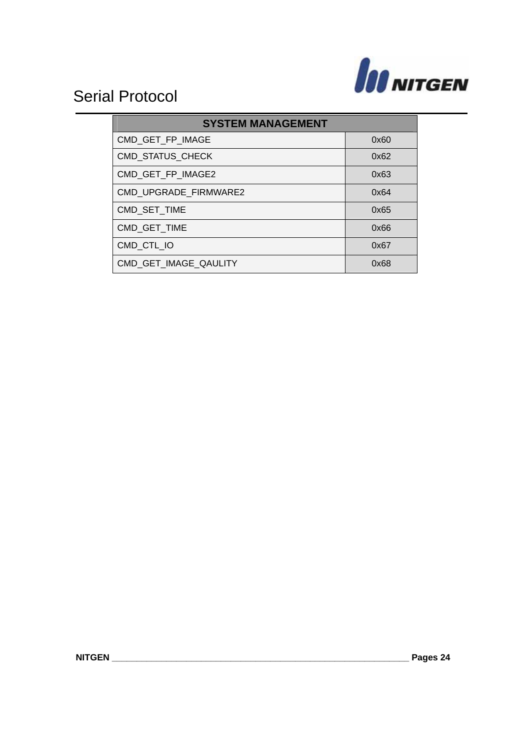

| <b>SYSTEM MANAGEMENT</b> |      |  |
|--------------------------|------|--|
| CMD_GET_FP_IMAGE         | 0x60 |  |
| <b>CMD STATUS CHECK</b>  | 0x62 |  |
| CMD GET FP IMAGE2        | 0x63 |  |
| CMD UPGRADE FIRMWARE2    | 0x64 |  |
| CMD SET TIME             | 0x65 |  |
| CMD GET TIME             | 0x66 |  |
| CMD CTL IO               | 0x67 |  |
| CMD_GET_IMAGE_QAULITY    | 0x68 |  |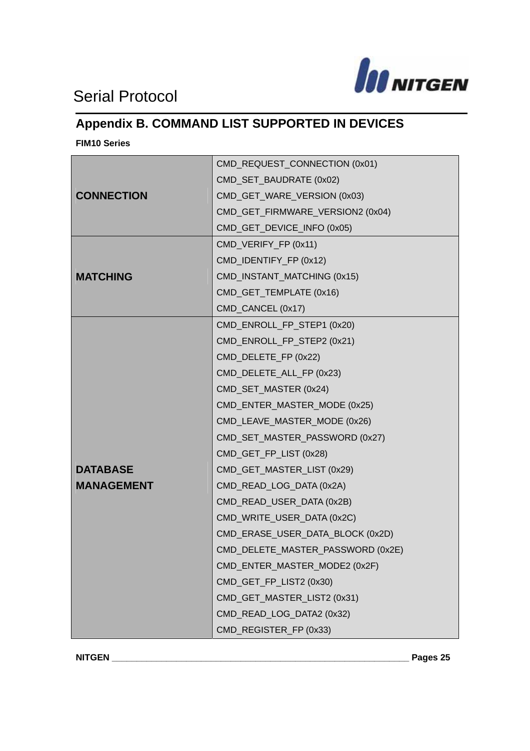

### **Appendix B. COMMAND LIST SUPPORTED IN DEVICES**

**FIM10 Series** 

|                   | CMD_REQUEST_CONNECTION (0x01)     |  |
|-------------------|-----------------------------------|--|
|                   | CMD_SET_BAUDRATE (0x02)           |  |
| <b>CONNECTION</b> | CMD_GET_WARE_VERSION (0x03)       |  |
|                   | CMD_GET_FIRMWARE_VERSION2 (0x04)  |  |
|                   | CMD_GET_DEVICE_INFO (0x05)        |  |
|                   | CMD_VERIFY_FP (0x11)              |  |
|                   | CMD_IDENTIFY_FP (0x12)            |  |
| <b>MATCHING</b>   | CMD_INSTANT_MATCHING (0x15)       |  |
|                   | CMD_GET_TEMPLATE (0x16)           |  |
|                   | CMD_CANCEL (0x17)                 |  |
|                   | CMD_ENROLL_FP_STEP1 (0x20)        |  |
|                   | CMD_ENROLL_FP_STEP2 (0x21)        |  |
|                   | CMD_DELETE_FP (0x22)              |  |
|                   | CMD_DELETE_ALL_FP (0x23)          |  |
|                   | CMD_SET_MASTER (0x24)             |  |
|                   | CMD_ENTER_MASTER_MODE (0x25)      |  |
|                   | CMD_LEAVE_MASTER_MODE (0x26)      |  |
|                   | CMD_SET_MASTER_PASSWORD (0x27)    |  |
|                   | CMD_GET_FP_LIST (0x28)            |  |
| <b>DATABASE</b>   | CMD_GET_MASTER_LIST (0x29)        |  |
| <b>MANAGEMENT</b> | CMD_READ_LOG_DATA (0x2A)          |  |
|                   | CMD_READ_USER_DATA (0x2B)         |  |
|                   | CMD_WRITE_USER_DATA (0x2C)        |  |
|                   | CMD_ERASE_USER_DATA_BLOCK (0x2D)  |  |
|                   | CMD_DELETE_MASTER_PASSWORD (0x2E) |  |
|                   | CMD_ENTER_MASTER_MODE2 (0x2F)     |  |
|                   | CMD_GET_FP_LIST2 (0x30)           |  |
|                   | CMD_GET_MASTER_LIST2 (0x31)       |  |
|                   | CMD_READ_LOG_DATA2 (0x32)         |  |
|                   | CMD_REGISTER_FP (0x33)            |  |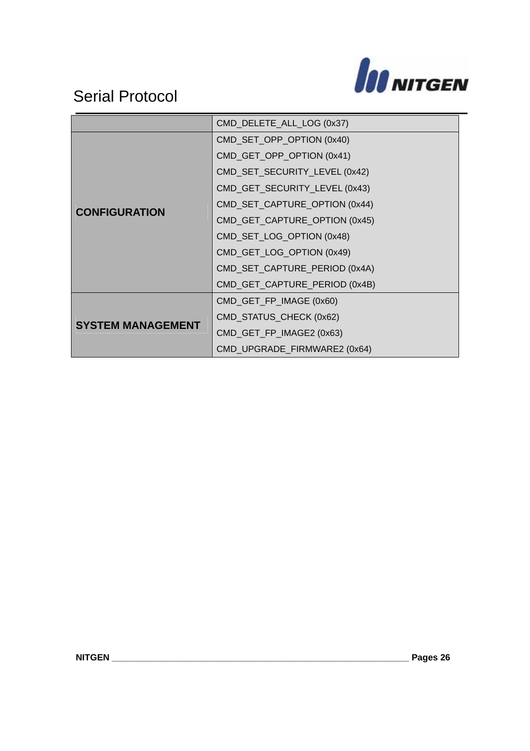

|                          | CMD_DELETE_ALL_LOG (0x37)     |  |
|--------------------------|-------------------------------|--|
|                          | CMD_SET_OPP_OPTION (0x40)     |  |
|                          | CMD_GET_OPP_OPTION (0x41)     |  |
|                          | CMD_SET_SECURITY_LEVEL (0x42) |  |
|                          | CMD_GET_SECURITY_LEVEL (0x43) |  |
|                          | CMD_SET_CAPTURE_OPTION (0x44) |  |
| <b>CONFIGURATION</b>     | CMD_GET_CAPTURE_OPTION (0x45) |  |
|                          | CMD_SET_LOG_OPTION (0x48)     |  |
|                          | CMD_GET_LOG_OPTION (0x49)     |  |
|                          | CMD_SET_CAPTURE_PERIOD (0x4A) |  |
|                          | CMD_GET_CAPTURE_PERIOD (0x4B) |  |
|                          | CMD_GET_FP_IMAGE (0x60)       |  |
|                          | CMD_STATUS_CHECK (0x62)       |  |
| <b>SYSTEM MANAGEMENT</b> | CMD_GET_FP_IMAGE2 (0x63)      |  |
|                          | CMD_UPGRADE_FIRMWARE2 (0x64)  |  |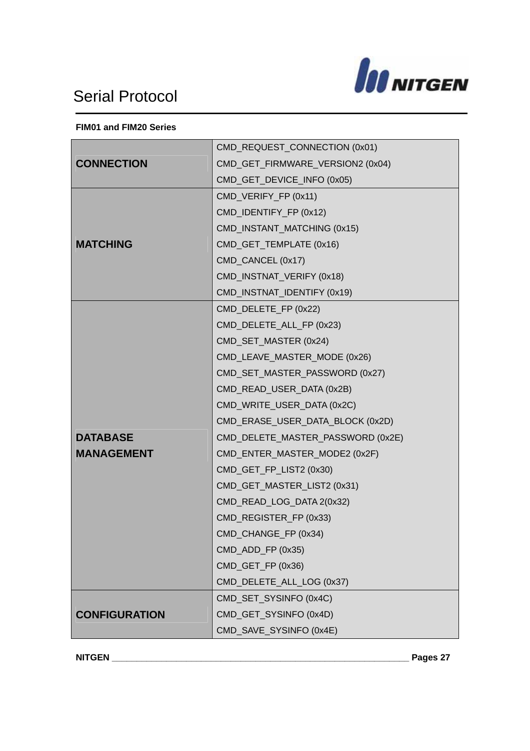

#### **FIM01 and FIM20 Series**

|                      | CMD_REQUEST_CONNECTION (0x01)     |  |  |  |
|----------------------|-----------------------------------|--|--|--|
| <b>CONNECTION</b>    | CMD_GET_FIRMWARE_VERSION2 (0x04)  |  |  |  |
|                      | CMD_GET_DEVICE_INFO (0x05)        |  |  |  |
|                      | CMD_VERIFY_FP (0x11)              |  |  |  |
|                      | CMD_IDENTIFY_FP (0x12)            |  |  |  |
|                      | CMD_INSTANT_MATCHING (0x15)       |  |  |  |
| <b>MATCHING</b>      | CMD_GET_TEMPLATE (0x16)           |  |  |  |
|                      | CMD_CANCEL (0x17)                 |  |  |  |
|                      | CMD_INSTNAT_VERIFY (0x18)         |  |  |  |
|                      | CMD_INSTNAT_IDENTIFY (0x19)       |  |  |  |
|                      | CMD_DELETE_FP (0x22)              |  |  |  |
|                      | CMD_DELETE_ALL_FP (0x23)          |  |  |  |
|                      | CMD_SET_MASTER (0x24)             |  |  |  |
|                      | CMD_LEAVE_MASTER_MODE (0x26)      |  |  |  |
|                      | CMD_SET_MASTER_PASSWORD (0x27)    |  |  |  |
|                      | CMD_READ_USER_DATA (0x2B)         |  |  |  |
|                      | CMD_WRITE_USER_DATA (0x2C)        |  |  |  |
|                      | CMD_ERASE_USER_DATA_BLOCK (0x2D)  |  |  |  |
| <b>DATABASE</b>      | CMD_DELETE_MASTER_PASSWORD (0x2E) |  |  |  |
| <b>MANAGEMENT</b>    | CMD_ENTER_MASTER_MODE2 (0x2F)     |  |  |  |
|                      | CMD_GET_FP_LIST2 (0x30)           |  |  |  |
|                      | CMD_GET_MASTER_LIST2 (0x31)       |  |  |  |
|                      | CMD_READ_LOG_DATA 2(0x32)         |  |  |  |
|                      | CMD_REGISTER_FP (0x33)            |  |  |  |
|                      | CMD_CHANGE_FP (0x34)              |  |  |  |
|                      | CMD_ADD_FP (0x35)                 |  |  |  |
|                      | CMD_GET_FP (0x36)                 |  |  |  |
|                      | CMD_DELETE_ALL_LOG (0x37)         |  |  |  |
|                      | CMD_SET_SYSINFO (0x4C)            |  |  |  |
| <b>CONFIGURATION</b> | CMD_GET_SYSINFO (0x4D)            |  |  |  |
|                      | CMD_SAVE_SYSINFO (0x4E)           |  |  |  |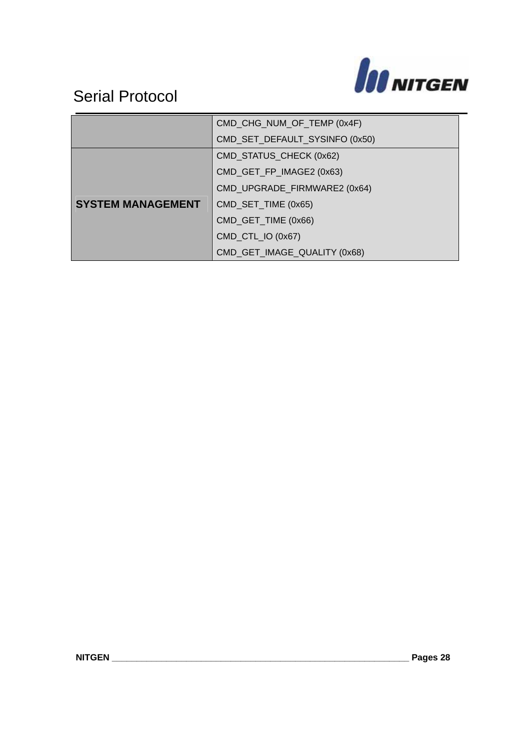

|                          | CMD_CHG_NUM_OF_TEMP (0x4F)     |  |  |
|--------------------------|--------------------------------|--|--|
|                          | CMD_SET_DEFAULT_SYSINFO (0x50) |  |  |
|                          | CMD_STATUS_CHECK (0x62)        |  |  |
|                          | CMD_GET_FP_IMAGE2 (0x63)       |  |  |
|                          | CMD_UPGRADE_FIRMWARE2 (0x64)   |  |  |
| <b>SYSTEM MANAGEMENT</b> | CMD_SET_TIME (0x65)            |  |  |
|                          | CMD_GET_TIME (0x66)            |  |  |
|                          | CMD_CTL_IO (0x67)              |  |  |
|                          | CMD_GET_IMAGE_QUALITY (0x68)   |  |  |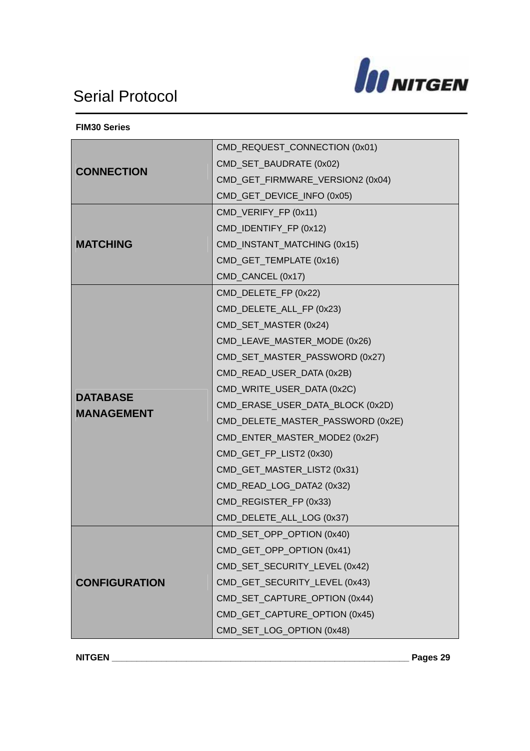

**FIM30 Series** 

|                      | CMD_REQUEST_CONNECTION (0x01)     |  |  |
|----------------------|-----------------------------------|--|--|
| <b>CONNECTION</b>    | CMD_SET_BAUDRATE (0x02)           |  |  |
|                      | CMD_GET_FIRMWARE_VERSION2 (0x04)  |  |  |
|                      | CMD_GET_DEVICE_INFO (0x05)        |  |  |
|                      | CMD_VERIFY_FP (0x11)              |  |  |
|                      | CMD_IDENTIFY_FP (0x12)            |  |  |
| <b>MATCHING</b>      | CMD_INSTANT_MATCHING (0x15)       |  |  |
|                      | CMD_GET_TEMPLATE (0x16)           |  |  |
|                      | CMD_CANCEL (0x17)                 |  |  |
|                      | CMD_DELETE_FP (0x22)              |  |  |
|                      | CMD_DELETE_ALL_FP (0x23)          |  |  |
|                      | CMD_SET_MASTER (0x24)             |  |  |
|                      | CMD_LEAVE_MASTER_MODE (0x26)      |  |  |
|                      | CMD_SET_MASTER_PASSWORD (0x27)    |  |  |
|                      | CMD_READ_USER_DATA (0x2B)         |  |  |
| <b>DATABASE</b>      | CMD_WRITE_USER_DATA (0x2C)        |  |  |
| <b>MANAGEMENT</b>    | CMD_ERASE_USER_DATA_BLOCK (0x2D)  |  |  |
|                      | CMD_DELETE_MASTER_PASSWORD (0x2E) |  |  |
|                      | CMD_ENTER_MASTER_MODE2 (0x2F)     |  |  |
|                      | CMD_GET_FP_LIST2 (0x30)           |  |  |
|                      | CMD_GET_MASTER_LIST2 (0x31)       |  |  |
|                      | CMD_READ_LOG_DATA2 (0x32)         |  |  |
|                      | CMD_REGISTER_FP (0x33)            |  |  |
|                      | CMD_DELETE_ALL_LOG (0x37)         |  |  |
|                      | CMD_SET_OPP_OPTION (0x40)         |  |  |
|                      | CMD_GET_OPP_OPTION (0x41)         |  |  |
|                      | CMD_SET_SECURITY_LEVEL (0x42)     |  |  |
| <b>CONFIGURATION</b> | CMD_GET_SECURITY_LEVEL (0x43)     |  |  |
|                      | CMD_SET_CAPTURE_OPTION (0x44)     |  |  |
|                      | CMD_GET_CAPTURE_OPTION (0x45)     |  |  |
|                      | CMD_SET_LOG_OPTION (0x48)         |  |  |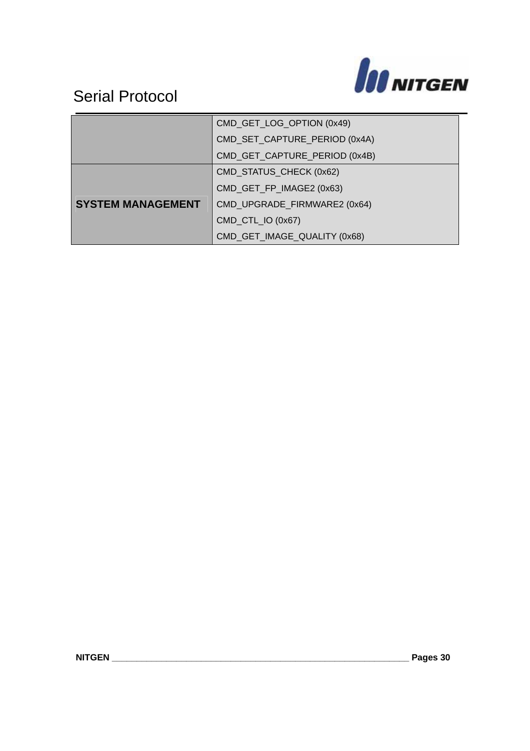

|                          | CMD_GET_LOG_OPTION (0x49)     |  |  |
|--------------------------|-------------------------------|--|--|
|                          | CMD_SET_CAPTURE_PERIOD (0x4A) |  |  |
|                          | CMD_GET_CAPTURE_PERIOD (0x4B) |  |  |
|                          | CMD_STATUS_CHECK (0x62)       |  |  |
|                          | CMD_GET_FP_IMAGE2 (0x63)      |  |  |
| <b>SYSTEM MANAGEMENT</b> | CMD_UPGRADE_FIRMWARE2 (0x64)  |  |  |
|                          | CMD_CTL_IO (0x67)             |  |  |
|                          | CMD_GET_IMAGE_QUALITY (0x68)  |  |  |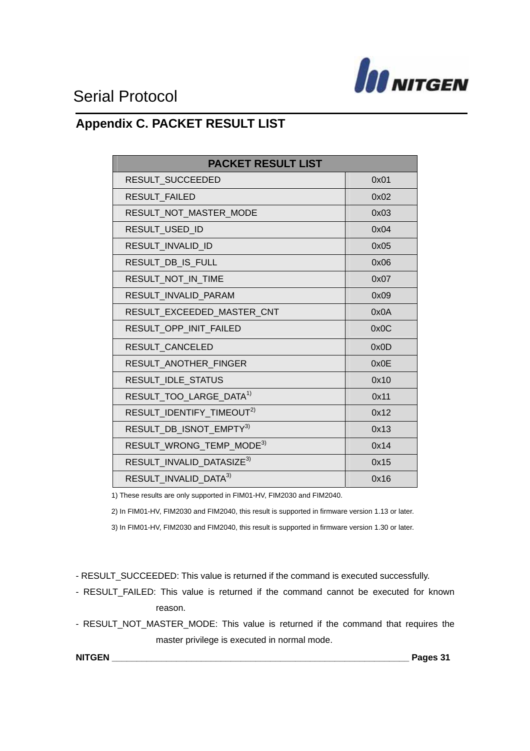

### **Appendix C. PACKET RESULT LIST**

| <b>PACKET RESULT LIST</b>             |      |  |
|---------------------------------------|------|--|
| RESULT SUCCEEDED                      | 0x01 |  |
| <b>RESULT FAILED</b>                  | 0x02 |  |
| RESULT_NOT_MASTER_MODE                | 0x03 |  |
| RESULT_USED_ID                        | 0x04 |  |
| RESULT INVALID ID                     | 0x05 |  |
| RESULT_DB_IS_FULL                     | 0x06 |  |
| RESULT_NOT_IN_TIME                    | 0x07 |  |
| RESULT_INVALID_PARAM                  | 0x09 |  |
| RESULT_EXCEEDED_MASTER_CNT            | 0x0A |  |
| RESULT_OPP_INIT_FAILED                | 0x0C |  |
| RESULT CANCELED                       | 0x0D |  |
| RESULT_ANOTHER_FINGER                 | 0x0E |  |
| RESULT_IDLE_STATUS                    | 0x10 |  |
| RESULT_TOO_LARGE_DATA <sup>1)</sup>   | 0x11 |  |
| RESULT_IDENTIFY_TIMEOUT <sup>2)</sup> | 0x12 |  |
| RESULT_DB_ISNOT_EMPTY3)               | 0x13 |  |
| RESULT_WRONG_TEMP_MODE <sup>3)</sup>  | 0x14 |  |
| RESULT_INVALID_DATASIZE <sup>3)</sup> | 0x15 |  |
| RESULT INVALID DATA <sup>3)</sup>     | 0x16 |  |

1) These results are only supported in FIM01-HV, FIM2030 and FIM2040.

2) In FIM01-HV, FIM2030 and FIM2040, this result is supported in firmware version 1.13 or later.

3) In FIM01-HV, FIM2030 and FIM2040, this result is supported in firmware version 1.30 or later.

- RESULT\_SUCCEEDED: This value is returned if the command is executed successfully.

- RESULT FAILED: This value is returned if the command cannot be executed for known reason.

- RESULT\_NOT\_MASTER\_MODE: This value is returned if the command that requires the master privilege is executed in normal mode.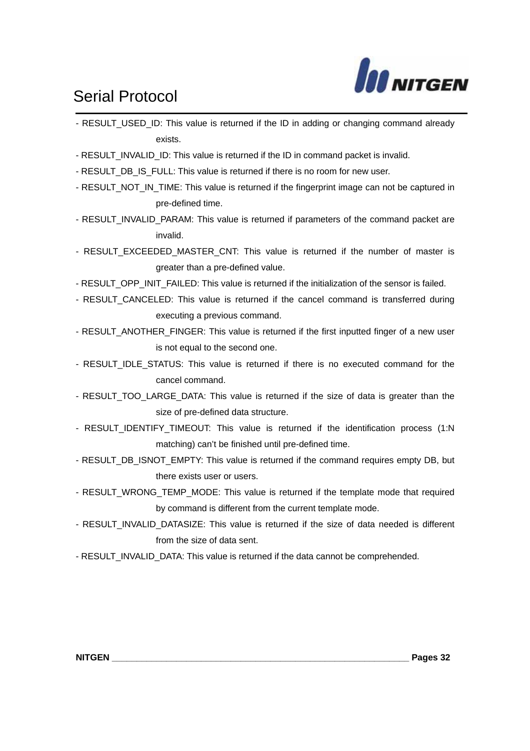

- RESULT\_USED\_ID: This value is returned if the ID in adding or changing command already exists.
- RESULT\_INVALID\_ID: This value is returned if the ID in command packet is invalid.
- RESULT\_DB\_IS\_FULL: This value is returned if there is no room for new user.
- RESULT\_NOT\_IN\_TIME: This value is returned if the fingerprint image can not be captured in pre-defined time.
- RESULT\_INVALID\_PARAM: This value is returned if parameters of the command packet are invalid.
- RESULT EXCEEDED MASTER CNT: This value is returned if the number of master is greater than a pre-defined value.
- RESULT\_OPP\_INIT\_FAILED: This value is returned if the initialization of the sensor is failed.
- RESULT CANCELED: This value is returned if the cancel command is transferred during executing a previous command.
- RESULT\_ANOTHER\_FINGER: This value is returned if the first inputted finger of a new user is not equal to the second one.
- RESULT\_IDLE\_STATUS: This value is returned if there is no executed command for the cancel command.
- RESULT TOO LARGE DATA: This value is returned if the size of data is greater than the size of pre-defined data structure.
- RESULT IDENTIFY TIMEOUT: This value is returned if the identification process (1:N matching) can't be finished until pre-defined time.
- RESULT\_DB\_ISNOT\_EMPTY: This value is returned if the command requires empty DB, but there exists user or users.
- RESULT\_WRONG\_TEMP\_MODE: This value is returned if the template mode that required by command is different from the current template mode.
- RESULT\_INVALID\_DATASIZE: This value is returned if the size of data needed is different from the size of data sent.
- RESULT\_INVALID\_DATA: This value is returned if the data cannot be comprehended.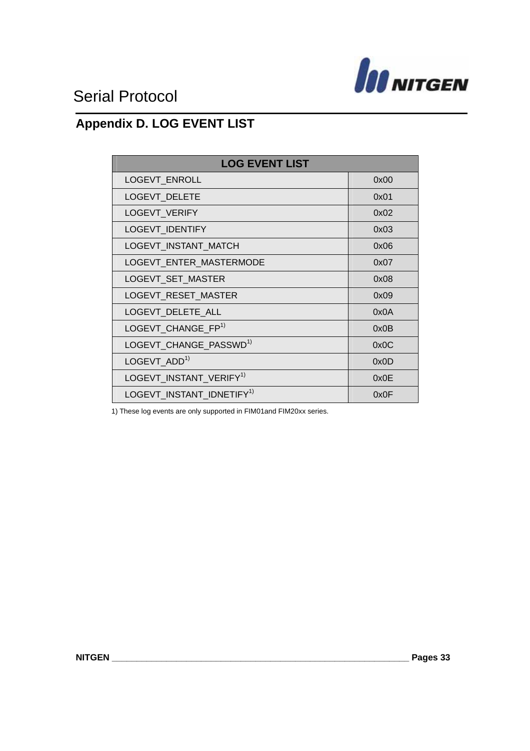

### **Appendix D. LOG EVENT LIST**

| <b>LOG EVENT LIST</b>                 |      |  |
|---------------------------------------|------|--|
| LOGEVT_ENROLL                         | 0x00 |  |
| LOGEVT_DELETE                         | 0x01 |  |
| LOGEVT_VERIFY                         | 0x02 |  |
| <b>LOGEVT IDENTIFY</b>                | 0x03 |  |
| LOGEVT INSTANT MATCH                  | 0x06 |  |
| LOGEVT_ENTER_MASTERMODE               | 0x07 |  |
| LOGEVT_SET_MASTER                     | 0x08 |  |
| LOGEVT_RESET_MASTER                   | 0x09 |  |
| LOGEVT_DELETE_ALL                     | 0x0A |  |
| LOGEVT_CHANGE_FP <sup>1)</sup>        | 0x0B |  |
| LOGEVT_CHANGE_PASSWD <sup>1)</sup>    | 0x0C |  |
| LOGEVT ADD <sup>1)</sup>              | 0x0D |  |
| LOGEVT_INSTANT_VERIFY <sup>1)</sup>   | 0x0E |  |
| LOGEVT_INSTANT_IDNETIFY <sup>1)</sup> | 0x0F |  |

1) These log events are only supported in FIM01and FIM20xx series.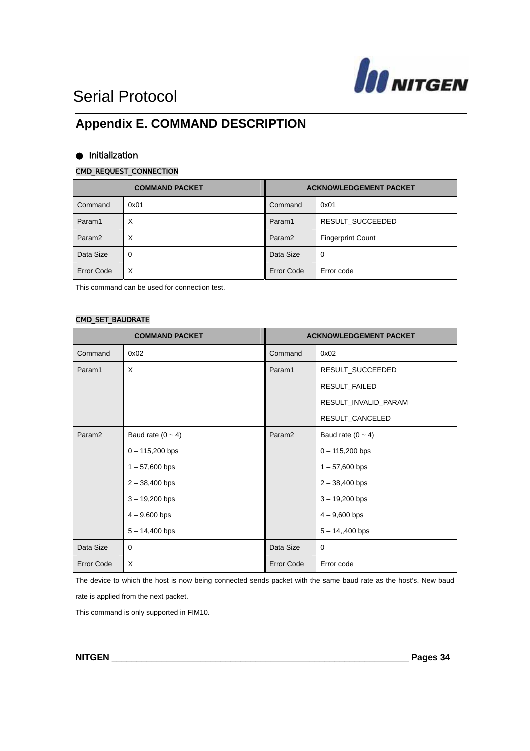

### **Appendix E. COMMAND DESCRIPTION**

#### Initialization

#### CMD\_REQUEST\_CONNECTION

| <b>COMMAND PACKET</b> |      | <b>ACKNOWLEDGEMENT PACKET</b> |                          |
|-----------------------|------|-------------------------------|--------------------------|
| Command               | 0x01 | Command                       | 0x01                     |
| Param1                | X    | Param1                        | RESULT SUCCEEDED         |
| Param <sub>2</sub>    | X    | Param <sub>2</sub>            | <b>Fingerprint Count</b> |
| Data Size             | 0    | Data Size                     | 0                        |
| Error Code            | X    | <b>Error Code</b>             | Error code               |

This command can be used for connection test.

#### CMD\_SET\_BAUDRATE

| <b>COMMAND PACKET</b> |                     | <b>ACKNOWLEDGEMENT PACKET</b> |                      |
|-----------------------|---------------------|-------------------------------|----------------------|
| Command               | 0x02                | Command                       | 0x02                 |
| Param1                | X                   | Param1                        | RESULT_SUCCEEDED     |
|                       |                     |                               | RESULT_FAILED        |
|                       |                     |                               | RESULT_INVALID_PARAM |
|                       |                     |                               | RESULT_CANCELED      |
| Param <sub>2</sub>    | Baud rate $(0 - 4)$ | Param <sub>2</sub>            | Baud rate $(0 - 4)$  |
|                       | $0 - 115,200$ bps   |                               | $0 - 115,200$ bps    |
|                       | $1 - 57,600$ bps    |                               | $1 - 57,600$ bps     |
|                       | $2 - 38,400$ bps    |                               | $2 - 38,400$ bps     |
|                       | $3 - 19,200$ bps    |                               | $3 - 19,200$ bps     |
|                       | $4 - 9,600$ bps     |                               | $4 - 9,600$ bps      |
|                       | $5 - 14,400$ bps    |                               | $5 - 14,400$ bps     |
| Data Size             | 0                   | Data Size                     | 0                    |
| <b>Error Code</b>     | X                   | <b>Error Code</b>             | Error code           |

The device to which the host is now being connected sends packet with the same baud rate as the host's. New baud

rate is applied from the next packet.

This command is only supported in FIM10.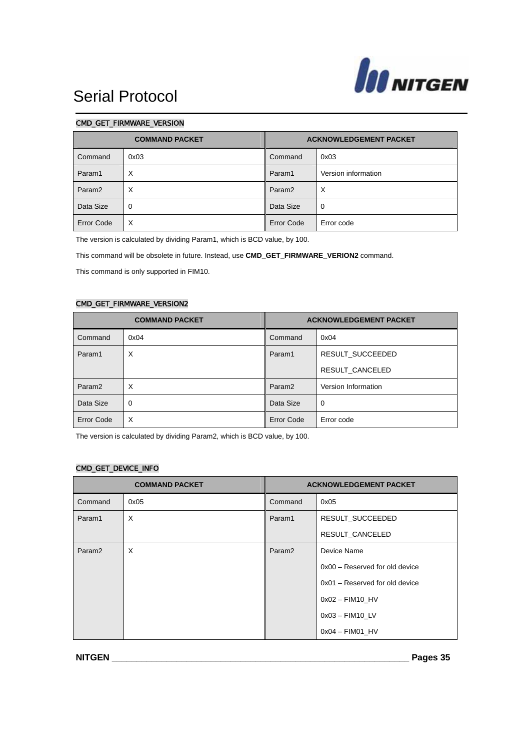

#### CMD\_GET\_FIRMWARE\_VERSION

| <b>COMMAND PACKET</b> |      | <b>ACKNOWLEDGEMENT PACKET</b> |                     |
|-----------------------|------|-------------------------------|---------------------|
| Command               | 0x03 | Command                       | 0x03                |
| Param1                | X    | Param1                        | Version information |
| Param <sub>2</sub>    | X    | Param <sub>2</sub>            | $\times$            |
| Data Size             | 0    | Data Size                     | 0                   |
| <b>Error Code</b>     | X    | <b>Error Code</b>             | Error code          |

The version is calculated by dividing Param1, which is BCD value, by 100.

This command will be obsolete in future. Instead, use **CMD\_GET\_FIRMWARE\_VERION2** command.

This command is only supported in FIM10.

#### CMD\_GET\_FIRMWARE\_VERSION2

| <b>COMMAND PACKET</b> |      | <b>ACKNOWLEDGEMENT PACKET</b> |                     |
|-----------------------|------|-------------------------------|---------------------|
| Command               | 0x04 | Command                       | 0x04                |
| Param1                | X    | Param1                        | RESULT_SUCCEEDED    |
|                       |      |                               | RESULT CANCELED     |
| Param <sub>2</sub>    | X    | Param <sub>2</sub>            | Version Information |
| Data Size             | 0    | Data Size                     | 0                   |
| Error Code            | X    | Error Code                    | Error code          |

The version is calculated by dividing Param2, which is BCD value, by 100.

#### CMD\_GET\_DEVICE\_INFO

| <b>COMMAND PACKET</b> |      | <b>ACKNOWLEDGEMENT PACKET</b> |                                  |
|-----------------------|------|-------------------------------|----------------------------------|
| Command               | 0x05 | Command                       | 0x05                             |
| Param1                | X    | Param1                        | RESULT_SUCCEEDED                 |
|                       |      |                               | RESULT CANCELED                  |
| Param <sub>2</sub>    | X    | Param <sub>2</sub>            | Device Name                      |
|                       |      |                               | $0x00 -$ Reserved for old device |
|                       |      |                               | $0x01 -$ Reserved for old device |
|                       |      |                               | $0x02 -$ FIM10 HV                |
|                       |      |                               | $0x03 -$ FIM10 LV                |
|                       |      |                               | $0x04 -$ FIM01 HV                |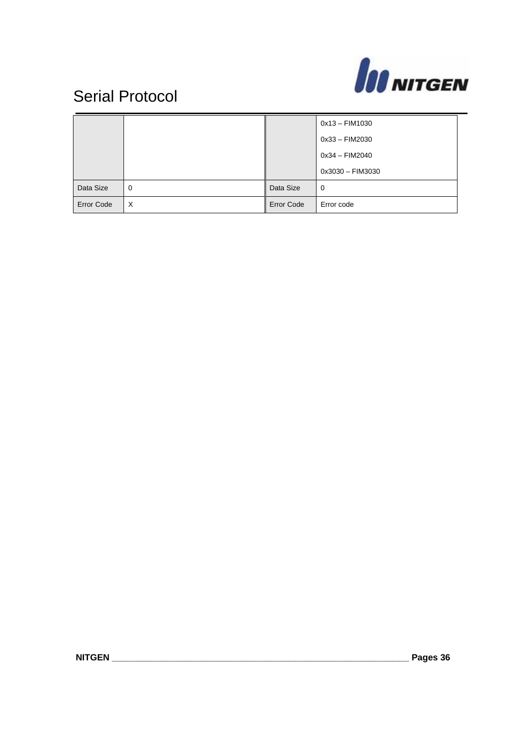

|                   |          |                   | $0x13 - FIM1030$ |
|-------------------|----------|-------------------|------------------|
|                   |          |                   | 0x33 - FIM2030   |
|                   |          |                   | 0x34 - FIM2040   |
|                   |          |                   | 0x3030 - FIM3030 |
| Data Size         | $\Omega$ | Data Size         | 0                |
| <b>Error Code</b> | X        | <b>Error Code</b> | Error code       |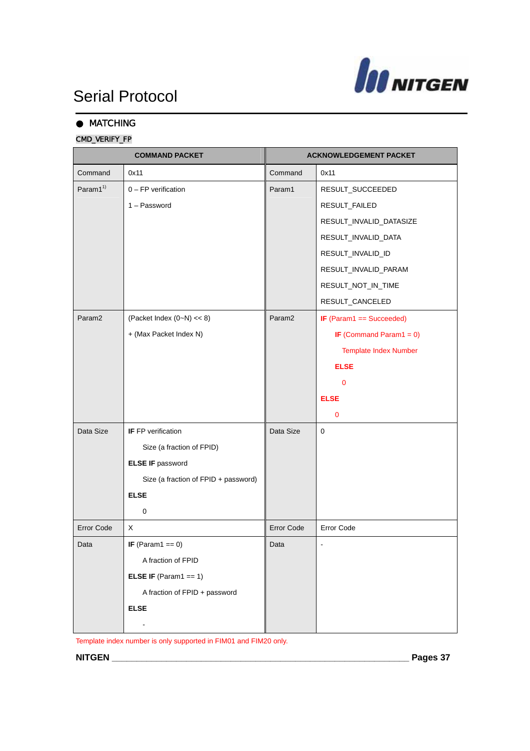

### **MATCHING**

### CMD\_VERIFY\_FP

| <b>COMMAND PACKET</b> |                                      | <b>ACKNOWLEDGEMENT PACKET</b> |                              |
|-----------------------|--------------------------------------|-------------------------------|------------------------------|
| Command               | 0x11                                 | Command                       | 0x11                         |
| Param1 <sup>1)</sup>  | $0$ – FP verification                | Param1                        | RESULT_SUCCEEDED             |
|                       | 1 - Password                         |                               | RESULT_FAILED                |
|                       |                                      |                               | RESULT_INVALID_DATASIZE      |
|                       |                                      |                               | RESULT_INVALID_DATA          |
|                       |                                      |                               | RESULT_INVALID_ID            |
|                       |                                      |                               | RESULT_INVALID_PARAM         |
|                       |                                      |                               | RESULT_NOT_IN_TIME           |
|                       |                                      |                               | RESULT_CANCELED              |
| Param <sub>2</sub>    | (Packet Index $(0-N) \ll 8$ )        | Param <sub>2</sub>            | IF (Param1 == Succeeded)     |
|                       | + (Max Packet Index N)               |                               | IF (Command Param1 = $0$ )   |
|                       |                                      |                               | <b>Template Index Number</b> |
|                       |                                      |                               | <b>ELSE</b>                  |
|                       |                                      |                               | $\mathbf{0}$                 |
|                       |                                      |                               | <b>ELSE</b>                  |
|                       |                                      |                               | 0                            |
| Data Size             | <b>IF</b> FP verification            | Data Size                     | 0                            |
|                       | Size (a fraction of FPID)            |                               |                              |
|                       | <b>ELSE IF password</b>              |                               |                              |
|                       | Size (a fraction of FPID + password) |                               |                              |
|                       | <b>ELSE</b>                          |                               |                              |
|                       | 0                                    |                               |                              |
| <b>Error Code</b>     | X                                    | Error Code                    | Error Code                   |
| Data                  | IF (Param $1 == 0$ )                 | Data                          | $\qquad \qquad \blacksquare$ |
|                       | A fraction of FPID                   |                               |                              |
|                       | <b>ELSE IF</b> (Param1 == 1)         |                               |                              |
|                       | A fraction of FPID + password        |                               |                              |
|                       | <b>ELSE</b>                          |                               |                              |
|                       |                                      |                               |                              |

Template index number is only supported in FIM01 and FIM20 only.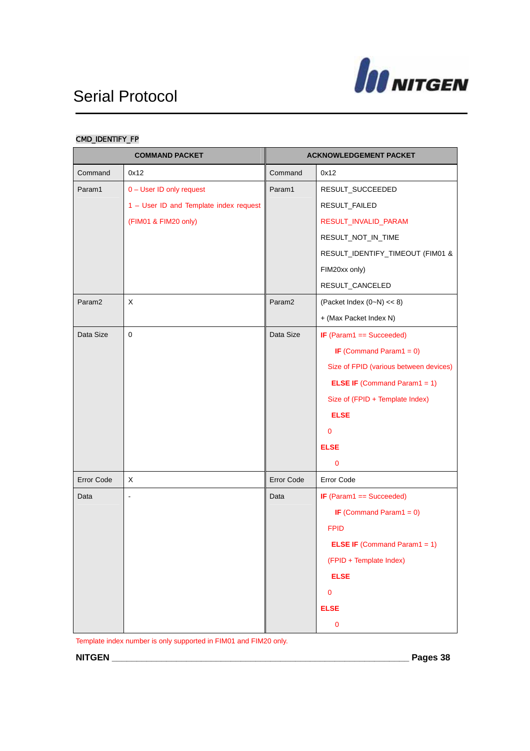

### CMD\_IDENTIFY\_FP

| <b>COMMAND PACKET</b> |                                        | <b>ACKNOWLEDGEMENT PACKET</b> |                                        |
|-----------------------|----------------------------------------|-------------------------------|----------------------------------------|
| Command               | 0x12                                   | Command                       | 0x12                                   |
| Param1                | 0 - User ID only request               | Param1                        | RESULT_SUCCEEDED                       |
|                       | 1 - User ID and Template index request |                               | RESULT_FAILED                          |
|                       | (FIM01 & FIM20 only)                   |                               | RESULT_INVALID_PARAM                   |
|                       |                                        |                               | RESULT_NOT_IN_TIME                     |
|                       |                                        |                               | RESULT_IDENTIFY_TIMEOUT (FIM01 &       |
|                       |                                        |                               | FIM20xx only)                          |
|                       |                                        |                               | RESULT_CANCELED                        |
| Param <sub>2</sub>    | X                                      | Param <sub>2</sub>            | (Packet Index $(0-N) \ll 8$ )          |
|                       |                                        |                               | + (Max Packet Index N)                 |
| Data Size             | $\mathbf 0$                            | Data Size                     | IF (Param1 == Succeeded)               |
|                       |                                        |                               | IF (Command Param1 = $0$ )             |
|                       |                                        |                               | Size of FPID (various between devices) |
|                       |                                        |                               | <b>ELSE IF</b> (Command Param1 = 1)    |
|                       |                                        |                               | Size of (FPID + Template Index)        |
|                       |                                        |                               | <b>ELSE</b>                            |
|                       |                                        |                               | 0                                      |
|                       |                                        |                               | <b>ELSE</b>                            |
|                       |                                        |                               | 0                                      |
| Error Code            | X                                      | Error Code                    | <b>Error Code</b>                      |
| Data                  | ÷,                                     | Data                          | IF $(Param1 == Succeeded)$             |
|                       |                                        |                               | IF (Command Param1 = $0$ )             |
|                       |                                        |                               | <b>FPID</b>                            |
|                       |                                        |                               | <b>ELSE IF</b> (Command Param1 = 1)    |
|                       |                                        |                               | (FPID + Template Index)                |
|                       |                                        |                               | <b>ELSE</b>                            |
|                       |                                        |                               | $\mathbf 0$                            |
|                       |                                        |                               | <b>ELSE</b>                            |
|                       |                                        |                               | 0                                      |

Template index number is only supported in FIM01 and FIM20 only.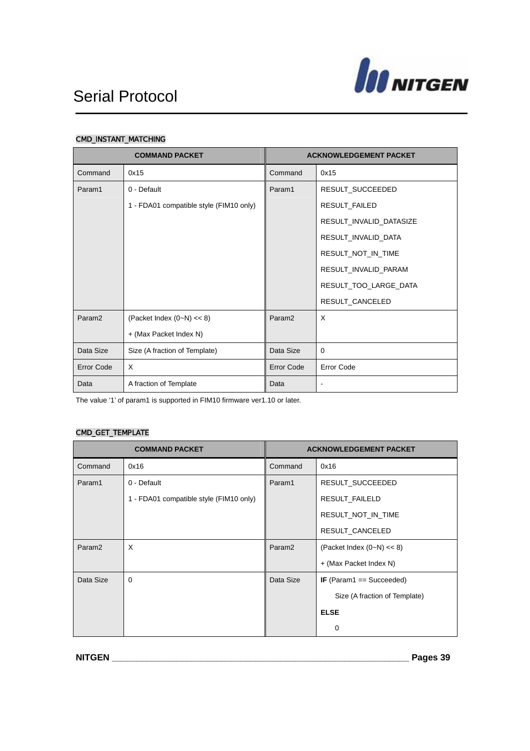

#### CMD\_INSTANT\_MATCHING

| <b>COMMAND PACKET</b> |                                         | <b>ACKNOWLEDGEMENT PACKET</b> |                         |
|-----------------------|-----------------------------------------|-------------------------------|-------------------------|
| Command               | 0x15                                    | Command                       | 0x15                    |
| Param1                | 0 - Default                             | Param1                        | RESULT_SUCCEEDED        |
|                       | 1 - FDA01 compatible style (FIM10 only) |                               | RESULT_FAILED           |
|                       |                                         |                               | RESULT_INVALID_DATASIZE |
|                       |                                         |                               | RESULT_INVALID_DATA     |
|                       |                                         |                               | RESULT_NOT_IN_TIME      |
|                       |                                         |                               | RESULT_INVALID_PARAM    |
|                       |                                         |                               | RESULT_TOO_LARGE_DATA   |
|                       |                                         |                               | RESULT_CANCELED         |
| Param <sub>2</sub>    | (Packet Index $(0-N) \ll 8$ )           | Param <sub>2</sub>            | X                       |
|                       | + (Max Packet Index N)                  |                               |                         |
| Data Size             | Size (A fraction of Template)           | Data Size                     | $\Omega$                |
| Error Code            | $\times$                                | Error Code                    | Error Code              |
| Data                  | A fraction of Template                  | Data                          | $\overline{a}$          |

The value '1' of param1 is supported in FIM10 firmware ver1.10 or later.

### CMD\_GET\_TEMPLATE

| <b>COMMAND PACKET</b> |                                         | <b>ACKNOWLEDGEMENT PACKET</b> |                               |
|-----------------------|-----------------------------------------|-------------------------------|-------------------------------|
| Command               | 0x16                                    | Command                       | 0x16                          |
| Param1                | 0 - Default                             | Param1                        | RESULT_SUCCEEDED              |
|                       | 1 - FDA01 compatible style (FIM10 only) |                               | RESULT_FAILELD                |
|                       |                                         |                               | RESULT NOT IN TIME            |
|                       |                                         |                               | RESULT_CANCELED               |
| Param <sub>2</sub>    | X                                       | Param <sub>2</sub>            | (Packet Index $(0-N) \ll 8$ ) |
|                       |                                         |                               | + (Max Packet Index N)        |
| Data Size             | $\Omega$                                | Data Size                     | IF (Param1 == Succeeded)      |
|                       |                                         |                               | Size (A fraction of Template) |
|                       |                                         |                               | <b>ELSE</b>                   |
|                       |                                         |                               | $\Omega$                      |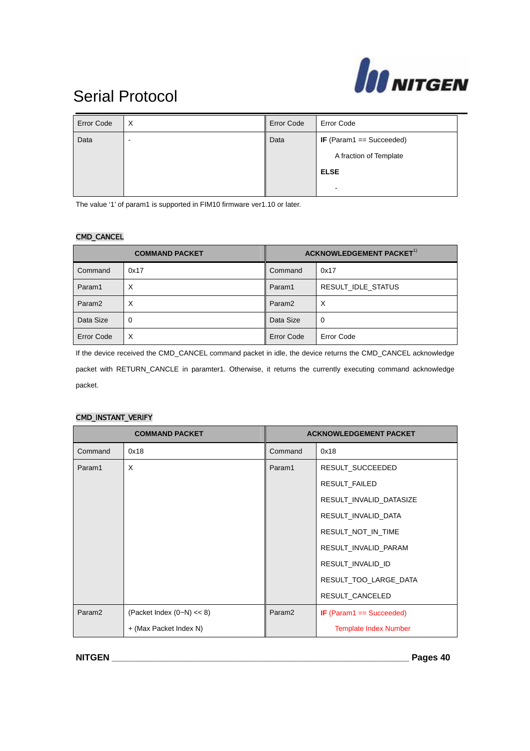

| <b>Error Code</b> | $\times$ | <b>Error Code</b> | <b>Error Code</b>               |
|-------------------|----------|-------------------|---------------------------------|
| Data              | -        | Data              | <b>IF</b> (Param1 == Succeeded) |
|                   |          |                   | A fraction of Template          |
|                   |          |                   | <b>ELSE</b>                     |
|                   |          |                   | $\blacksquare$                  |

The value '1' of param1 is supported in FIM10 firmware ver1.10 or later.

#### CMD\_CANCEL

| <b>COMMAND PACKET</b> |      | ACKNOWLEDGEMENT PACKET <sup>1)</sup> |                    |
|-----------------------|------|--------------------------------------|--------------------|
| Command               | 0x17 | Command                              | 0x17               |
| Param1                | X    | Param1                               | RESULT IDLE STATUS |
| Param <sub>2</sub>    | X    | Param <sub>2</sub>                   | $\times$           |
| Data Size             | 0    | Data Size                            | 0                  |
| <b>Error Code</b>     | X    | <b>Error Code</b>                    | Error Code         |

If the device received the CMD\_CANCEL command packet in idle, the device returns the CMD\_CANCEL acknowledge packet with RETURN\_CANCLE in paramter1. Otherwise, it returns the currently executing command acknowledge packet.

#### CMD\_INSTANT\_VERIFY

| <b>COMMAND PACKET</b> |                               | <b>ACKNOWLEDGEMENT PACKET</b> |                              |
|-----------------------|-------------------------------|-------------------------------|------------------------------|
| Command               | 0x18                          | Command                       | 0x18                         |
| Param1                | X                             | Param1                        | RESULT_SUCCEEDED             |
|                       |                               |                               | RESULT_FAILED                |
|                       |                               |                               | RESULT_INVALID_DATASIZE      |
|                       |                               |                               | RESULT_INVALID_DATA          |
|                       |                               |                               | RESULT_NOT_IN_TIME           |
|                       |                               |                               | RESULT_INVALID_PARAM         |
|                       |                               |                               | RESULT_INVALID_ID            |
|                       |                               |                               | RESULT TOO LARGE DATA        |
|                       |                               |                               | RESULT_CANCELED              |
| Param <sub>2</sub>    | (Packet Index $(0-N) \ll 8$ ) | Param <sub>2</sub>            | IF (Param1 $==$ Succeeded)   |
|                       | + (Max Packet Index N)        |                               | <b>Template Index Number</b> |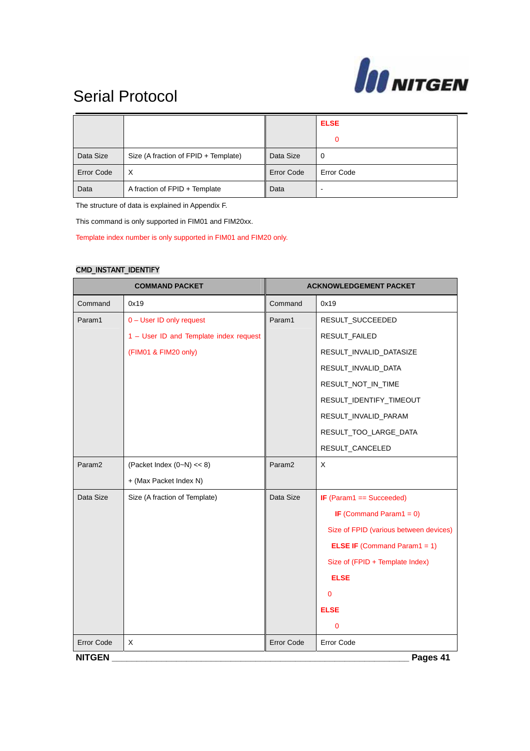

|                   |                                      |                   | <b>ELSE</b> |
|-------------------|--------------------------------------|-------------------|-------------|
|                   |                                      |                   | 0           |
| Data Size         | Size (A fraction of FPID + Template) | Data Size         | 0           |
| <b>Error Code</b> | X                                    | <b>Error Code</b> | Error Code  |
| Data              | A fraction of FPID + Template        | Data              |             |

The structure of data is explained in Appendix F.

This command is only supported in FIM01 and FIM20xx.

Template index number is only supported in FIM01 and FIM20 only.

#### CMD\_INSTANT\_IDENTIFY

| <b>COMMAND PACKET</b> |                                        | <b>ACKNOWLEDGEMENT PACKET</b> |                                        |  |  |
|-----------------------|----------------------------------------|-------------------------------|----------------------------------------|--|--|
| Command               | 0x19                                   | Command                       | 0x19                                   |  |  |
| Param1                | 0 - User ID only request               | Param1                        | RESULT_SUCCEEDED                       |  |  |
|                       | 1 - User ID and Template index request |                               | RESULT_FAILED                          |  |  |
|                       | (FIM01 & FIM20 only)                   |                               | RESULT_INVALID_DATASIZE                |  |  |
|                       |                                        |                               | RESULT_INVALID_DATA                    |  |  |
|                       |                                        |                               | RESULT_NOT_IN_TIME                     |  |  |
|                       |                                        |                               | RESULT_IDENTIFY_TIMEOUT                |  |  |
|                       |                                        |                               | RESULT_INVALID_PARAM                   |  |  |
|                       |                                        |                               | RESULT_TOO_LARGE_DATA                  |  |  |
|                       |                                        |                               | RESULT_CANCELED                        |  |  |
| Param <sub>2</sub>    | (Packet Index $(0-N) \ll 8$ )          | Param <sub>2</sub>            | $\mathsf{X}$                           |  |  |
|                       | + (Max Packet Index N)                 |                               |                                        |  |  |
| Data Size             | Size (A fraction of Template)          | Data Size                     | IF $(Param1 == Succeeded)$             |  |  |
|                       |                                        |                               | IF (Command Param1 = $0$ )             |  |  |
|                       |                                        |                               | Size of FPID (various between devices) |  |  |
|                       |                                        |                               | <b>ELSE IF</b> (Command Param1 = 1)    |  |  |
|                       |                                        |                               | Size of (FPID + Template Index)        |  |  |
|                       |                                        |                               | <b>ELSE</b>                            |  |  |
|                       |                                        |                               | $\Omega$                               |  |  |
|                       |                                        |                               | <b>ELSE</b>                            |  |  |
|                       |                                        |                               | $\mathbf 0$                            |  |  |
| <b>Error Code</b>     | X                                      | <b>Error Code</b>             | Error Code                             |  |  |
| <b>NITGEN</b>         | Pages 41                               |                               |                                        |  |  |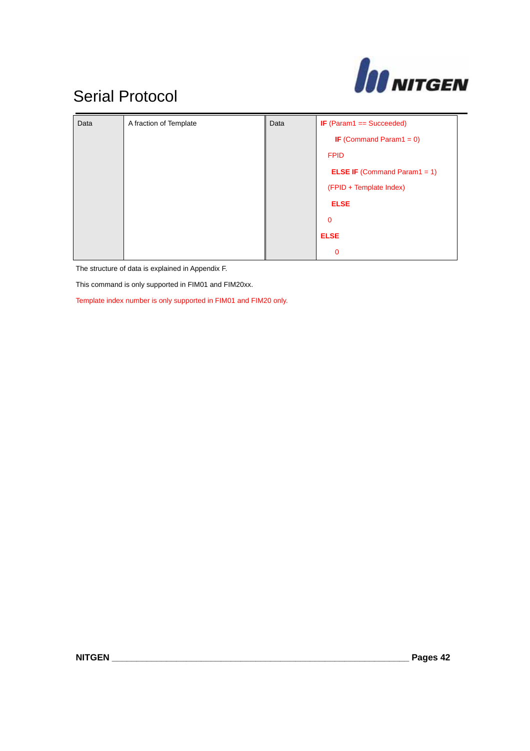

| Data | A fraction of Template | Data | <b>IF</b> (Param1 == Succeeded)     |
|------|------------------------|------|-------------------------------------|
|      |                        |      | <b>IF</b> (Command Param1 = $0$ )   |
|      |                        |      | <b>FPID</b>                         |
|      |                        |      | <b>ELSE IF</b> (Command Param1 = 1) |
|      |                        |      | (FPID + Template Index)             |
|      |                        |      | <b>ELSE</b>                         |
|      |                        |      | $\mathbf{0}$                        |
|      |                        |      | <b>ELSE</b>                         |
|      |                        |      | $\mathbf 0$                         |

The structure of data is explained in Appendix F.

This command is only supported in FIM01 and FIM20xx.

Template index number is only supported in FIM01 and FIM20 only.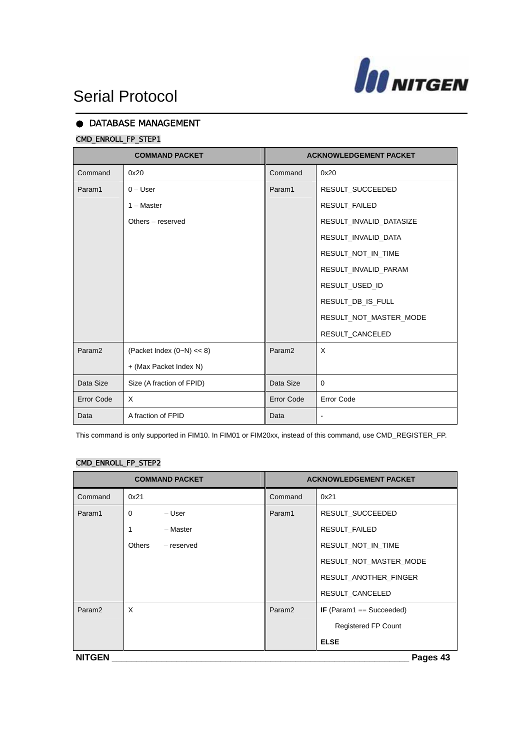

### DATABASE MANAGEMENT

### CMD\_ENROLL\_FP\_STEP1

| <b>COMMAND PACKET</b> |                               | <b>ACKNOWLEDGEMENT PACKET</b> |                         |
|-----------------------|-------------------------------|-------------------------------|-------------------------|
| Command               | 0x20                          | Command                       | 0x20                    |
| Param1                | $0 -$ User                    | Param1                        | RESULT_SUCCEEDED        |
|                       | $1 - Master$                  |                               | <b>RESULT FAILED</b>    |
|                       | Others - reserved             |                               | RESULT_INVALID_DATASIZE |
|                       |                               |                               | RESULT_INVALID_DATA     |
|                       |                               |                               | RESULT_NOT_IN_TIME      |
|                       |                               |                               | RESULT_INVALID_PARAM    |
|                       |                               |                               | RESULT_USED_ID          |
|                       |                               |                               | RESULT_DB_IS_FULL       |
|                       |                               |                               | RESULT_NOT_MASTER_MODE  |
|                       |                               |                               | RESULT_CANCELED         |
| Param <sub>2</sub>    | (Packet Index $(0-N) \ll 8$ ) | Param <sub>2</sub>            | X                       |
|                       | + (Max Packet Index N)        |                               |                         |
| Data Size             | Size (A fraction of FPID)     | Data Size                     | 0                       |
| <b>Error Code</b>     | X                             | <b>Error Code</b>             | <b>Error Code</b>       |
| Data                  | A fraction of FPID            | Data                          | $\blacksquare$          |

This command is only supported in FIM10. In FIM01 or FIM20xx, instead of this command, use CMD\_REGISTER\_FP.

### CMD\_ENROLL\_FP\_STEP2

| <b>COMMAND PACKET</b> |                      | <b>ACKNOWLEDGEMENT PACKET</b> |                            |  |  |
|-----------------------|----------------------|-------------------------------|----------------------------|--|--|
| Command               | 0x21                 | Command                       | 0x21                       |  |  |
| Param1                | 0<br>– User          | Param1                        | RESULT_SUCCEEDED           |  |  |
|                       | - Master<br>1        |                               | RESULT_FAILED              |  |  |
|                       | Others<br>- reserved |                               | RESULT_NOT_IN_TIME         |  |  |
|                       |                      |                               | RESULT_NOT_MASTER_MODE     |  |  |
|                       |                      |                               | RESULT_ANOTHER_FINGER      |  |  |
|                       |                      |                               | RESULT_CANCELED            |  |  |
| Param <sub>2</sub>    | X                    | Param <sub>2</sub>            | IF (Param1 == Succeeded)   |  |  |
|                       |                      |                               | <b>Registered FP Count</b> |  |  |
|                       |                      |                               | <b>ELSE</b>                |  |  |
| <b>NITGEN</b>         | Pages 43             |                               |                            |  |  |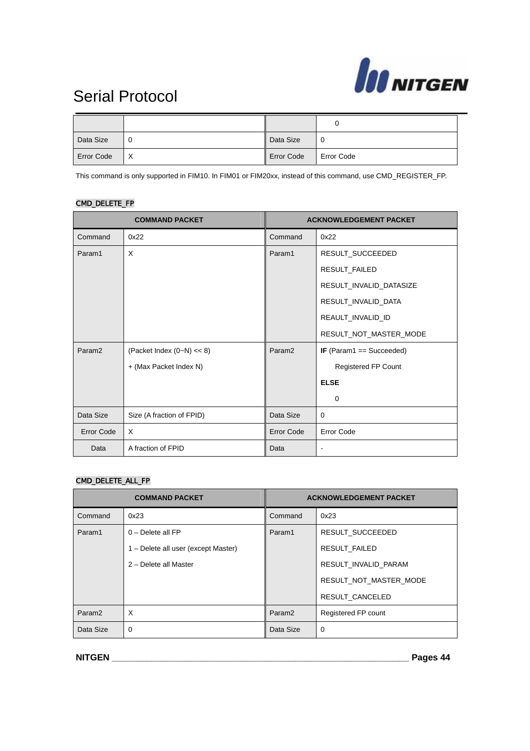

| Data Size         |   | Data Size         | 0                 |
|-------------------|---|-------------------|-------------------|
| <b>Error Code</b> | X | <b>Error Code</b> | <b>Error Code</b> |

This command is only supported in FIM10. In FIM01 or FIM20xx, instead of this command, use CMD\_REGISTER\_FP.

### CMD\_DELETE\_FP

| <b>COMMAND PACKET</b> |                               | <b>ACKNOWLEDGEMENT PACKET</b> |                              |
|-----------------------|-------------------------------|-------------------------------|------------------------------|
| Command               | 0x22                          | Command                       | 0x22                         |
| Param1                | X                             | Param1                        | RESULT_SUCCEEDED             |
|                       |                               |                               | RESULT_FAILED                |
|                       |                               |                               | RESULT_INVALID_DATASIZE      |
|                       |                               |                               | RESULT_INVALID_DATA          |
|                       |                               |                               | REAULT_INVALID_ID            |
|                       |                               |                               | RESULT_NOT_MASTER_MODE       |
| Param <sub>2</sub>    | (Packet Index $(0-N) \ll 8$ ) | Param <sub>2</sub>            | IF (Param1 == Succeeded)     |
|                       | + (Max Packet Index N)        |                               | <b>Registered FP Count</b>   |
|                       |                               |                               | <b>ELSE</b>                  |
|                       |                               |                               | $\Omega$                     |
| Data Size             | Size (A fraction of FPID)     | Data Size                     | 0                            |
| Error Code            | X                             | Error Code                    | <b>Error Code</b>            |
| Data                  | A fraction of FPID            | Data                          | $\qquad \qquad \blacksquare$ |

#### CMD\_DELETE\_ALL\_FP

| <b>COMMAND PACKET</b> |                                     | <b>ACKNOWLEDGEMENT PACKET</b> |                        |
|-----------------------|-------------------------------------|-------------------------------|------------------------|
| Command               | 0x23                                | Command                       | 0x23                   |
| Param1                | $0$ – Delete all FP                 | Param1                        | RESULT SUCCEEDED       |
|                       | 1 – Delete all user (except Master) |                               | <b>RESULT FAILED</b>   |
|                       | 2 - Delete all Master               |                               | RESULT_INVALID_PARAM   |
|                       |                                     |                               | RESULT NOT MASTER MODE |
|                       |                                     |                               | RESULT CANCELED        |
| Param <sub>2</sub>    | X                                   | Param <sub>2</sub>            | Registered FP count    |
| Data Size             | $\Omega$                            | Data Size                     | 0                      |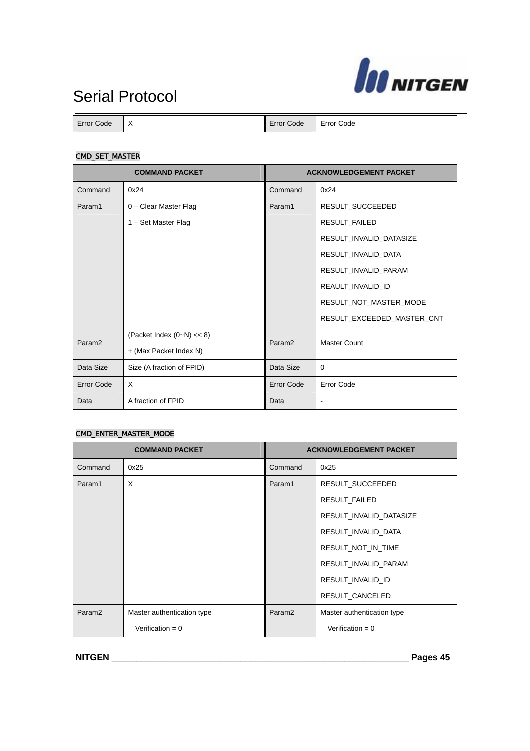

| Error<br>Code | ⋏ | Error<br>Code | Error Code |
|---------------|---|---------------|------------|

### CMD\_SET\_MASTER

| <b>COMMAND PACKET</b> |                               | <b>ACKNOWLEDGEMENT PACKET</b> |                            |
|-----------------------|-------------------------------|-------------------------------|----------------------------|
| Command               | 0x24                          | Command                       | 0x24                       |
| Param1                | 0 - Clear Master Flag         | Param1                        | RESULT_SUCCEEDED           |
|                       | 1 – Set Master Flag           |                               | RESULT_FAILED              |
|                       |                               |                               | RESULT_INVALID_DATASIZE    |
|                       |                               |                               | RESULT_INVALID_DATA        |
|                       |                               |                               | RESULT_INVALID_PARAM       |
|                       |                               |                               | REAULT_INVALID_ID          |
|                       |                               |                               | RESULT_NOT_MASTER_MODE     |
|                       |                               |                               | RESULT_EXCEEDED_MASTER_CNT |
| Param <sub>2</sub>    | (Packet Index $(0-N) \ll 8$ ) | Param <sub>2</sub>            | <b>Master Count</b>        |
|                       | + (Max Packet Index N)        |                               |                            |
| Data Size             | Size (A fraction of FPID)     | Data Size                     | 0                          |
| <b>Error Code</b>     | X                             | <b>Error Code</b>             | <b>Error Code</b>          |
| Data                  | A fraction of FPID            | Data                          | $\blacksquare$             |

#### CMD\_ENTER\_MASTER\_MODE

| <b>COMMAND PACKET</b> |                            | <b>ACKNOWLEDGEMENT PACKET</b> |                            |
|-----------------------|----------------------------|-------------------------------|----------------------------|
| Command               | 0x25                       | Command                       | 0x25                       |
| Param1                | X                          | Param1                        | RESULT_SUCCEEDED           |
|                       |                            |                               | RESULT_FAILED              |
|                       |                            |                               | RESULT INVALID DATASIZE    |
|                       |                            |                               | RESULT_INVALID_DATA        |
|                       |                            |                               | RESULT NOT IN TIME         |
|                       |                            |                               | RESULT INVALID PARAM       |
|                       |                            |                               | RESULT INVALID ID          |
|                       |                            |                               | RESULT_CANCELED            |
| Param <sub>2</sub>    | Master authentication type | Param <sub>2</sub>            | Master authentication type |
|                       | Verification = $0$         |                               | Verification = $0$         |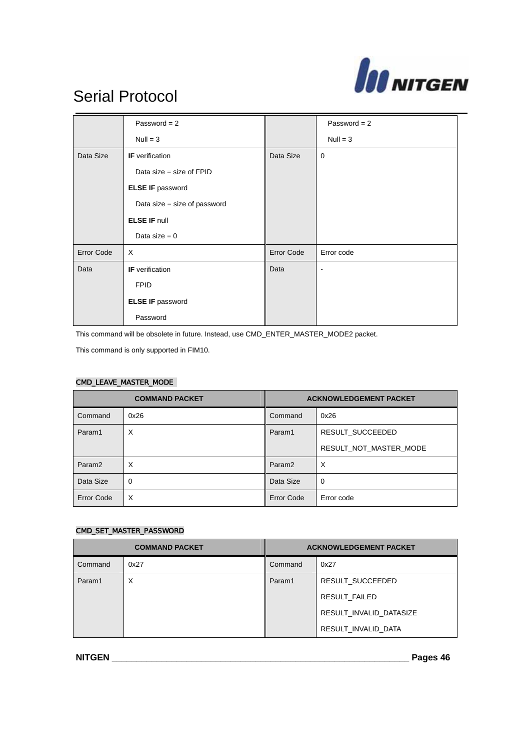

|                   | Password = $2$               |                   | Password = $2$ |
|-------------------|------------------------------|-------------------|----------------|
|                   | $Null = 3$                   |                   | $Null = 3$     |
| Data Size         | <b>IF</b> verification       | Data Size         | $\mathbf 0$    |
|                   | Data size = size of $FPID$   |                   |                |
|                   | <b>ELSE IF password</b>      |                   |                |
|                   | Data size = size of password |                   |                |
|                   | <b>ELSE IF null</b>          |                   |                |
|                   | Data size $= 0$              |                   |                |
| <b>Error Code</b> | $\times$                     | <b>Error Code</b> | Error code     |
| Data              | <b>IF</b> verification       | Data              | $\blacksquare$ |
|                   | <b>FPID</b>                  |                   |                |
|                   | <b>ELSE IF password</b>      |                   |                |
|                   | Password                     |                   |                |

This command will be obsolete in future. Instead, use CMD\_ENTER\_MASTER\_MODE2 packet.

This command is only supported in FIM10.

#### CMD\_LEAVE\_MASTER\_MODE

| <b>COMMAND PACKET</b> |             | <b>ACKNOWLEDGEMENT PACKET</b> |                        |
|-----------------------|-------------|-------------------------------|------------------------|
| Command               | 0x26        | Command                       | 0x26                   |
| Param1                | X           | Param1                        | RESULT_SUCCEEDED       |
|                       |             |                               | RESULT NOT MASTER MODE |
| Param <sub>2</sub>    | X           | Param <sub>2</sub>            | X                      |
| Data Size             | $\mathbf 0$ | Data Size                     | $\mathbf 0$            |
| Error Code            | X           | Error Code                    | Error code             |

#### CMD\_SET\_MASTER\_PASSWORD

| <b>COMMAND PACKET</b> |      | <b>ACKNOWLEDGEMENT PACKET</b> |                         |
|-----------------------|------|-------------------------------|-------------------------|
| Command               | 0x27 | Command                       | 0x27                    |
| Param1                | X    | Param1                        | RESULT SUCCEEDED        |
|                       |      |                               | RESULT FAILED           |
|                       |      |                               | RESULT INVALID DATASIZE |
|                       |      |                               | RESULT INVALID DATA     |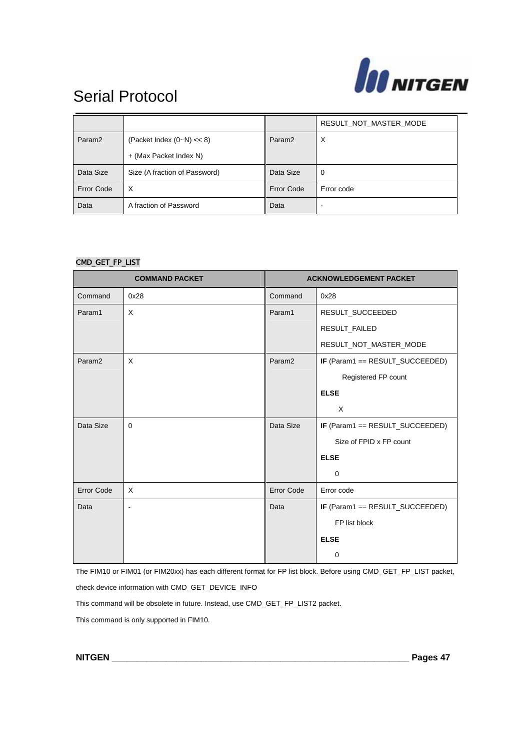

|                    |                               |                    | RESULT_NOT_MASTER_MODE |
|--------------------|-------------------------------|--------------------|------------------------|
| Param <sub>2</sub> | (Packet Index $(0-N) \ll 8$ ) | Param <sub>2</sub> | X                      |
|                    | + (Max Packet Index N)        |                    |                        |
| Data Size          | Size (A fraction of Password) | Data Size          | 0                      |
| Error Code         | X                             | Error Code         | Error code             |
| Data               | A fraction of Password        | Data               |                        |

#### CMD\_GET\_FP\_LIST

| <b>COMMAND PACKET</b> |          | <b>ACKNOWLEDGEMENT PACKET</b> |                                 |
|-----------------------|----------|-------------------------------|---------------------------------|
| Command               | 0x28     | Command                       | 0x28                            |
| Param1                | X        | Param1                        | RESULT_SUCCEEDED                |
|                       |          |                               | RESULT_FAILED                   |
|                       |          |                               | RESULT_NOT_MASTER_MODE          |
| Param <sub>2</sub>    | X        | Param <sub>2</sub>            | IF (Param1 == RESULT_SUCCEEDED) |
|                       |          |                               | Registered FP count             |
|                       |          |                               | <b>ELSE</b>                     |
|                       |          |                               | X                               |
| Data Size             | $\Omega$ | Data Size                     | IF (Param1 == RESULT_SUCCEEDED) |
|                       |          |                               | Size of FPID x FP count         |
|                       |          |                               | <b>ELSE</b>                     |
|                       |          |                               | $\mathbf 0$                     |
| <b>Error Code</b>     | $\times$ | <b>Error Code</b>             | Error code                      |
| Data                  | L,       | Data                          | IF (Param1 == RESULT_SUCCEEDED) |
|                       |          |                               | FP list block                   |
|                       |          |                               | <b>ELSE</b>                     |
|                       |          |                               | 0                               |

The FIM10 or FIM01 (or FIM20xx) has each different format for FP list block. Before using CMD\_GET\_FP\_LIST packet, check device information with CMD\_GET\_DEVICE\_INFO

This command will be obsolete in future. Instead, use CMD\_GET\_FP\_LIST2 packet.

This command is only supported in FIM10.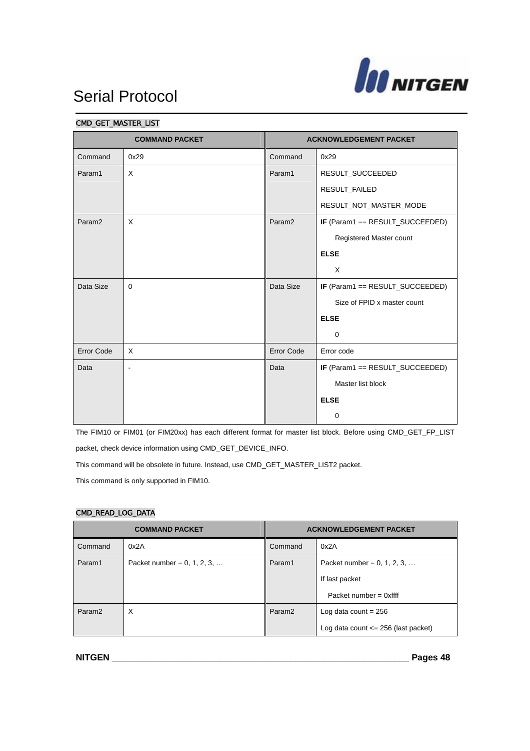

| <b>COMMAND PACKET</b> |                | <b>ACKNOWLEDGEMENT PACKET</b> |                                 |
|-----------------------|----------------|-------------------------------|---------------------------------|
| Command               | 0x29           | Command                       | 0x29                            |
| Param1                | X              | Param1                        | RESULT_SUCCEEDED                |
|                       |                |                               | RESULT_FAILED                   |
|                       |                |                               | RESULT_NOT_MASTER_MODE          |
| Param <sub>2</sub>    | X              | Param <sub>2</sub>            | IF (Param1 == RESULT_SUCCEEDED) |
|                       |                |                               | Registered Master count         |
|                       |                |                               | <b>ELSE</b>                     |
|                       |                |                               | X                               |
| Data Size             | $\Omega$       | Data Size                     | IF (Param1 == RESULT_SUCCEEDED) |
|                       |                |                               | Size of FPID x master count     |
|                       |                |                               | <b>ELSE</b>                     |
|                       |                |                               | $\Omega$                        |
| <b>Error Code</b>     | X              | <b>Error Code</b>             | Error code                      |
| Data                  | $\blacksquare$ | Data                          | IF (Param1 == RESULT_SUCCEEDED) |
|                       |                |                               | Master list block               |
|                       |                |                               | <b>ELSE</b>                     |
|                       |                |                               | 0                               |

#### CMD\_GET\_MASTER\_LIST

The FIM10 or FIM01 (or FIM20xx) has each different format for master list block. Before using CMD\_GET\_FP\_LIST packet, check device information using CMD\_GET\_DEVICE\_INFO.

This command will be obsolete in future. Instead, use CMD\_GET\_MASTER\_LIST2 packet.

This command is only supported in FIM10.

### CMD\_READ\_LOG\_DATA

| <b>COMMAND PACKET</b> |                                | <b>ACKNOWLEDGEMENT PACKET</b> |                                         |
|-----------------------|--------------------------------|-------------------------------|-----------------------------------------|
| Command               | 0x2A                           | Command                       | 0x2A                                    |
| Param1                | Packet number = $0, 1, 2, 3, $ | Param1                        | Packet number = $0, 1, 2, 3, $          |
|                       |                                |                               | If last packet                          |
|                       |                                |                               | Packet number = $0x$ ffff               |
| Param <sub>2</sub>    | X                              | Param <sub>2</sub>            | Log data count $= 256$                  |
|                       |                                |                               | Log data count $\leq$ 256 (last packet) |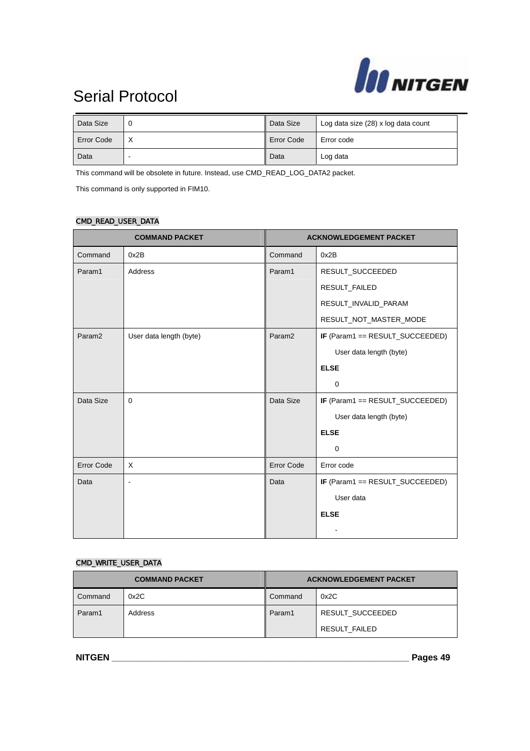

| Data Size         |   | Data Size         | Log data size (28) x log data count |
|-------------------|---|-------------------|-------------------------------------|
| <b>Error Code</b> | ⋏ | <b>Error Code</b> | Error code                          |
| Data              |   | Data              | Log data                            |

This command will be obsolete in future. Instead, use CMD\_READ\_LOG\_DATA2 packet.

This command is only supported in FIM10.

### CMD\_READ\_USER\_DATA

| <b>COMMAND PACKET</b> |                         | <b>ACKNOWLEDGEMENT PACKET</b> |                                 |
|-----------------------|-------------------------|-------------------------------|---------------------------------|
| Command               | 0x2B                    | Command                       | 0x2B                            |
| Param1                | Address                 | Param1                        | RESULT_SUCCEEDED                |
|                       |                         |                               | RESULT_FAILED                   |
|                       |                         |                               | RESULT_INVALID_PARAM            |
|                       |                         |                               | RESULT_NOT_MASTER_MODE          |
| Param <sub>2</sub>    | User data length (byte) | Param <sub>2</sub>            | IF (Param1 == RESULT_SUCCEEDED) |
|                       |                         |                               | User data length (byte)         |
|                       |                         |                               | <b>ELSE</b>                     |
|                       |                         |                               | $\mathbf 0$                     |
| Data Size             | $\mathbf 0$             | Data Size                     | IF (Param1 == RESULT_SUCCEEDED) |
|                       |                         |                               | User data length (byte)         |
|                       |                         |                               | <b>ELSE</b>                     |
|                       |                         |                               | 0                               |
| Error Code            | X                       | Error Code                    | Error code                      |
| Data                  | $\blacksquare$          | Data                          | IF (Param1 == RESULT_SUCCEEDED) |
|                       |                         |                               | User data                       |
|                       |                         |                               | <b>ELSE</b>                     |
|                       |                         |                               |                                 |

#### CMD\_WRITE\_USER\_DATA

| <b>COMMAND PACKET</b> |         | <b>ACKNOWLEDGEMENT PACKET</b> |                                   |
|-----------------------|---------|-------------------------------|-----------------------------------|
| Command               | 0x2C    | Command                       | 0x2C                              |
| Param1                | Address | Param1                        | RESULT SUCCEEDED<br>RESULT FAILED |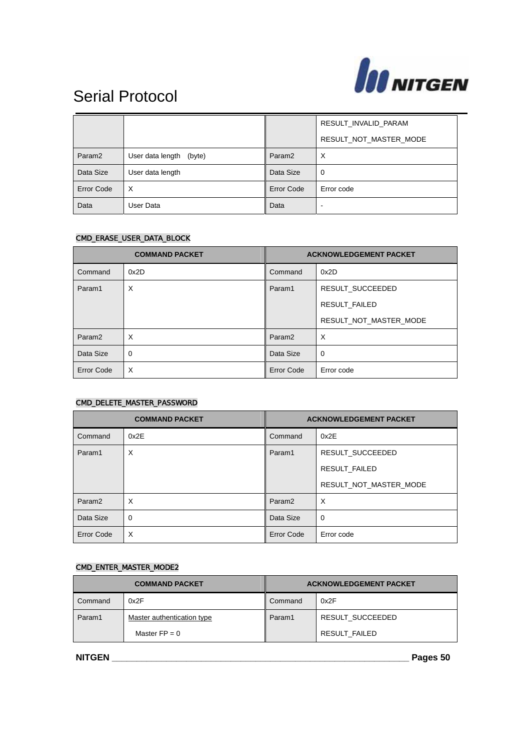

|                    |                            |                    | RESULT_INVALID_PARAM   |
|--------------------|----------------------------|--------------------|------------------------|
|                    |                            |                    | RESULT_NOT_MASTER_MODE |
| Param <sub>2</sub> | User data length<br>(byte) | Param <sub>2</sub> | X                      |
| Data Size          | User data length           | Data Size          | 0                      |
| <b>Error Code</b>  | X                          | Error Code         | Error code             |
| Data               | User Data                  | Data               | ۰                      |

#### CMD\_ERASE\_USER\_DATA\_BLOCK

| <b>COMMAND PACKET</b> |             | <b>ACKNOWLEDGEMENT PACKET</b> |                        |
|-----------------------|-------------|-------------------------------|------------------------|
| Command               | 0x2D        | Command                       | 0x2D                   |
| Param1                | X           | Param1                        | RESULT SUCCEEDED       |
|                       |             |                               | <b>RESULT FAILED</b>   |
|                       |             |                               | RESULT_NOT_MASTER_MODE |
| Param <sub>2</sub>    | $\times$    | Param <sub>2</sub>            | $\times$               |
| Data Size             | $\mathbf 0$ | Data Size                     | $\mathbf 0$            |
| Error Code            | X           | <b>Error Code</b>             | Error code             |

### CMD\_DELETE\_MASTER\_PASSWORD

| <b>COMMAND PACKET</b> |             | <b>ACKNOWLEDGEMENT PACKET</b> |                        |
|-----------------------|-------------|-------------------------------|------------------------|
| Command               | 0x2E        | Command                       | 0x2E                   |
| Param1                | X           | Param1                        | RESULT SUCCEEDED       |
|                       |             |                               | <b>RESULT FAILED</b>   |
|                       |             |                               | RESULT_NOT_MASTER_MODE |
| Param <sub>2</sub>    | $\times$    | Param <sub>2</sub>            | $\times$               |
| Data Size             | $\mathbf 0$ | Data Size                     | $\mathbf 0$            |
| <b>Error Code</b>     | X           | Error Code                    | Error code             |

### CMD\_ENTER\_MASTER\_MODE2

| <b>COMMAND PACKET</b> |                            | <b>ACKNOWLEDGEMENT PACKET</b> |                  |
|-----------------------|----------------------------|-------------------------------|------------------|
| Command               | 0x2F                       | Command                       | 0x2F             |
| Param1                | Master authentication type | Param1                        | RESULT SUCCEEDED |
|                       | Master $FP = 0$            |                               | RESULT FAILED    |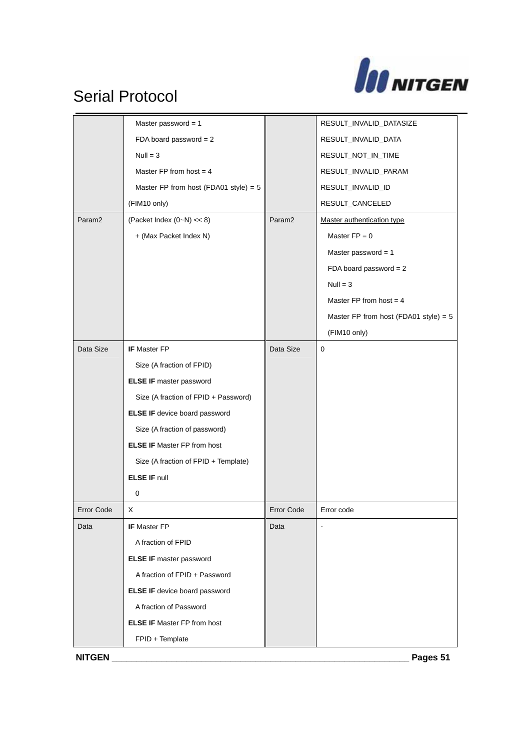

|                    | Master password = $1$                   |                    | RESULT_INVALID_DATASIZE                 |
|--------------------|-----------------------------------------|--------------------|-----------------------------------------|
|                    | FDA board password = $2$                |                    | RESULT_INVALID_DATA                     |
|                    | $Null = 3$                              |                    | RESULT_NOT_IN_TIME                      |
|                    | Master FP from host = $4$               |                    | RESULT_INVALID_PARAM                    |
|                    | Master FP from host (FDA01 style) = $5$ |                    | RESULT_INVALID_ID                       |
|                    | (FIM10 only)                            |                    | RESULT_CANCELED                         |
| Param <sub>2</sub> | (Packet Index $(0-N) \ll 8$ )           | Param <sub>2</sub> | Master authentication type              |
|                    | + (Max Packet Index N)                  |                    | Master $FP = 0$                         |
|                    |                                         |                    | Master password = $1$                   |
|                    |                                         |                    | FDA board password = $2$                |
|                    |                                         |                    | $Null = 3$                              |
|                    |                                         |                    | Master FP from host $=$ 4               |
|                    |                                         |                    | Master FP from host (FDA01 style) = $5$ |
|                    |                                         |                    | (FIM10 only)                            |
| Data Size          | IF Master FP                            | Data Size          | 0                                       |
|                    | Size (A fraction of FPID)               |                    |                                         |
|                    | <b>ELSE IF master password</b>          |                    |                                         |
|                    | Size (A fraction of FPID + Password)    |                    |                                         |
|                    | ELSE IF device board password           |                    |                                         |
|                    | Size (A fraction of password)           |                    |                                         |
|                    | <b>ELSE IF Master FP from host</b>      |                    |                                         |
|                    | Size (A fraction of FPID + Template)    |                    |                                         |
|                    | <b>ELSE IF null</b>                     |                    |                                         |
|                    | 0                                       |                    |                                         |
| <b>Error Code</b>  | х                                       | Error Code         | Error code                              |
| Data               | <b>IF</b> Master FP                     | Data               |                                         |
|                    | A fraction of FPID                      |                    |                                         |
|                    | <b>ELSE IF master password</b>          |                    |                                         |
|                    | A fraction of FPID + Password           |                    |                                         |
|                    | ELSE IF device board password           |                    |                                         |
|                    | A fraction of Password                  |                    |                                         |
|                    | <b>ELSE IF Master FP from host</b>      |                    |                                         |
|                    | FPID + Template                         |                    |                                         |
| <b>NITGEN</b>      |                                         |                    | Pages 51                                |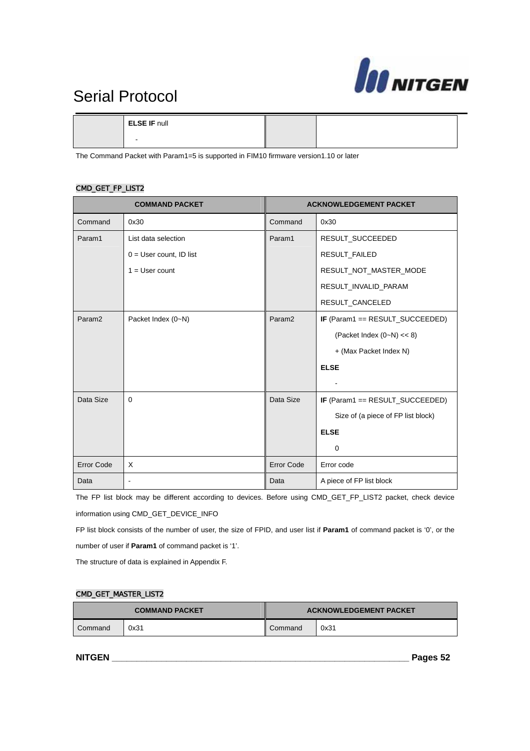

**ELSE IF** null

-

The Command Packet with Param1=5 is supported in FIM10 firmware version1.10 or later

#### CMD\_GET\_FP\_LIST2

| <b>COMMAND PACKET</b> |                           | <b>ACKNOWLEDGEMENT PACKET</b> |                                    |
|-----------------------|---------------------------|-------------------------------|------------------------------------|
| Command               | 0x30                      | Command                       | 0x30                               |
| Param1                | List data selection       | Param1                        | RESULT_SUCCEEDED                   |
|                       | $0 =$ User count, ID list |                               | RESULT_FAILED                      |
|                       | $1 =$ User count          |                               | RESULT_NOT_MASTER_MODE             |
|                       |                           |                               | RESULT_INVALID_PARAM               |
|                       |                           |                               | RESULT_CANCELED                    |
| Param <sub>2</sub>    | Packet Index (0~N)        | Param <sub>2</sub>            | IF (Param1 == RESULT_SUCCEEDED)    |
|                       |                           |                               | (Packet Index $(0-N) \ll 8$ )      |
|                       |                           |                               | + (Max Packet Index N)             |
|                       |                           |                               | <b>ELSE</b>                        |
|                       |                           |                               |                                    |
| Data Size             | $\Omega$                  | Data Size                     | IF (Param1 == RESULT_SUCCEEDED)    |
|                       |                           |                               | Size of (a piece of FP list block) |
|                       |                           |                               | <b>ELSE</b>                        |
|                       |                           |                               | $\mathbf 0$                        |
| <b>Error Code</b>     | $\times$                  | <b>Error Code</b>             | Error code                         |
| Data                  | ۰                         | Data                          | A piece of FP list block           |

The FP list block may be different according to devices. Before using CMD\_GET\_FP\_LIST2 packet, check device information using CMD\_GET\_DEVICE\_INFO

FP list block consists of the number of user, the size of FPID, and user list if **Param1** of command packet is '0', or the number of user if **Param1** of command packet is '1'.

The structure of data is explained in Appendix F.

#### CMD\_GET\_MASTER\_LIST2

| <b>COMMAND PACKET</b> |      | <b>ACKNOWLEDGEMENT PACKET</b> |      |
|-----------------------|------|-------------------------------|------|
| Command               | 0x31 | Command                       | 0x31 |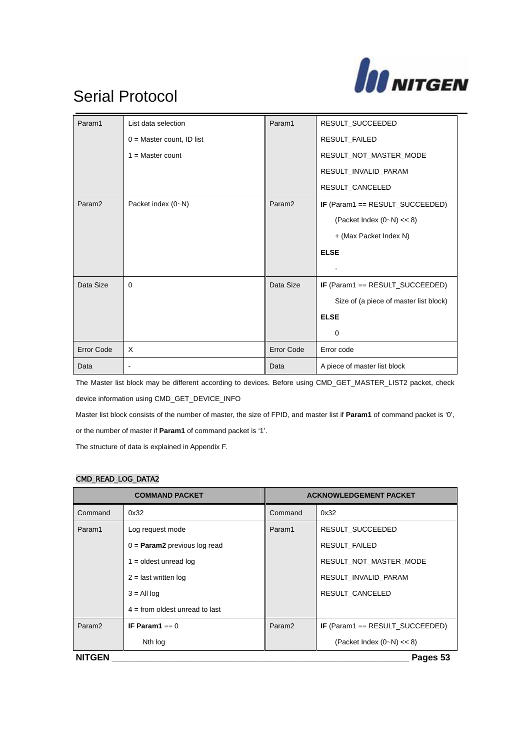

| Param1             | List data selection          | Param1             | RESULT_SUCCEEDED                       |
|--------------------|------------------------------|--------------------|----------------------------------------|
|                    | $0 = Master count$ , ID list |                    | RESULT_FAILED                          |
|                    | $1 = Master count$           |                    | RESULT_NOT_MASTER_MODE                 |
|                    |                              |                    | RESULT_INVALID_PARAM                   |
|                    |                              |                    | RESULT_CANCELED                        |
| Param <sub>2</sub> | Packet index (0~N)           | Param <sub>2</sub> | IF (Param1 == RESULT_SUCCEEDED)        |
|                    |                              |                    | (Packet Index $(0-N) \ll 8$ )          |
|                    |                              |                    | + (Max Packet Index N)                 |
|                    |                              |                    | <b>ELSE</b>                            |
|                    |                              |                    |                                        |
| Data Size          | $\Omega$                     | Data Size          | IF (Param1 == RESULT_SUCCEEDED)        |
|                    |                              |                    | Size of (a piece of master list block) |
|                    |                              |                    | <b>ELSE</b>                            |
|                    |                              |                    | 0                                      |
| <b>Error Code</b>  | $\times$                     | <b>Error Code</b>  | Error code                             |
| Data               |                              | Data               | A piece of master list block           |

The Master list block may be different according to devices. Before using CMD\_GET\_MASTER\_LIST2 packet, check device information using CMD\_GET\_DEVICE\_INFO

Master list block consists of the number of master, the size of FPID, and master list if **Param1** of command packet is '0',

or the number of master if **Param1** of command packet is '1'.

The structure of data is explained in Appendix F.

#### CMD\_READ\_LOG\_DATA2

| <b>COMMAND PACKET</b>     |                                       | <b>ACKNOWLEDGEMENT PACKET</b> |                                 |
|---------------------------|---------------------------------------|-------------------------------|---------------------------------|
| Command                   | 0x32                                  | Command                       | 0x32                            |
| Param1                    | Log request mode                      | Param1                        | RESULT SUCCEEDED                |
|                           | $0 =$ <b>Param2</b> previous log read |                               | <b>RESULT FAILED</b>            |
|                           | $1 =$ oldest unread log               |                               | RESULT NOT MASTER MODE          |
|                           | $2 =$ last written log                |                               | RESULT_INVALID_PARAM            |
|                           | $3 = All$ log                         |                               | RESULT CANCELED                 |
|                           | $4 =$ from oldest unread to last      |                               |                                 |
| Param <sub>2</sub>        | IF Param $1 == 0$                     | Param <sub>2</sub>            | IF (Param1 == RESULT_SUCCEEDED) |
|                           | Nth log                               |                               | (Packet Index $(0-N) < 8$ )     |
| <b>NITGEN</b><br>Pages 53 |                                       |                               |                                 |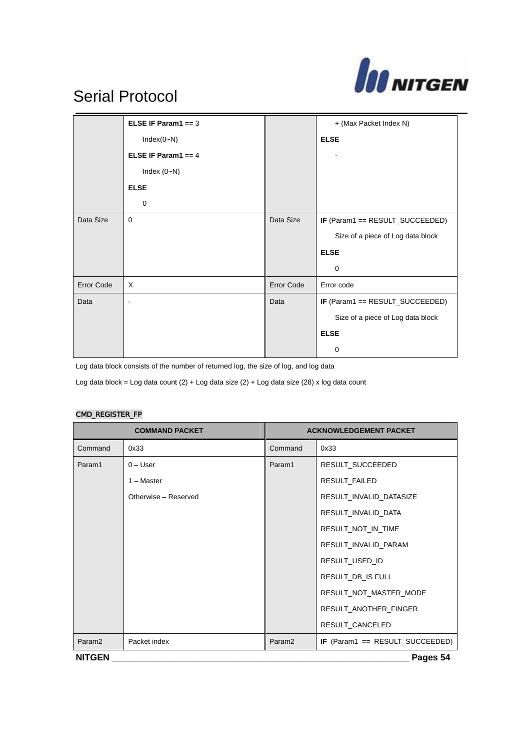

|            | ELSE IF Param1 == $3$ |            | + (Max Packet Index N)            |
|------------|-----------------------|------------|-----------------------------------|
|            | $Index(0-N)$          |            | <b>ELSE</b>                       |
|            | ELSE IF Param1 == $4$ |            |                                   |
|            | Index $(0-N)$         |            |                                   |
|            | <b>ELSE</b>           |            |                                   |
|            | 0                     |            |                                   |
| Data Size  | $\mathbf 0$           | Data Size  | IF (Param1 == RESULT_SUCCEEDED)   |
|            |                       |            | Size of a piece of Log data block |
|            |                       |            | <b>ELSE</b>                       |
|            |                       |            | $\Omega$                          |
| Error Code | X                     | Error Code | Error code                        |
| Data       |                       | Data       | IF (Param1 == RESULT_SUCCEEDED)   |
|            |                       |            | Size of a piece of Log data block |
|            |                       |            | <b>ELSE</b>                       |
|            |                       |            | 0                                 |

Log data block consists of the number of returned log, the size of log, and log data

Log data block = Log data count (2) + Log data size (2) + Log data size (28) x log data count

#### CMD\_REGISTER\_FP

| <b>COMMAND PACKET</b>     |                      | <b>ACKNOWLEDGEMENT PACKET</b> |                                        |
|---------------------------|----------------------|-------------------------------|----------------------------------------|
| Command                   | 0x33                 | Command                       | 0x33                                   |
| Param1                    | $0 -$ User           | Param1                        | RESULT_SUCCEEDED                       |
|                           | 1 - Master           |                               | RESULT_FAILED                          |
|                           | Otherwise - Reserved |                               | RESULT_INVALID_DATASIZE                |
|                           |                      |                               | RESULT_INVALID_DATA                    |
|                           |                      |                               | RESULT_NOT_IN_TIME                     |
|                           |                      |                               | RESULT_INVALID_PARAM                   |
|                           |                      |                               | RESULT_USED_ID                         |
|                           |                      |                               | RESULT_DB_IS FULL                      |
|                           |                      |                               | RESULT_NOT_MASTER_MODE                 |
|                           |                      |                               | RESULT_ANOTHER_FINGER                  |
|                           |                      |                               | RESULT CANCELED                        |
| Param <sub>2</sub>        | Packet index         | Param <sub>2</sub>            | <b>IF</b> (Param1 == RESULT_SUCCEEDED) |
| <b>NITGEN</b><br>Pages 54 |                      |                               |                                        |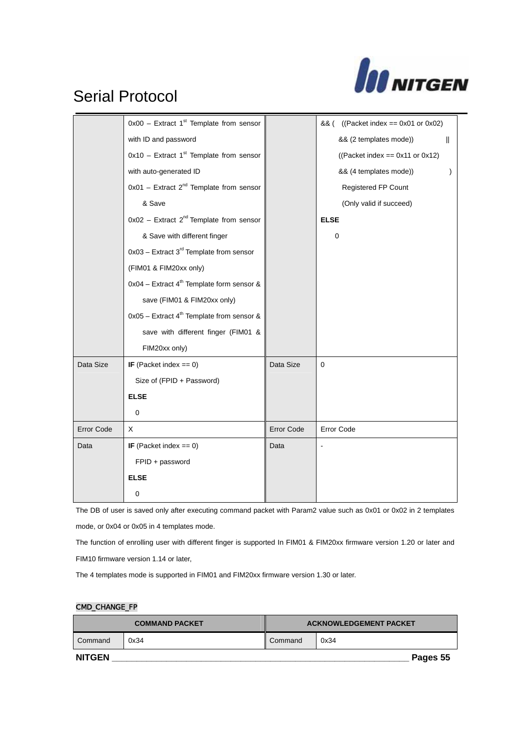

|                   | $0x00$ – Extract 1st Template from sensor               |                   | && ( ((Packet index == 0x01 or 0x02) |
|-------------------|---------------------------------------------------------|-------------------|--------------------------------------|
|                   | with ID and password                                    |                   | && (2 templates mode))<br>Ш          |
|                   | $0x10$ – Extract 1st Template from sensor               |                   | ((Packet index == $0x11$ or $0x12$ ) |
|                   | with auto-generated ID                                  |                   | && (4 templates mode))               |
|                   | $0x01$ – Extract $2^{nd}$ Template from sensor          |                   | Registered FP Count                  |
|                   | & Save                                                  |                   | (Only valid if succeed)              |
|                   | $0x02$ – Extract 2 <sup>nd</sup> Template from sensor   |                   | <b>ELSE</b>                          |
|                   | & Save with different finger                            |                   | 0                                    |
|                   | $0x03$ – Extract 3 <sup>rd</sup> Template from sensor   |                   |                                      |
|                   | (FIM01 & FIM20xx only)                                  |                   |                                      |
|                   | $0x04$ – Extract 4 <sup>th</sup> Template form sensor & |                   |                                      |
|                   | save (FIM01 & FIM20xx only)                             |                   |                                      |
|                   | $0x05$ – Extract 4 <sup>th</sup> Template from sensor & |                   |                                      |
|                   | save with different finger (FIM01 &                     |                   |                                      |
|                   | FIM20xx only)                                           |                   |                                      |
| Data Size         | IF (Packet index == $0$ )                               | Data Size         | $\pmb{0}$                            |
|                   | Size of (FPID + Password)                               |                   |                                      |
|                   | <b>ELSE</b>                                             |                   |                                      |
|                   | 0                                                       |                   |                                      |
| <b>Error Code</b> | X                                                       | <b>Error Code</b> | Error Code                           |
| Data              | IF (Packet index $== 0$ )                               | Data              |                                      |
|                   | FPID + password                                         |                   |                                      |
|                   | <b>ELSE</b>                                             |                   |                                      |
|                   | 0                                                       |                   |                                      |

The DB of user is saved only after executing command packet with Param2 value such as 0x01 or 0x02 in 2 templates mode, or 0x04 or 0x05 in 4 templates mode.

The function of enrolling user with different finger is supported In FIM01 & FIM20xx firmware version 1.20 or later and FIM10 firmware version 1.14 or later,

The 4 templates mode is supported in FIM01 and FIM20xx firmware version 1.30 or later.

#### CMD\_CHANGE\_FP

| <b>COMMAND PACKET</b> |      | <b>ACKNOWLEDGEMENT PACKET</b> |          |
|-----------------------|------|-------------------------------|----------|
| Command               | 0x34 | Command                       | 0x34     |
| <b>NITGEN</b>         |      |                               | Pages 55 |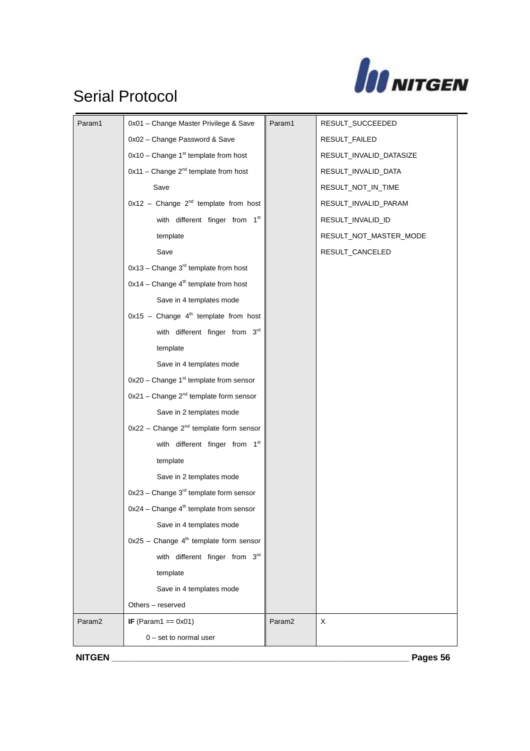

| Param1             | 0x01 - Change Master Privilege & Save                | Param1             | RESULT_SUCCEEDED        |
|--------------------|------------------------------------------------------|--------------------|-------------------------|
|                    | 0x02 - Change Password & Save                        |                    | RESULT_FAILED           |
|                    | $0x10$ – Change 1st template from host               |                    | RESULT_INVALID_DATASIZE |
|                    | $0x11$ - Change $2^{nd}$ template from host          |                    | RESULT_INVALID_DATA     |
|                    | Save                                                 |                    | RESULT_NOT_IN_TIME      |
|                    | $0x12$ - Change $2^{nd}$ template from host          |                    | RESULT_INVALID_PARAM    |
|                    | with different finger from 1st                       |                    | RESULT_INVALID_ID       |
|                    | template                                             |                    | RESULT_NOT_MASTER_MODE  |
|                    | Save                                                 |                    | RESULT_CANCELED         |
|                    | $0x13$ – Change $3^{rd}$ template from host          |                    |                         |
|                    | $0x14$ – Change $4th$ template from host             |                    |                         |
|                    | Save in 4 templates mode                             |                    |                         |
|                    | $0x15$ - Change $4th$ template from host             |                    |                         |
|                    | with different finger from 3rd                       |                    |                         |
|                    | template                                             |                    |                         |
|                    | Save in 4 templates mode                             |                    |                         |
|                    | $0x20$ – Change 1 <sup>st</sup> template from sensor |                    |                         |
|                    | 0x21 - Change 2 <sup>nd</sup> template form sensor   |                    |                         |
|                    | Save in 2 templates mode                             |                    |                         |
|                    | $0x22$ - Change $2nd$ template form sensor           |                    |                         |
|                    | with different finger from 1st                       |                    |                         |
|                    | template                                             |                    |                         |
|                    | Save in 2 templates mode                             |                    |                         |
|                    | 0x23 - Change 3 <sup>rd</sup> template form sensor   |                    |                         |
|                    | 0x24 - Change 4 <sup>th</sup> template from sensor   |                    |                         |
|                    | Save in 4 templates mode                             |                    |                         |
|                    | $0x25$ - Change $4th$ template form sensor           |                    |                         |
|                    | with different finger from 3rd                       |                    |                         |
|                    | template                                             |                    |                         |
|                    | Save in 4 templates mode                             |                    |                         |
|                    | Others - reserved                                    |                    |                         |
| Param <sub>2</sub> | <b>IF</b> (Param1 == $0x01$ )                        | Param <sub>2</sub> | X                       |
|                    | $0$ – set to normal user                             |                    |                         |
| <b>NITGEN</b>      |                                                      |                    | Pages 56                |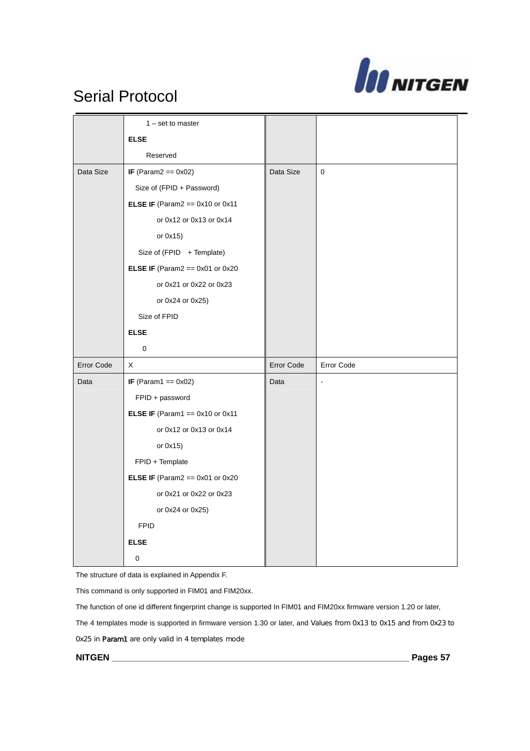

|            | $1 - set to master$                        |                   |                |
|------------|--------------------------------------------|-------------------|----------------|
|            | <b>ELSE</b>                                |                   |                |
|            | Reserved                                   |                   |                |
| Data Size  | <b>IF</b> (Param2 == $0x02$ )              | Data Size         | $\mathbf 0$    |
|            | Size of (FPID + Password)                  |                   |                |
|            | <b>ELSE IF</b> (Param2 == $0x10$ or $0x11$ |                   |                |
|            | or 0x12 or 0x13 or 0x14                    |                   |                |
|            | or 0x15)                                   |                   |                |
|            | Size of (FPID + Template)                  |                   |                |
|            | <b>ELSE IF</b> (Param2 == $0x01$ or $0x20$ |                   |                |
|            | or 0x21 or 0x22 or 0x23                    |                   |                |
|            | or 0x24 or 0x25)                           |                   |                |
|            | Size of FPID                               |                   |                |
|            | <b>ELSE</b>                                |                   |                |
|            |                                            |                   |                |
|            | $\mathbf 0$                                |                   |                |
| Error Code | X                                          | <b>Error Code</b> | Error Code     |
| Data       | <b>IF</b> (Param1 == $0x02$ )              | Data              | $\blacksquare$ |
|            | FPID + password                            |                   |                |
|            | <b>ELSE IF</b> (Param1 == $0x10$ or $0x11$ |                   |                |
|            | or 0x12 or 0x13 or 0x14                    |                   |                |
|            | or 0x15)                                   |                   |                |
|            | FPID + Template                            |                   |                |
|            | <b>ELSE IF</b> (Param2 == $0x01$ or $0x20$ |                   |                |
|            | or 0x21 or 0x22 or 0x23                    |                   |                |
|            | or 0x24 or 0x25)                           |                   |                |
|            | <b>FPID</b>                                |                   |                |
|            | <b>ELSE</b>                                |                   |                |

The structure of data is explained in Appendix F.

This command is only supported in FIM01 and FIM20xx.

The function of one id different fingerprint change is supported In FIM01 and FIM20xx firmware version 1.20 or later, The 4 templates mode is supported in firmware version 1.30 or later, and Values from 0x13 to 0x15 and from 0x23 to 0x25 in Param1 are only valid in 4 templates mode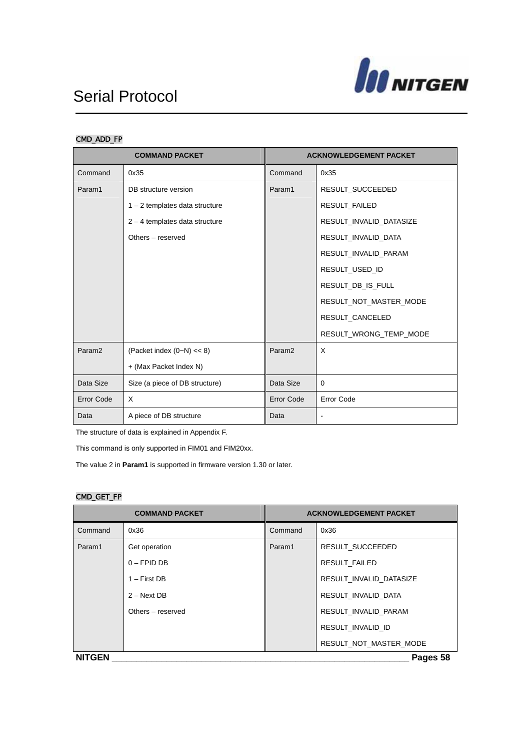

### CMD\_ADD\_FP

| <b>COMMAND PACKET</b> |                                  |                    | <b>ACKNOWLEDGEMENT PACKET</b> |
|-----------------------|----------------------------------|--------------------|-------------------------------|
| Command               | 0x35                             | Command            | 0x35                          |
| Param1                | DB structure version             | Param1             | RESULT_SUCCEEDED              |
|                       | $1 - 2$ templates data structure |                    | <b>RESULT FAILED</b>          |
|                       | $2 - 4$ templates data structure |                    | RESULT_INVALID_DATASIZE       |
|                       | Others - reserved                |                    | RESULT_INVALID_DATA           |
|                       |                                  |                    | RESULT_INVALID_PARAM          |
|                       |                                  |                    | RESULT_USED_ID                |
|                       |                                  |                    | RESULT_DB_IS_FULL             |
|                       |                                  |                    | RESULT_NOT_MASTER_MODE        |
|                       |                                  |                    | RESULT_CANCELED               |
|                       |                                  |                    | RESULT_WRONG_TEMP_MODE        |
| Param <sub>2</sub>    | (Packet index $(0-N) \ll 8$ )    | Param <sub>2</sub> | X                             |
|                       | + (Max Packet Index N)           |                    |                               |
| Data Size             | Size (a piece of DB structure)   | Data Size          | 0                             |
| <b>Error Code</b>     | $\times$                         | Error Code         | Error Code                    |
| Data                  | A piece of DB structure          | Data               | $\blacksquare$                |

The structure of data is explained in Appendix F.

This command is only supported in FIM01 and FIM20xx.

The value 2 in **Param1** is supported in firmware version 1.30 or later.

#### CMD\_GET\_FP

| <b>COMMAND PACKET</b> |                   | <b>ACKNOWLEDGEMENT PACKET</b> |                         |
|-----------------------|-------------------|-------------------------------|-------------------------|
| Command               | 0x36              | Command                       | 0x36                    |
| Param1                | Get operation     | Param1                        | RESULT SUCCEEDED        |
|                       | $0 - FPID DB$     |                               | <b>RESULT FAILED</b>    |
|                       | $1 -$ First DB    |                               | RESULT INVALID DATASIZE |
|                       | $2 - Next DB$     |                               | RESULT INVALID DATA     |
|                       | Others – reserved |                               | RESULT INVALID PARAM    |
|                       |                   |                               | RESULT INVALID ID       |
|                       |                   |                               | RESULT_NOT_MASTER_MODE  |
| <b>NITGEN</b>         |                   |                               | Pages 58                |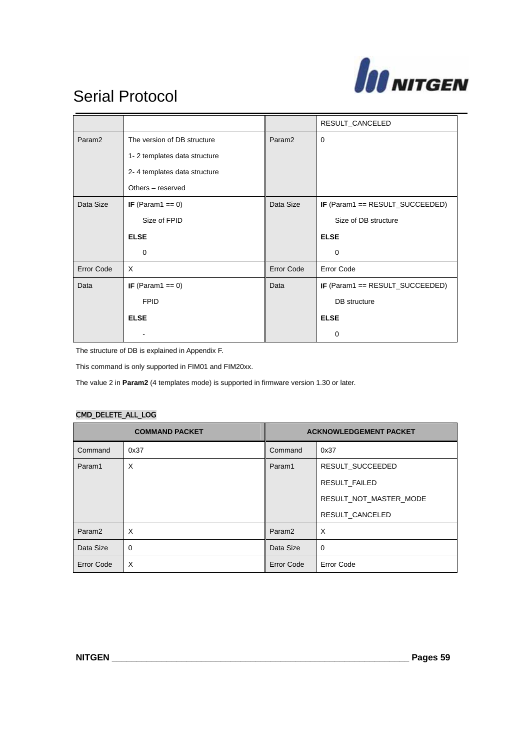

|                    |                              |                    | RESULT_CANCELED                 |
|--------------------|------------------------------|--------------------|---------------------------------|
| Param <sub>2</sub> | The version of DB structure  | Param <sub>2</sub> | $\mathbf 0$                     |
|                    | 1-2 templates data structure |                    |                                 |
|                    | 2-4 templates data structure |                    |                                 |
|                    | Others - reserved            |                    |                                 |
| Data Size          | IF (Param1 == $0$ )          | Data Size          | IF (Param1 == RESULT_SUCCEEDED) |
|                    | Size of FPID                 |                    | Size of DB structure            |
|                    | <b>ELSE</b>                  |                    | <b>ELSE</b>                     |
|                    | 0                            |                    | 0                               |
| <b>Error Code</b>  | X                            | Error Code         | <b>Error Code</b>               |
| Data               | IF (Param1 == $0$ )          | Data               | IF (Param1 == RESULT_SUCCEEDED) |
|                    | <b>FPID</b>                  |                    | DB structure                    |
|                    | <b>ELSE</b>                  |                    | <b>ELSE</b>                     |
|                    |                              |                    | 0                               |

The structure of DB is explained in Appendix F.

This command is only supported in FIM01 and FIM20xx.

The value 2 in **Param2** (4 templates mode) is supported in firmware version 1.30 or later.

#### CMD\_DELETE\_ALL\_LOG

| <b>COMMAND PACKET</b> |      | <b>ACKNOWLEDGEMENT PACKET</b> |                        |
|-----------------------|------|-------------------------------|------------------------|
| Command               | 0x37 | Command                       | 0x37                   |
| Param1                | X    | Param1                        | RESULT SUCCEEDED       |
|                       |      |                               | <b>RESULT FAILED</b>   |
|                       |      |                               | RESULT_NOT_MASTER_MODE |
|                       |      |                               | RESULT_CANCELED        |
| Param <sub>2</sub>    | X    | Param <sub>2</sub>            | $\times$               |
| Data Size             | 0    | Data Size                     | $\mathbf 0$            |
| <b>Error Code</b>     | X    | <b>Error Code</b>             | <b>Error Code</b>      |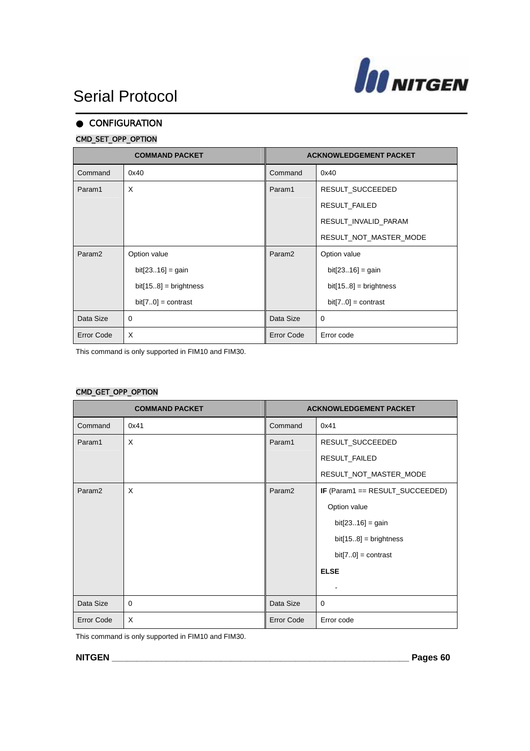

### **CONFIGURATION** CMD\_SET\_OPP\_OPTION

| <b>COMMAND PACKET</b> |                         | <b>ACKNOWLEDGEMENT PACKET</b> |                         |
|-----------------------|-------------------------|-------------------------------|-------------------------|
| Command               | 0x40                    | Command                       | 0x40                    |
| Param1                | X                       | Param1                        | RESULT_SUCCEEDED        |
|                       |                         |                               | RESULT_FAILED           |
|                       |                         |                               | RESULT_INVALID_PARAM    |
|                       |                         |                               | RESULT_NOT_MASTER_MODE  |
| Param <sub>2</sub>    | Option value            | Param <sub>2</sub>            | Option value            |
|                       | $bit[2316] = gain$      |                               | $bit[2316] = gain$      |
|                       | $bit[158] = brightness$ |                               | $bit[158] = brightness$ |
|                       | $bit[70] = contrast$    |                               | $bit[70] = contrast$    |
| Data Size             | $\Omega$                | Data Size                     | $\Omega$                |
| <b>Error Code</b>     | X                       | <b>Error Code</b>             | Error code              |

This command is only supported in FIM10 and FIM30.

#### CMD\_GET\_OPP\_OPTION

| <b>COMMAND PACKET</b> |          | <b>ACKNOWLEDGEMENT PACKET</b> |                                 |
|-----------------------|----------|-------------------------------|---------------------------------|
| Command               | 0x41     | Command                       | 0x41                            |
| Param1                | X        | Param1                        | RESULT_SUCCEEDED                |
|                       |          |                               | RESULT_FAILED                   |
|                       |          |                               | RESULT_NOT_MASTER_MODE          |
| Param <sub>2</sub>    | X        | Param <sub>2</sub>            | IF (Param1 == RESULT_SUCCEEDED) |
|                       |          |                               | Option value                    |
|                       |          |                               | $bit[2316] = gain$              |
|                       |          |                               | $bit[158] = brightness$         |
|                       |          |                               | $bit[70] = contrast$            |
|                       |          |                               | <b>ELSE</b>                     |
|                       |          |                               |                                 |
| Data Size             | $\Omega$ | Data Size                     | $\mathbf 0$                     |
| <b>Error Code</b>     | X        | <b>Error Code</b>             | Error code                      |

This command is only supported in FIM10 and FIM30.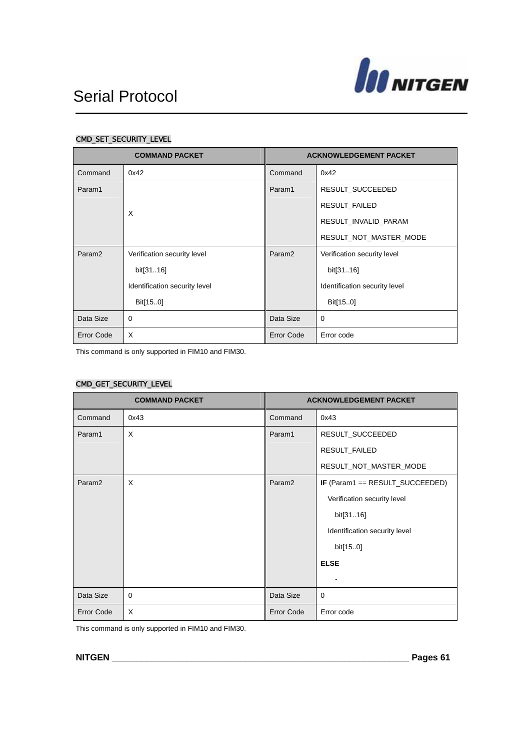

### CMD\_SET\_SECURITY\_LEVEL

| <b>COMMAND PACKET</b> |                               | <b>ACKNOWLEDGEMENT PACKET</b> |                               |
|-----------------------|-------------------------------|-------------------------------|-------------------------------|
| Command               | 0x42                          | Command                       | 0x42                          |
| Param1                |                               | Param1                        | RESULT_SUCCEEDED              |
|                       | X                             |                               | RESULT_FAILED                 |
|                       |                               |                               | RESULT_INVALID_PARAM          |
|                       |                               |                               | RESULT_NOT_MASTER_MODE        |
| Param <sub>2</sub>    | Verification security level   | Param <sub>2</sub>            | Verification security level   |
|                       | bit[3116]                     |                               | bit[3116]                     |
|                       | Identification security level |                               | Identification security level |
|                       | Bit[150]                      |                               | Bit[150]                      |
| Data Size             | $\Omega$                      | Data Size                     | $\Omega$                      |
| <b>Error Code</b>     | $\mathsf{x}$                  | Error Code                    | Error code                    |

This command is only supported in FIM10 and FIM30.

### CMD\_GET\_SECURITY\_LEVEL

| <b>COMMAND PACKET</b> |          | <b>ACKNOWLEDGEMENT PACKET</b> |                                 |
|-----------------------|----------|-------------------------------|---------------------------------|
| Command               | 0x43     | Command                       | 0x43                            |
| Param1                | X        | Param1                        | RESULT_SUCCEEDED                |
|                       |          |                               | RESULT_FAILED                   |
|                       |          |                               | RESULT_NOT_MASTER_MODE          |
| Param <sub>2</sub>    | $\times$ | Param <sub>2</sub>            | IF (Param1 == RESULT_SUCCEEDED) |
|                       |          |                               | Verification security level     |
|                       |          |                               | bit[3116]                       |
|                       |          |                               | Identification security level   |
|                       |          |                               | bit[150]                        |
|                       |          |                               | <b>ELSE</b>                     |
|                       |          |                               |                                 |
| Data Size             | 0        | Data Size                     | $\mathbf 0$                     |
| <b>Error Code</b>     | $\times$ | <b>Error Code</b>             | Error code                      |

This command is only supported in FIM10 and FIM30.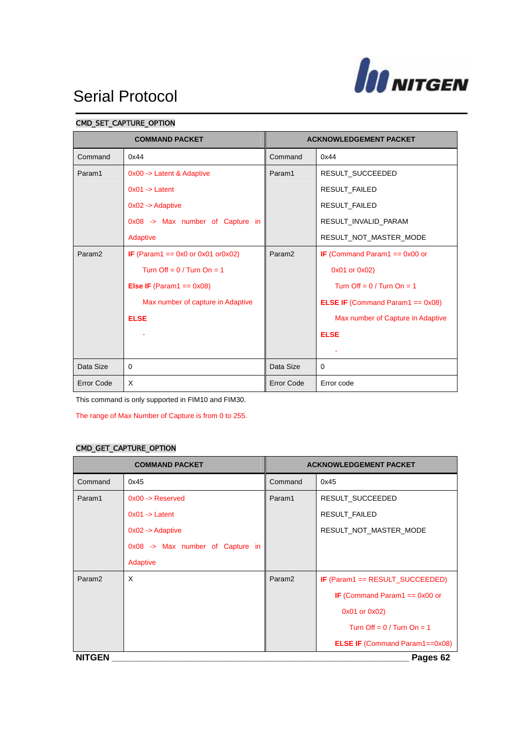

### CMD\_SET\_CAPTURE\_OPTION

| <b>COMMAND PACKET</b> |                                                  | <b>ACKNOWLEDGEMENT PACKET</b> |                                            |
|-----------------------|--------------------------------------------------|-------------------------------|--------------------------------------------|
| Command               | 0x44                                             | Command                       | 0x44                                       |
| Param1                | 0x00 -> Latent & Adaptive                        | Param1                        | RESULT_SUCCEEDED                           |
|                       | $0x01 - $ Latent                                 |                               | RESULT_FAILED                              |
|                       | $0x02 ->$ Adaptive                               |                               | <b>RESULT FAILED</b>                       |
|                       | 0x08 -> Max number of Capture in                 |                               | RESULT INVALID PARAM                       |
|                       | Adaptive                                         |                               | RESULT_NOT_MASTER_MODE                     |
| Param <sub>2</sub>    | <b>IF</b> (Param1 == $0x0$ or $0x01$ or $0x02$ ) | Param <sub>2</sub>            | <b>IF</b> (Command Param1 == $0x00$ or     |
|                       | Turn Off = $0/$ Turn On = 1                      |                               | 0x01 or 0x02)                              |
|                       | <b>Else IF</b> (Param1 == $0x08$ )               |                               | Turn Off = $0/$ Turn On = 1                |
|                       | Max number of capture in Adaptive                |                               | <b>ELSE IF</b> (Command Param1 == $0x08$ ) |
|                       | <b>ELSE</b>                                      |                               | Max number of Capture in Adaptive          |
|                       |                                                  |                               | <b>ELSE</b>                                |
|                       |                                                  |                               |                                            |
| Data Size             | $\Omega$                                         | Data Size                     | $\Omega$                                   |
| <b>Error Code</b>     | X                                                | <b>Error Code</b>             | Error code                                 |

This command is only supported in FIM10 and FIM30.

The range of Max Number of Capture is from 0 to 255.

#### CMD\_GET\_CAPTURE\_OPTION

| <b>COMMAND PACKET</b> |                                  | <b>ACKNOWLEDGEMENT PACKET</b> |                                        |  |  |
|-----------------------|----------------------------------|-------------------------------|----------------------------------------|--|--|
| Command               | 0x45                             | Command                       | 0x45                                   |  |  |
| Param1                | $0x00 \rightarrow$ Reserved      | Param1                        | RESULT_SUCCEEDED                       |  |  |
|                       | $0x01 - 5$ Latent                |                               | RESULT_FAILED                          |  |  |
|                       | $0x02 ->$ Adaptive               |                               | RESULT_NOT_MASTER_MODE                 |  |  |
|                       | 0x08 -> Max number of Capture in |                               |                                        |  |  |
|                       | Adaptive                         |                               |                                        |  |  |
| Param <sub>2</sub>    | X                                | Param <sub>2</sub>            | IF (Param1 == RESULT_SUCCEEDED)        |  |  |
|                       |                                  |                               | <b>IF</b> (Command Param1 == $0x00$ or |  |  |
|                       |                                  |                               | 0x01 or 0x02)                          |  |  |
|                       |                                  |                               | Turn Off = $0/$ Turn On = 1            |  |  |
|                       |                                  |                               | <b>ELSE IF (Command Param1==0x08)</b>  |  |  |
| <b>NITGEN</b>         | Pages 62                         |                               |                                        |  |  |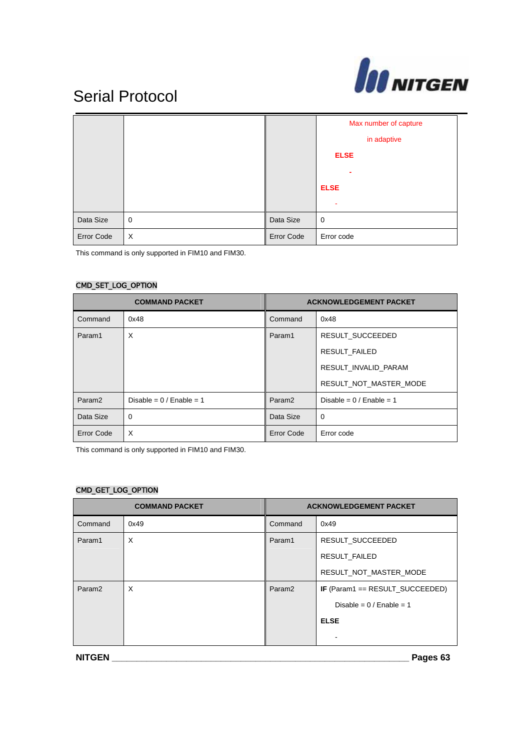

|            |                |            | Max number of capture<br>in adaptive<br><b>ELSE</b><br>۰<br><b>ELSE</b> |
|------------|----------------|------------|-------------------------------------------------------------------------|
| Data Size  | $\overline{0}$ | Data Size  | 0                                                                       |
| Error Code | $\times$       | Error Code | Error code                                                              |

This command is only supported in FIM10 and FIM30.

### CMD\_SET\_LOG\_OPTION

| <b>COMMAND PACKET</b> |                           | <b>ACKNOWLEDGEMENT PACKET</b> |                           |
|-----------------------|---------------------------|-------------------------------|---------------------------|
| Command               | 0x48                      | Command                       | 0x48                      |
| Param1                | X                         | Param1                        | RESULT SUCCEEDED          |
|                       |                           |                               | <b>RESULT FAILED</b>      |
|                       |                           |                               | RESULT INVALID PARAM      |
|                       |                           |                               | RESULT_NOT_MASTER_MODE    |
| Param <sub>2</sub>    | Disable = $0/$ Enable = 1 | Param <sub>2</sub>            | Disable = $0/$ Enable = 1 |
| Data Size             | 0                         | Data Size                     | 0                         |
| Error Code            | X                         | <b>Error Code</b>             | Error code                |

This command is only supported in FIM10 and FIM30.

#### CMD\_GET\_LOG\_OPTION

| <b>COMMAND PACKET</b> |      | <b>ACKNOWLEDGEMENT PACKET</b> |                                           |
|-----------------------|------|-------------------------------|-------------------------------------------|
| Command               | 0x49 | Command                       | 0x49                                      |
| Param1                | X    | Param1                        | RESULT SUCCEEDED                          |
|                       |      |                               | RESULT FAILED                             |
|                       |      |                               | RESULT_NOT_MASTER_MODE                    |
| Param <sub>2</sub>    | X    | Param <sub>2</sub>            | <b>IF</b> (Param1 == $RESULT$ _SUCCEEDED) |
|                       |      |                               | Disable = $0/$ Enable = 1                 |
|                       |      |                               | <b>ELSE</b>                               |
|                       |      |                               |                                           |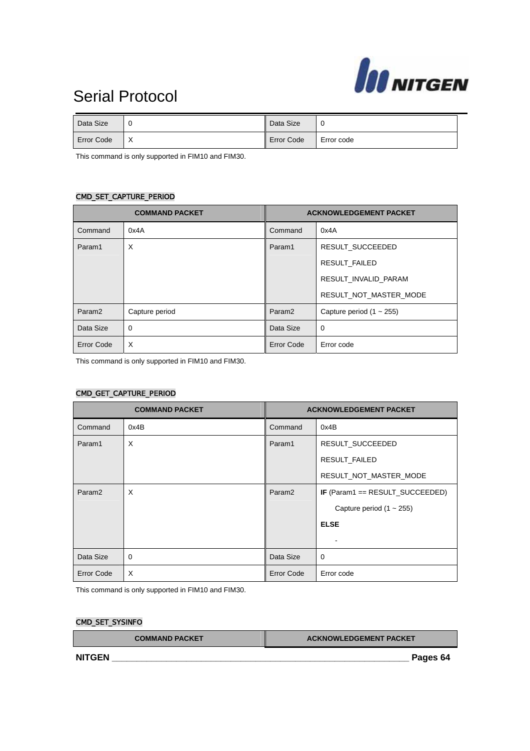

| Data Size  |                          | Data Size  | ◡          |
|------------|--------------------------|------------|------------|
| Error Code | $\check{ }$<br>$\lambda$ | Error Code | Error code |

This command is only supported in FIM10 and FIM30.

#### CMD\_SET\_CAPTURE\_PERIOD

| <b>COMMAND PACKET</b> |                | <b>ACKNOWLEDGEMENT PACKET</b> |                               |
|-----------------------|----------------|-------------------------------|-------------------------------|
| Command               | 0x4A           | Command                       | 0x4A                          |
| Param1                | X              | Param1                        | RESULT SUCCEEDED              |
|                       |                |                               | <b>RESULT FAILED</b>          |
|                       |                |                               | RESULT INVALID PARAM          |
|                       |                |                               | RESULT_NOT_MASTER_MODE        |
| Param <sub>2</sub>    | Capture period | Param <sub>2</sub>            | Capture period $(1 \sim 255)$ |
| Data Size             | $\Omega$       | Data Size                     | $\mathbf 0$                   |
| Error Code            | X              | <b>Error Code</b>             | Error code                    |

This command is only supported in FIM10 and FIM30.

#### CMD\_GET\_CAPTURE\_PERIOD

| <b>COMMAND PACKET</b> |          | <b>ACKNOWLEDGEMENT PACKET</b> |                                 |
|-----------------------|----------|-------------------------------|---------------------------------|
| Command               | 0x4B     | Command                       | 0x4B                            |
| Param1                | X        | Param1                        | RESULT_SUCCEEDED                |
|                       |          |                               | RESULT_FAILED                   |
|                       |          |                               | RESULT_NOT_MASTER_MODE          |
| Param <sub>2</sub>    | X        | Param <sub>2</sub>            | IF (Param1 == RESULT_SUCCEEDED) |
|                       |          |                               | Capture period $(1 - 255)$      |
|                       |          |                               | <b>ELSE</b>                     |
|                       |          |                               |                                 |
| Data Size             | $\Omega$ | Data Size                     | $\mathbf 0$                     |
| Error Code            | X        | <b>Error Code</b>             | Error code                      |

This command is only supported in FIM10 and FIM30.

#### CMD\_SET\_SYSINFO

| <b>COMMAND PACKET</b> | <b>ACKNOWLEDGEMENT PACKET</b> |  |
|-----------------------|-------------------------------|--|
| <b>NITGEN</b>         | Pages 64                      |  |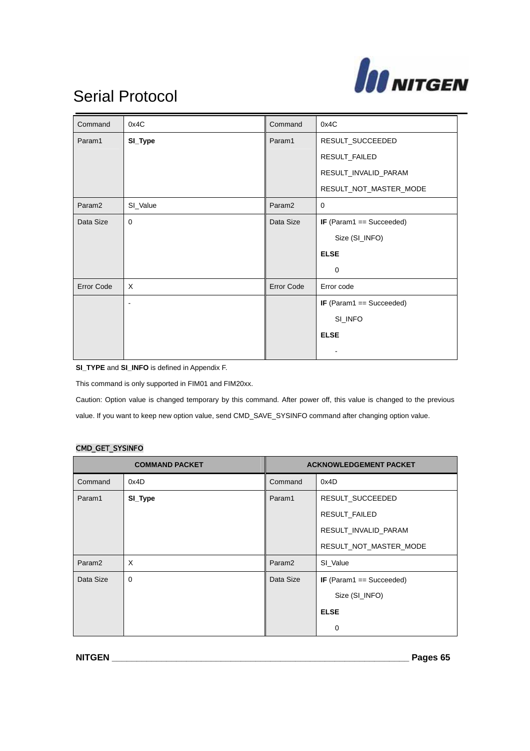

| Command            | 0x4C        | Command            | 0x4C                       |
|--------------------|-------------|--------------------|----------------------------|
| Param1             | SI_Type     | Param1             | RESULT_SUCCEEDED           |
|                    |             |                    | RESULT_FAILED              |
|                    |             |                    | RESULT_INVALID_PARAM       |
|                    |             |                    | RESULT_NOT_MASTER_MODE     |
| Param <sub>2</sub> | SI_Value    | Param <sub>2</sub> | 0                          |
| Data Size          | $\mathbf 0$ | Data Size          | IF (Param1 == Succeeded)   |
|                    |             |                    | Size (SI_INFO)             |
|                    |             |                    | <b>ELSE</b>                |
|                    |             |                    | 0                          |
| <b>Error Code</b>  | $\times$    | Error Code         | Error code                 |
|                    |             |                    | IF $(Param1 == Succeeded)$ |
|                    |             |                    | SI_INFO                    |
|                    |             |                    | <b>ELSE</b>                |
|                    |             |                    |                            |

**SI\_TYPE** and **SI\_INFO** is defined in Appendix F.

This command is only supported in FIM01 and FIM20xx.

Caution: Option value is changed temporary by this command. After power off, this value is changed to the previous value. If you want to keep new option value, send CMD\_SAVE\_SYSINFO command after changing option value.

#### CMD\_GET\_SYSINFO

| <b>COMMAND PACKET</b> |             | <b>ACKNOWLEDGEMENT PACKET</b> |                            |
|-----------------------|-------------|-------------------------------|----------------------------|
| Command               | 0x4D        | Command                       | 0x4D                       |
| Param1                | SI_Type     | Param1                        | RESULT_SUCCEEDED           |
|                       |             |                               | RESULT_FAILED              |
|                       |             |                               | RESULT_INVALID_PARAM       |
|                       |             |                               | RESULT_NOT_MASTER_MODE     |
| Param <sub>2</sub>    | X           | Param <sub>2</sub>            | SI Value                   |
| Data Size             | $\mathbf 0$ | Data Size                     | IF (Param1 $==$ Succeeded) |
|                       |             |                               | Size (SI_INFO)             |
|                       |             |                               | <b>ELSE</b>                |
|                       |             |                               | 0                          |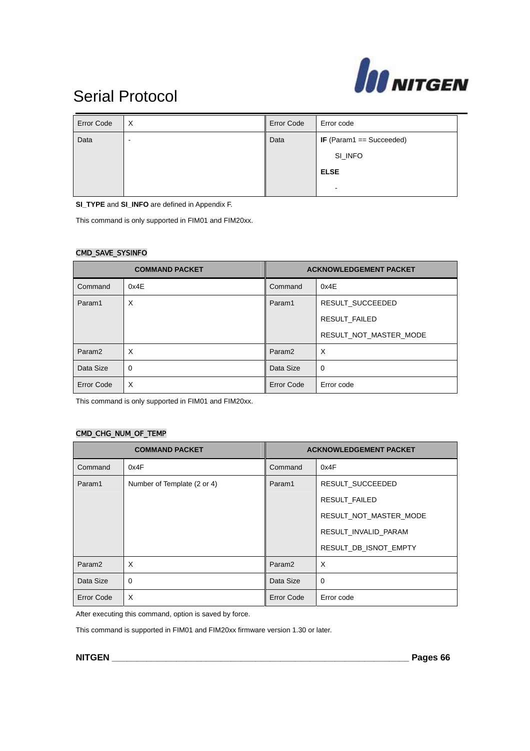

| <b>Error Code</b> | $\times$ | <b>Error Code</b> | Error code                      |
|-------------------|----------|-------------------|---------------------------------|
| Data              | -        | Data              | <b>IF</b> (Param1 == Succeeded) |
|                   |          |                   | SI_INFO                         |
|                   |          |                   | <b>ELSE</b>                     |
|                   |          |                   | $\,$                            |

**SI\_TYPE** and **SI\_INFO** are defined in Appendix F.

This command is only supported in FIM01 and FIM20xx.

#### CMD\_SAVE\_SYSINFO

| <b>COMMAND PACKET</b> |      | <b>ACKNOWLEDGEMENT PACKET</b> |                        |
|-----------------------|------|-------------------------------|------------------------|
| Command               | 0x4E | Command                       | 0x4E                   |
| Param1                | X    | Param1                        | RESULT SUCCEEDED       |
|                       |      |                               | <b>RESULT FAILED</b>   |
|                       |      |                               | RESULT NOT MASTER MODE |
| Param <sub>2</sub>    | X    | Param <sub>2</sub>            | X                      |
| Data Size             | 0    | Data Size                     | 0                      |
| <b>Error Code</b>     | X    | <b>Error Code</b>             | Error code             |

This command is only supported in FIM01 and FIM20xx.

#### CMD\_CHG\_NUM\_OF\_TEMP

|                    | <b>COMMAND PACKET</b>       |                    | <b>ACKNOWLEDGEMENT PACKET</b> |
|--------------------|-----------------------------|--------------------|-------------------------------|
| Command            | 0x4F                        | Command            | 0x4F                          |
| Param1             | Number of Template (2 or 4) | Param1             | RESULT SUCCEEDED              |
|                    |                             |                    | <b>RESULT FAILED</b>          |
|                    |                             |                    | RESULT_NOT_MASTER_MODE        |
|                    |                             |                    | RESULT INVALID PARAM          |
|                    |                             |                    | RESULT DB ISNOT EMPTY         |
| Param <sub>2</sub> | X                           | Param <sub>2</sub> | $\times$                      |
| Data Size          | 0                           | Data Size          | 0                             |
| <b>Error Code</b>  | X                           | <b>Error Code</b>  | Error code                    |

After executing this command, option is saved by force.

This command is supported in FIM01 and FIM20xx firmware version 1.30 or later.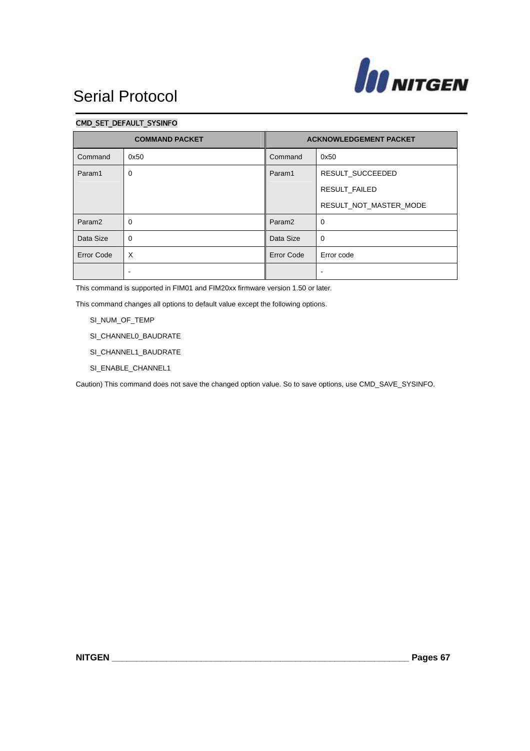

#### CMD\_SET\_DEFAULT\_SYSINFO

| <b>COMMAND PACKET</b> |                          | <b>ACKNOWLEDGEMENT PACKET</b> |                        |
|-----------------------|--------------------------|-------------------------------|------------------------|
| Command               | 0x50                     | Command                       | 0x50                   |
| Param1                | 0                        | Param1                        | RESULT_SUCCEEDED       |
|                       |                          |                               | RESULT_FAILED          |
|                       |                          |                               | RESULT_NOT_MASTER_MODE |
| Param <sub>2</sub>    | $\mathbf 0$              | Param <sub>2</sub>            | $\mathbf 0$            |
| Data Size             | 0                        | Data Size                     | $\mathbf 0$            |
| <b>Error Code</b>     | X                        | <b>Error Code</b>             | Error code             |
|                       | $\overline{\phantom{0}}$ |                               | $\blacksquare$         |

This command is supported in FIM01 and FIM20xx firmware version 1.50 or later.

This command changes all options to default value except the following options.

SI\_NUM\_OF\_TEMP

- SI\_CHANNEL0\_BAUDRATE
- SI\_CHANNEL1\_BAUDRATE
- SI\_ENABLE\_CHANNEL1

Caution) This command does not save the changed option value. So to save options, use CMD\_SAVE\_SYSINFO.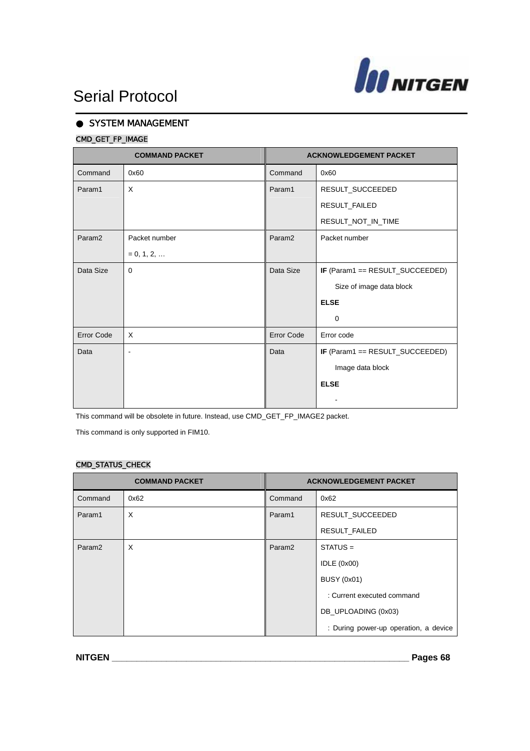

### SYSTEM MANAGEMENT

### CMD\_GET\_FP\_IMAGE

|                    | <b>COMMAND PACKET</b> |                    | <b>ACKNOWLEDGEMENT PACKET</b>   |
|--------------------|-----------------------|--------------------|---------------------------------|
| Command            | 0x60                  | Command            | 0x60                            |
| Param1             | $\times$              | Param1             | RESULT_SUCCEEDED                |
|                    |                       |                    | RESULT_FAILED                   |
|                    |                       |                    | RESULT_NOT_IN_TIME              |
| Param <sub>2</sub> | Packet number         | Param <sub>2</sub> | Packet number                   |
|                    | $= 0, 1, 2, $         |                    |                                 |
| Data Size          | $\Omega$              | Data Size          | IF (Param1 == RESULT_SUCCEEDED) |
|                    |                       |                    | Size of image data block        |
|                    |                       |                    | <b>ELSE</b>                     |
|                    |                       |                    | 0                               |
| <b>Error Code</b>  | $\times$              | <b>Error Code</b>  | Error code                      |
| Data               |                       | Data               | IF (Param1 == RESULT_SUCCEEDED) |
|                    |                       |                    | Image data block                |
|                    |                       |                    | <b>ELSE</b>                     |
|                    |                       |                    |                                 |

This command will be obsolete in future. Instead, use CMD\_GET\_FP\_IMAGE2 packet.

This command is only supported in FIM10.

### CMD\_STATUS\_CHECK

|                    | <b>COMMAND PACKET</b> |                    | <b>ACKNOWLEDGEMENT PACKET</b>         |
|--------------------|-----------------------|--------------------|---------------------------------------|
| Command            | 0x62                  | Command            | 0x62                                  |
| Param1             | X                     | Param1             | <b>RESULT SUCCEEDED</b>               |
|                    |                       |                    | RESULT FAILED                         |
| Param <sub>2</sub> | $\times$              | Param <sub>2</sub> | $STATUS =$                            |
|                    |                       |                    | IDLE $(0x00)$                         |
|                    |                       |                    | <b>BUSY (0x01)</b>                    |
|                    |                       |                    | : Current executed command            |
|                    |                       |                    | DB_UPLOADING (0x03)                   |
|                    |                       |                    | : During power-up operation, a device |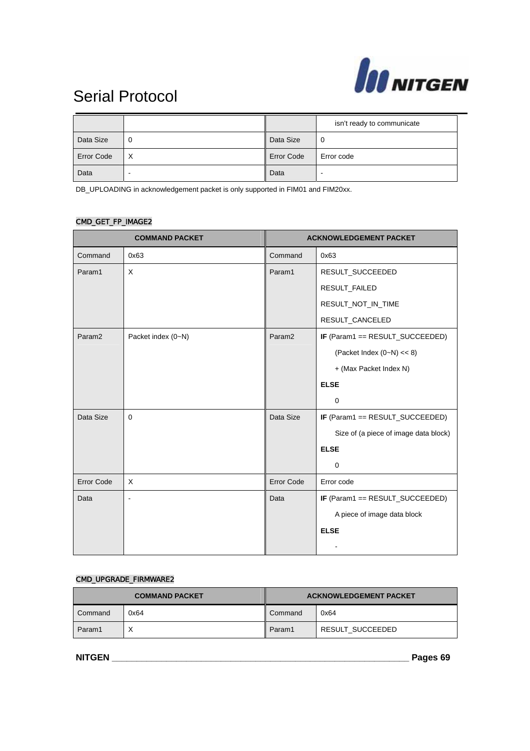

|                   |   |                   | isn't ready to communicate |
|-------------------|---|-------------------|----------------------------|
| Data Size         | 0 | Data Size         | 0                          |
| <b>Error Code</b> | X | <b>Error Code</b> | Error code                 |
| Data              | - | Data              |                            |

DB\_UPLOADING in acknowledgement packet is only supported in FIM01 and FIM20xx.

### CMD\_GET\_FP\_IMAGE2

|                    | <b>COMMAND PACKET</b> |                    | <b>ACKNOWLEDGEMENT PACKET</b>         |
|--------------------|-----------------------|--------------------|---------------------------------------|
| Command            | 0x63                  | Command            | 0x63                                  |
| Param1             | X                     | Param1             | RESULT_SUCCEEDED                      |
|                    |                       |                    | RESULT_FAILED                         |
|                    |                       |                    | RESULT_NOT_IN_TIME                    |
|                    |                       |                    | RESULT_CANCELED                       |
| Param <sub>2</sub> | Packet index (0~N)    | Param <sub>2</sub> | IF (Param1 == RESULT_SUCCEEDED)       |
|                    |                       |                    | (Packet Index $(0-N) \ll 8$ )         |
|                    |                       |                    | + (Max Packet Index N)                |
|                    |                       |                    | <b>ELSE</b>                           |
|                    |                       |                    | $\mathbf 0$                           |
| Data Size          | $\Omega$              | Data Size          | IF (Param1 == RESULT_SUCCEEDED)       |
|                    |                       |                    | Size of (a piece of image data block) |
|                    |                       |                    | <b>ELSE</b>                           |
|                    |                       |                    | $\mathbf 0$                           |
| <b>Error Code</b>  | X                     | <b>Error Code</b>  | Error code                            |
| Data               |                       | Data               | IF (Param1 == RESULT_SUCCEEDED)       |
|                    |                       |                    | A piece of image data block           |
|                    |                       |                    | <b>ELSE</b>                           |
|                    |                       |                    |                                       |

#### CMD\_UPGRADE\_FIRMWARE2

| <b>COMMAND PACKET</b> |      | <b>ACKNOWLEDGEMENT PACKET</b> |                  |
|-----------------------|------|-------------------------------|------------------|
| Command               | 0x64 | Command                       | 0x64             |
| Param1                |      | Param1                        | RESULT SUCCEEDED |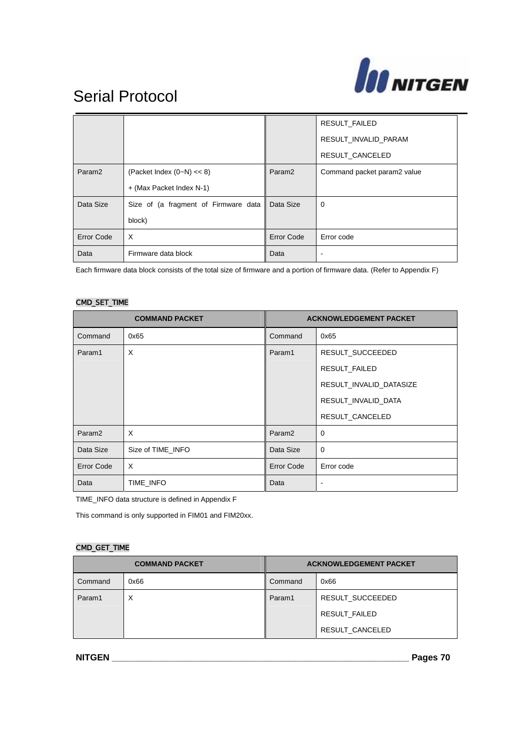

|                    |                                      |                    | <b>RESULT FAILED</b>        |
|--------------------|--------------------------------------|--------------------|-----------------------------|
|                    |                                      |                    | RESULT INVALID PARAM        |
|                    |                                      |                    | RESULT CANCELED             |
| Param <sub>2</sub> | (Packet Index $(0-N) \ll 8$ )        | Param <sub>2</sub> | Command packet param2 value |
|                    | + (Max Packet Index N-1)             |                    |                             |
| Data Size          | Size of (a fragment of Firmware data | Data Size          | 0                           |
|                    | block)                               |                    |                             |
| <b>Error Code</b>  | X                                    | Error Code         | Error code                  |
| Data               | Firmware data block                  | Data               |                             |

Each firmware data block consists of the total size of firmware and a portion of firmware data. (Refer to Appendix F)

#### CMD\_SET\_TIME

| <b>COMMAND PACKET</b> |                   | <b>ACKNOWLEDGEMENT PACKET</b> |                          |
|-----------------------|-------------------|-------------------------------|--------------------------|
| Command               | 0x65              | Command                       | 0x65                     |
| Param1                | X                 | Param1                        | RESULT_SUCCEEDED         |
|                       |                   |                               | <b>RESULT FAILED</b>     |
|                       |                   |                               | RESULT_INVALID_DATASIZE  |
|                       |                   |                               | RESULT_INVALID_DATA      |
|                       |                   |                               | RESULT_CANCELED          |
| Param <sub>2</sub>    | X                 | Param <sub>2</sub>            | $\mathbf 0$              |
| Data Size             | Size of TIME INFO | Data Size                     | $\Omega$                 |
| Error Code            | $\times$          | <b>Error Code</b>             | Error code               |
| Data                  | TIME INFO         | Data                          | $\overline{\phantom{a}}$ |

TIME\_INFO data structure is defined in Appendix F

This command is only supported in FIM01 and FIM20xx.

#### CMD\_GET\_TIME

| <b>COMMAND PACKET</b> |      | <b>ACKNOWLEDGEMENT PACKET</b> |                  |
|-----------------------|------|-------------------------------|------------------|
| Command               | 0x66 | Command                       | 0x66             |
| Param1                | X    | Param1                        | RESULT SUCCEEDED |
|                       |      |                               | RESULT FAILED    |
|                       |      |                               | RESULT CANCELED  |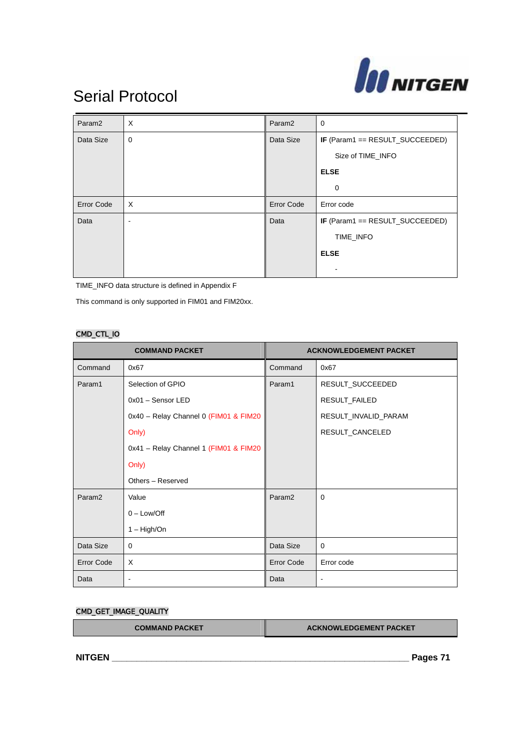

| Param <sub>2</sub> | $\times$    | Param <sub>2</sub> | 0                                      |
|--------------------|-------------|--------------------|----------------------------------------|
| Data Size          | $\mathbf 0$ | Data Size          | IF (Param1 == RESULT_SUCCEEDED)        |
|                    |             |                    | Size of TIME_INFO                      |
|                    |             |                    | <b>ELSE</b>                            |
|                    |             |                    | 0                                      |
| <b>Error Code</b>  | $\times$    | <b>Error Code</b>  | Error code                             |
| Data               | ٠           | Data               | <b>IF</b> (Param1 == RESULT_SUCCEEDED) |
|                    |             |                    | TIME_INFO                              |
|                    |             |                    | <b>ELSE</b>                            |
|                    |             |                    |                                        |

TIME\_INFO data structure is defined in Appendix F

This command is only supported in FIM01 and FIM20xx.

#### CMD\_CTL\_IO

| <b>COMMAND PACKET</b> |                                       | <b>ACKNOWLEDGEMENT PACKET</b> |                      |
|-----------------------|---------------------------------------|-------------------------------|----------------------|
| Command               | 0x67                                  | Command                       | 0x67                 |
| Param1                | Selection of GPIO                     | Param1                        | RESULT_SUCCEEDED     |
|                       | $0x01 -$ Sensor LED                   |                               | RESULT_FAILED        |
|                       | 0x40 - Relay Channel 0 (FIM01 & FIM20 |                               | RESULT_INVALID_PARAM |
|                       | Only)                                 |                               | RESULT_CANCELED      |
|                       | 0x41 - Relay Channel 1 (FIM01 & FIM20 |                               |                      |
|                       | Only)                                 |                               |                      |
|                       | Others - Reserved                     |                               |                      |
| Param <sub>2</sub>    | Value                                 | Param <sub>2</sub>            | $\Omega$             |
|                       | $0 - Low/Off$                         |                               |                      |
|                       | $1 - High/On$                         |                               |                      |
| Data Size             | 0                                     | Data Size                     | $\Omega$             |
| <b>Error Code</b>     | X                                     | Error Code                    | Error code           |
| Data                  | $\overline{\phantom{a}}$              | Data                          | $\blacksquare$       |

### CMD\_GET\_IMAGE\_QUALITY

| <b>COMMAND PACKET</b> | <b>ACKNOWLEDGEMENT PACKET</b> |
|-----------------------|-------------------------------|
|                       |                               |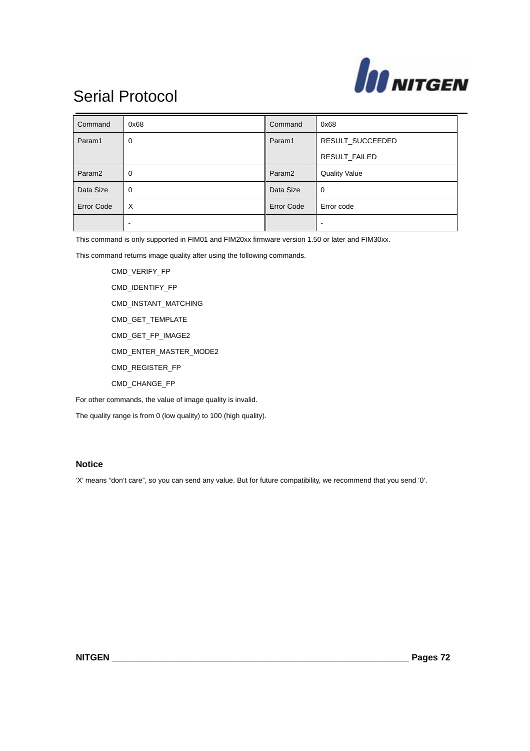

| Command            | 0x68        | Command            | 0x68                 |
|--------------------|-------------|--------------------|----------------------|
| Param1             | 0           | Param1             | RESULT_SUCCEEDED     |
|                    |             |                    | RESULT_FAILED        |
| Param <sub>2</sub> | 0           | Param <sub>2</sub> | <b>Quality Value</b> |
| Data Size          | $\mathbf 0$ | Data Size          | 0                    |
| Error Code         | $\times$    | <b>Error Code</b>  | Error code           |
|                    | -           |                    |                      |

This command is only supported in FIM01 and FIM20xx firmware version 1.50 or later and FIM30xx.

This command returns image quality after using the following commands.

 CMD\_VERIFY\_FP CMD\_IDENTIFY\_FP CMD\_INSTANT\_MATCHING CMD\_GET\_TEMPLATE CMD\_GET\_FP\_IMAGE2 CMD\_ENTER\_MASTER\_MODE2 CMD\_REGISTER\_FP CMD\_CHANGE\_FP

For other commands, the value of image quality is invalid.

The quality range is from 0 (low quality) to 100 (high quality).

### **Notice**

'X' means "don't care", so you can send any value. But for future compatibility, we recommend that you send '0'.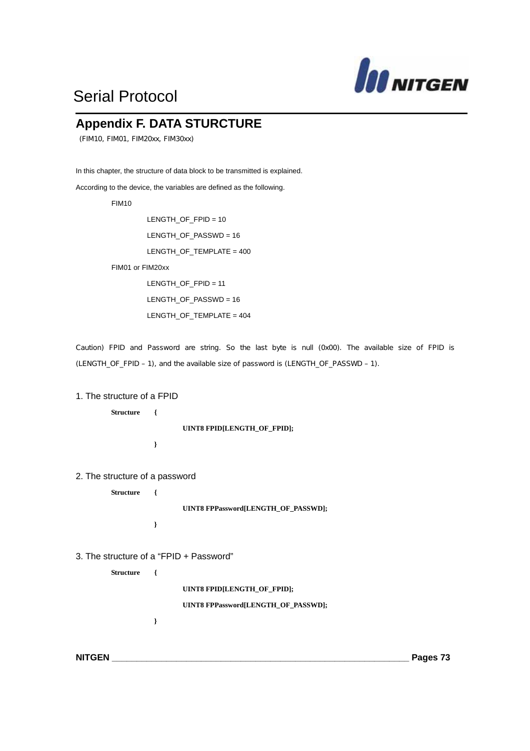

### **Appendix F. DATA STURCTURE**

(FIM10, FIM01, FIM20xx, FIM30xx)

In this chapter, the structure of data block to be transmitted is explained.

According to the device, the variables are defined as the following.

FIM10

 LENGTH\_OF\_FPID = 10 LENGTH\_OF\_PASSWD = 16 LENGTH\_OF\_TEMPLATE = 400 FIM01 or FIM20xx

> LENGTH\_OF\_FPID = 11 LENGTH\_OF\_PASSWD = 16 LENGTH\_OF\_TEMPLATE = 404

Caution) FPID and Password are string. So the last byte is null (0x00). The available size of FPID is (LENGTH\_OF\_FPID – 1), and the available size of password is (LENGTH\_OF\_PASSWD – 1).

#### 1. The structure of a FPID

**Structure {** 

**UINT8 FPID[LENGTH\_OF\_FPID];** 

**}** 

2. The structure of a password

**Structure {** 

**UINT8 FPPassword[LENGTH\_OF\_PASSWD];** 

3. The structure of a "FPID + Password"

**}** 

**}**

**Structure {** 

**UINT8 FPID[LENGTH\_OF\_FPID];** 

**UINT8 FPPassword[LENGTH\_OF\_PASSWD];**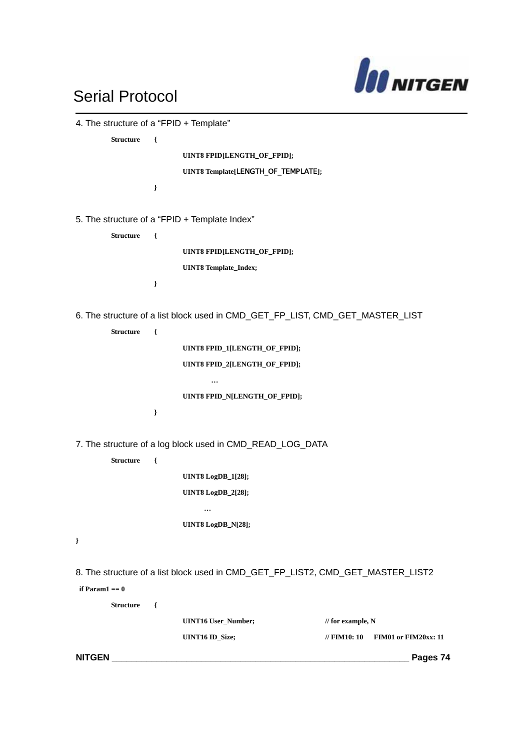

| 4. The structure of a "FPID + Template" |               |                                                           |                                                                                 |
|-----------------------------------------|---------------|-----------------------------------------------------------|---------------------------------------------------------------------------------|
| <b>Structure</b>                        | $\{$          |                                                           |                                                                                 |
|                                         |               | UINT8 FPID[LENGTH_OF_FPID];                               |                                                                                 |
|                                         |               | UINT8 Template[LENGTH_OF_TEMPLATE];                       |                                                                                 |
|                                         | $\,$          |                                                           |                                                                                 |
|                                         |               | 5. The structure of a "FPID + Template Index"             |                                                                                 |
| <b>Structure</b>                        | $\{$          |                                                           |                                                                                 |
|                                         |               | UINT8 FPID[LENGTH_OF_FPID];                               |                                                                                 |
|                                         |               | <b>UINT8 Template_Index;</b>                              |                                                                                 |
|                                         | $\,$          |                                                           |                                                                                 |
|                                         |               |                                                           | 6. The structure of a list block used in CMD_GET_FP_LIST, CMD_GET_MASTER_LIST   |
| <b>Structure</b>                        | $\{$          |                                                           |                                                                                 |
|                                         |               | UINT8 FPID_1[LENGTH_OF_FPID];                             |                                                                                 |
|                                         |               | UINT8 FPID_2[LENGTH_OF_FPID];                             |                                                                                 |
|                                         |               |                                                           |                                                                                 |
|                                         |               | UINT8 FPID_N[LENGTH_OF_FPID];                             |                                                                                 |
|                                         | $\mathcal{E}$ |                                                           |                                                                                 |
|                                         |               | 7. The structure of a log block used in CMD_READ_LOG_DATA |                                                                                 |
| <b>Structure</b>                        | $\{$          |                                                           |                                                                                 |
|                                         |               | <b>UINT8</b> LogDB_1[28];                                 |                                                                                 |
|                                         |               | <b>UINT8</b> LogDB_2[28];                                 |                                                                                 |
|                                         |               |                                                           |                                                                                 |
|                                         |               | UINT8 LogDB_N[28];                                        |                                                                                 |
| $\,$                                    |               |                                                           |                                                                                 |
|                                         |               |                                                           | 8. The structure of a list block used in CMD_GET_FP_LIST2, CMD_GET_MASTER_LIST2 |
| if Param $1 == 0$                       |               |                                                           |                                                                                 |
| <b>Structure</b>                        | $\{$          |                                                           |                                                                                 |
|                                         |               | <b>UINT16 User_Number;</b>                                | // for example, $N$                                                             |
|                                         |               |                                                           |                                                                                 |
|                                         |               | <b>UINT16 ID_Size;</b>                                    | // FIM10: 10<br>FIM01 or FIM20xx: 11                                            |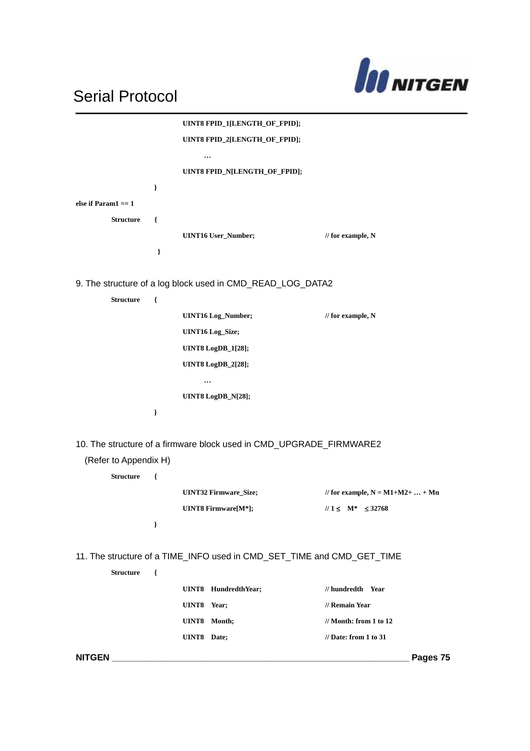

|                        |               | UINT8 FPID_1[LENGTH_OF_FPID];                                          |                                       |
|------------------------|---------------|------------------------------------------------------------------------|---------------------------------------|
|                        |               | UINT8 FPID_2[LENGTH_OF_FPID];                                          |                                       |
|                        |               | $\cdots$                                                               |                                       |
|                        |               | UINT8 FPID_N[LENGTH_OF_FPID];                                          |                                       |
|                        | }             |                                                                        |                                       |
| else if Param $1 == 1$ |               |                                                                        |                                       |
| <b>Structure</b>       | $\{$          |                                                                        |                                       |
|                        |               | <b>UINT16 User_Number;</b>                                             | // for example, $N$                   |
|                        | }             |                                                                        |                                       |
|                        |               | 9. The structure of a log block used in CMD_READ_LOG_DATA2             |                                       |
| <b>Structure</b>       | ₹             |                                                                        |                                       |
|                        |               | <b>UINT16</b> Log_Number;                                              | // for example, $N$                   |
|                        |               | <b>UINT16</b> Log_Size;                                                |                                       |
|                        |               | <b>UINT8</b> LogDB_1[28];                                              |                                       |
|                        |               | <b>UINT8</b> LogDB_2[28];                                              |                                       |
|                        |               | $\cdots$                                                               |                                       |
|                        |               | UINT8 LogDB_N[28];                                                     |                                       |
|                        | J             |                                                                        |                                       |
|                        |               |                                                                        |                                       |
|                        |               | 10. The structure of a firmware block used in CMD_UPGRADE_FIRMWARE2    |                                       |
| (Refer to Appendix H)  |               |                                                                        |                                       |
| <b>Structure</b>       | ₹             |                                                                        |                                       |
|                        |               | <b>UINT32 Firmware_Size;</b>                                           | // for example, $N = M1 + M2 +  + Mn$ |
|                        |               | UINT8 Firmware[M*];                                                    | $1/1 \leq M^* \leq 32768$             |
|                        | $\mathcal{E}$ |                                                                        |                                       |
|                        |               |                                                                        |                                       |
|                        |               | 11. The structure of a TIME_INFO used in CMD_SET_TIME and CMD_GET_TIME |                                       |
| <b>Structure</b>       | $\{$          |                                                                        |                                       |
|                        |               | UINT8 HundredthYear;                                                   | // hundredth Year                     |
|                        |               | UINT8 Year;                                                            | // Remain Year                        |
|                        |               | UINT8 Month;                                                           | $\frac{1}{2}$ Month: from 1 to 12     |
|                        |               |                                                                        | $\frac{1}{2}$ Date: from 1 to 31      |
|                        |               | UINT8 Date;                                                            |                                       |
|                        |               |                                                                        | Pages 75                              |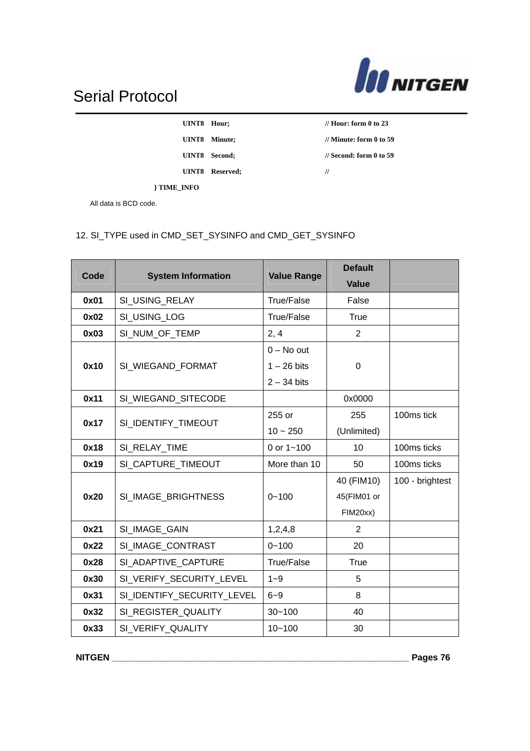

| UINT8        | Hour;   |
|--------------|---------|
| <b>HINTS</b> | Minute: |

**UINT8 Reserved; //** 

*II* Hour: form 0 to 23 **UINT8 Minute; // Minute: form 0 to 59 UINT8 Second; // Second: form 0 to 59** 

**} TIME\_INFO** All data is BCD code.

### 12. SI\_TYPE used in CMD\_SET\_SYSINFO and CMD\_GET\_SYSINFO

| Code | <b>System Information</b>  | <b>Value Range</b>                             | <b>Default</b><br><b>Value</b>        |                 |
|------|----------------------------|------------------------------------------------|---------------------------------------|-----------------|
| 0x01 | SI_USING_RELAY             | True/False                                     | False                                 |                 |
| 0x02 | SI_USING_LOG               | True/False                                     | <b>True</b>                           |                 |
| 0x03 | SI_NUM_OF_TEMP             | 2, 4                                           | $\overline{2}$                        |                 |
| 0x10 | SI_WIEGAND_FORMAT          | $0 - No$ out<br>$1 - 26$ bits<br>$2 - 34$ bits | 0                                     |                 |
| 0x11 | SI_WIEGAND_SITECODE        |                                                | 0x0000                                |                 |
| 0x17 | SI IDENTIFY TIMEOUT        | 255 or                                         | 255                                   | 100ms tick      |
|      |                            | $10 - 250$                                     | (Unlimited)                           |                 |
| 0x18 | SI_RELAY_TIME              | 0 or $1 - 100$                                 | 10                                    | 100ms ticks     |
| 0x19 | SI_CAPTURE_TIMEOUT         | More than 10                                   | 50                                    | 100ms ticks     |
| 0x20 | SI_IMAGE_BRIGHTNESS        | $0 - 100$                                      | 40 (FIM10)<br>45(FIM01 or<br>FIM20xx) | 100 - brightest |
| 0x21 | SI_IMAGE_GAIN              | 1,2,4,8                                        | $\overline{2}$                        |                 |
| 0x22 | SI IMAGE CONTRAST          | $0 - 100$                                      | 20                                    |                 |
| 0x28 | SI ADAPTIVE CAPTURE        | <b>True/False</b>                              | <b>True</b>                           |                 |
| 0x30 | SI_VERIFY_SECURITY_LEVEL   | $1 - 9$                                        | 5                                     |                 |
| 0x31 | SI_IDENTIFY_SECURITY_LEVEL | $6 - 9$                                        | 8                                     |                 |
| 0x32 | SI REGISTER QUALITY        | $30 - 100$                                     | 40                                    |                 |
| 0x33 | SI_VERIFY_QUALITY          | $10 - 100$                                     | 30                                    |                 |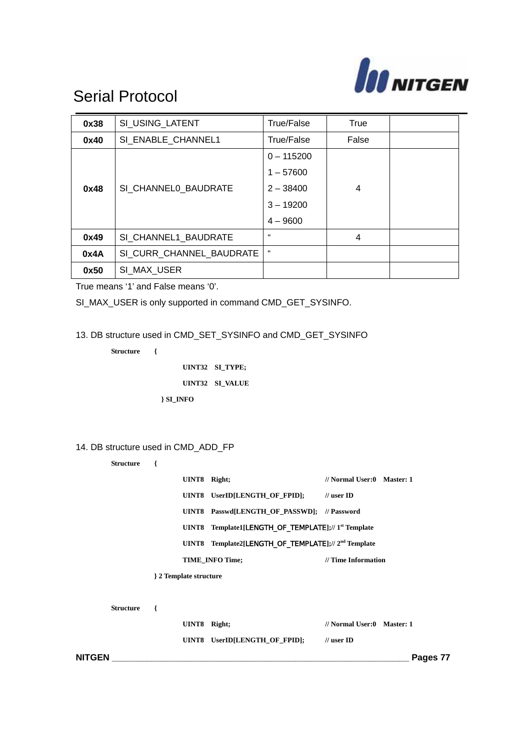

| 0x38 | SI_USING_LATENT          | True/False   | True  |  |
|------|--------------------------|--------------|-------|--|
| 0x40 | SI ENABLE CHANNEL1       | True/False   | False |  |
|      |                          | $0 - 115200$ |       |  |
|      |                          | $1 - 57600$  |       |  |
| 0x48 | SI_CHANNEL0_BAUDRATE     | $2 - 38400$  | 4     |  |
|      |                          | $3 - 19200$  |       |  |
|      |                          | $4 - 9600$   |       |  |
| 0x49 | SI CHANNEL1_BAUDRATE     | 66           | 4     |  |
| 0x4A | SI CURR CHANNEL BAUDRATE | 66           |       |  |
| 0x50 | SI MAX USER              |              |       |  |

True means '1' and False means '0'.

SI\_MAX\_USER is only supported in command CMD\_GET\_SYSINFO.

13. DB structure used in CMD\_SET\_SYSINFO and CMD\_GET\_SYSINFO

**Structure {** 

**UINT32 SI\_TYPE; UINT32 SI\_VALUE } SI\_INFO**

#### 14. DB structure used in CMD\_ADD\_FP

**Structure {** 

**Structure {** 

|   | UINT8 Right;         |                                                                 | // Normal User:0 Master: 1 |
|---|----------------------|-----------------------------------------------------------------|----------------------------|
|   |                      | UINT8 UserID[LENGTH OF FPID]: // user ID                        |                            |
|   |                      | UINT8 Passwd[LENGTH OF PASSWD]; // Password                     |                            |
|   | UINT8                | Template1[LENGTH_OF_TEMPLATE];//1 <sup>st</sup> Template        |                            |
|   |                      | UINT8 Template2[LENGTH_OF_TEMPLATE];// 2 <sup>nd</sup> Template |                            |
|   |                      | <b>TIME INFO Time:</b>                                          | // Time Information        |
|   | 2 Template structure |                                                                 |                            |
|   |                      |                                                                 |                            |
| ſ |                      |                                                                 |                            |
|   | UINT8                | Right;                                                          | // Normal User:0 Master: 1 |
|   | UINT8                | UserID[LENGTH OF FPID];                                         | $\mathcal U$ user ID       |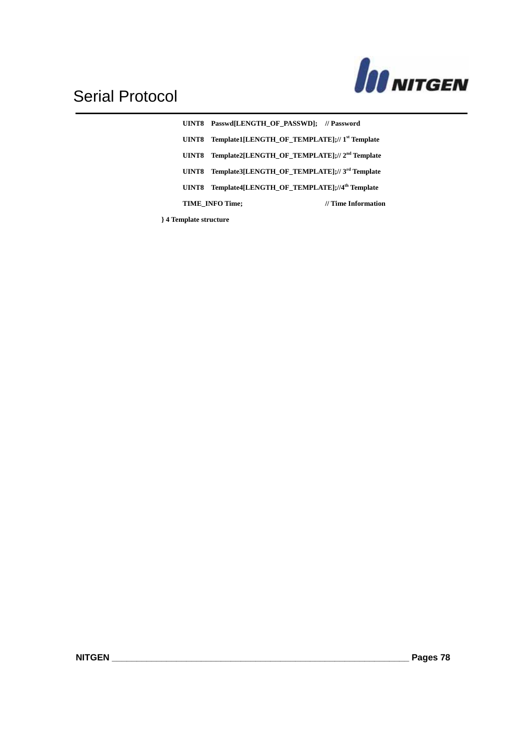

**UINT8 Passwd[LENGTH\_OF\_PASSWD]; // Password UINT8 Template1[LENGTH\_OF\_TEMPLATE];// 1st Template UINT8 Template2[LENGTH\_OF\_TEMPLATE];// 2nd Template UINT8 Template3[LENGTH\_OF\_TEMPLATE];// 3rd Template UINT8 Template4[LENGTH\_OF\_TEMPLATE];//4th Template TIME\_INFO Time; // Time Information** 

**} 4 Template structure**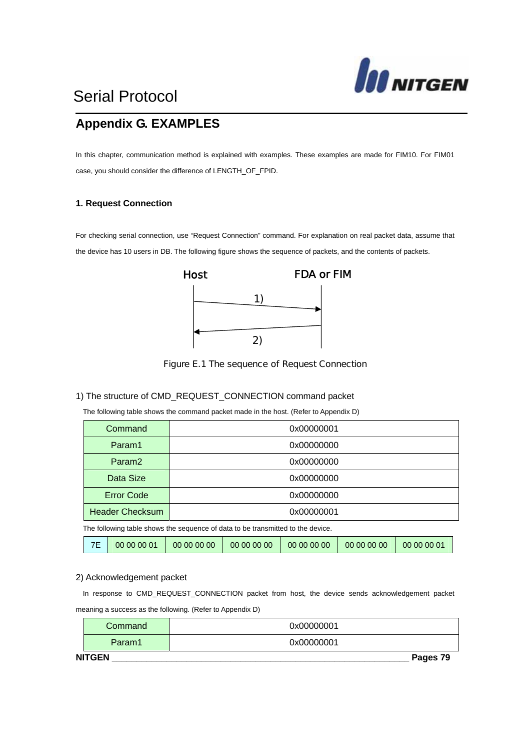

### **Appendix G. EXAMPLES**

In this chapter, communication method is explained with examples. These examples are made for FIM10. For FIM01 case, you should consider the difference of LENGTH\_OF\_FPID.

#### **1. Request Connection**

For checking serial connection, use "Request Connection" command. For explanation on real packet data, assume that the device has 10 users in DB. The following figure shows the sequence of packets, and the contents of packets.



Figure E.1 The sequence of Request Connection

#### 1) The structure of CMD\_REQUEST\_CONNECTION command packet

The following table shows the command packet made in the host. (Refer to Appendix D)

| Command                | 0x00000001 |
|------------------------|------------|
| Param1                 | 0x00000000 |
| Param <sub>2</sub>     | 0x00000000 |
| Data Size              | 0x00000000 |
| <b>Error Code</b>      | 0x00000000 |
| <b>Header Checksum</b> | 0x00000001 |
|                        |            |

The following table shows the sequence of data to be transmitted to the device.

#### 2) Acknowledgement packet

In response to CMD\_REQUEST\_CONNECTION packet from host, the device sends acknowledgement packet meaning a success as the following. (Refer to Appendix D)

| <b>NITGEN</b> | Pages 79   |
|---------------|------------|
| Param1        | 0x00000001 |
| Command       | 0x00000001 |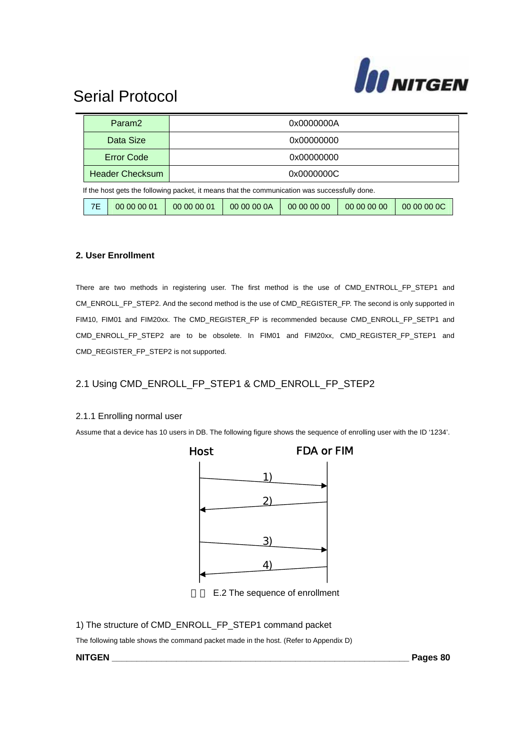

|                   |                                                                                               | Param <sub>2</sub>     | 0x0000000A  |             |             |             |             |  |  |
|-------------------|-----------------------------------------------------------------------------------------------|------------------------|-------------|-------------|-------------|-------------|-------------|--|--|
|                   |                                                                                               | Data Size              | 0x00000000  |             |             |             |             |  |  |
|                   |                                                                                               | <b>Error Code</b>      |             | 0x00000000  |             |             |             |  |  |
|                   |                                                                                               | <b>Header Checksum</b> | 0x0000000C  |             |             |             |             |  |  |
|                   | If the host gets the following packet, it means that the communication was successfully done. |                        |             |             |             |             |             |  |  |
| 7E<br>00 00 00 01 |                                                                                               |                        | 00 00 00 01 | 00 00 00 0A | 00 00 00 00 | 00 00 00 00 | 00 00 00 0C |  |  |

#### **2. User Enrollment**

There are two methods in registering user. The first method is the use of CMD\_ENTROLL\_FP\_STEP1 and CM\_ENROLL\_FP\_STEP2. And the second method is the use of CMD\_REGISTER\_FP. The second is only supported in FIM10, FIM01 and FIM20xx. The CMD\_REGISTER\_FP is recommended because CMD\_ENROLL\_FP\_SETP1 and CMD\_ENROLL\_FP\_STEP2 are to be obsolete. In FIM01 and FIM20xx, CMD\_REGISTER\_FP\_STEP1 and CMD\_REGISTER\_FP\_STEP2 is not supported.

#### 2.1 Using CMD\_ENROLL\_FP\_STEP1 & CMD\_ENROLL\_FP\_STEP2

#### 2.1.1 Enrolling normal user

Assume that a device has 10 users in DB. The following figure shows the sequence of enrolling user with the ID '1234'.



E.2 The sequence of enrollment

1) The structure of CMD\_ENROLL\_FP\_STEP1 command packet

The following table shows the command packet made in the host. (Refer to Appendix D)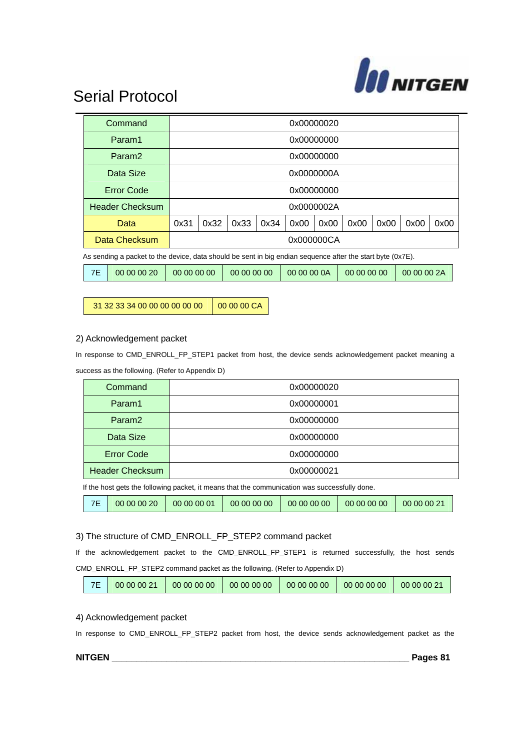

|                                                                                                            | Command                |                                                                         | 0x00000020 |      |      |      |            |      |      |      |      |
|------------------------------------------------------------------------------------------------------------|------------------------|-------------------------------------------------------------------------|------------|------|------|------|------------|------|------|------|------|
|                                                                                                            | Param1                 |                                                                         | 0x00000000 |      |      |      |            |      |      |      |      |
|                                                                                                            | Param <sub>2</sub>     |                                                                         | 0x00000000 |      |      |      |            |      |      |      |      |
|                                                                                                            | Data Size              |                                                                         | 0x0000000A |      |      |      |            |      |      |      |      |
|                                                                                                            | <b>Error Code</b>      |                                                                         | 0x00000000 |      |      |      |            |      |      |      |      |
|                                                                                                            | <b>Header Checksum</b> |                                                                         |            |      |      |      | 0x0000002A |      |      |      |      |
|                                                                                                            | Data                   | 0x31                                                                    | 0x32       | 0x33 | 0x34 | 0x00 | 0x00       | 0x00 | 0x00 | 0x00 | 0x00 |
| Data Checksum<br>0x000000CA                                                                                |                        |                                                                         |            |      |      |      |            |      |      |      |      |
| As sending a packet to the device, data should be sent in big endian sequence after the start byte (0x7E). |                        |                                                                         |            |      |      |      |            |      |      |      |      |
| 7E                                                                                                         | 00 00 00 20            | 00 00 00 0A<br>00 00 00 00<br>00 00 00 2A<br>00 00 00 00<br>00 00 00 00 |            |      |      |      |            |      |      |      |      |

31 32 33 34 00 00 00 00 00 00 00 00 00 CA

#### 2) Acknowledgement packet

In response to CMD\_ENROLL\_FP\_STEP1 packet from host, the device sends acknowledgement packet meaning a success as the following. (Refer to Appendix D)

| Command                                                                                       | 0x00000020 |  |  |  |  |
|-----------------------------------------------------------------------------------------------|------------|--|--|--|--|
| Param1                                                                                        | 0x00000001 |  |  |  |  |
| Param <sub>2</sub>                                                                            | 0x00000000 |  |  |  |  |
| Data Size                                                                                     | 0x00000000 |  |  |  |  |
| <b>Error Code</b>                                                                             | 0x00000000 |  |  |  |  |
| <b>Header Checksum</b>                                                                        | 0x00000021 |  |  |  |  |
| If the host gets the following packet, it means that the communication was successfully done. |            |  |  |  |  |

|  | <b>7F</b> | 00 00 00 20 | 00 00 00 01 | 00 00 00 00 | 00 00 00 00 | 00 00 00 00 | 00 00 00 21 |
|--|-----------|-------------|-------------|-------------|-------------|-------------|-------------|
|--|-----------|-------------|-------------|-------------|-------------|-------------|-------------|

#### 3) The structure of CMD\_ENROLL\_FP\_STEP2 command packet

If the acknowledgement packet to the CMD\_ENROLL\_FP\_STEP1 is returned successfully, the host sends CMD\_ENROLL\_FP\_STEP2 command packet as the following. (Refer to Appendix D)

| 00 00 00 21<br>00 00 00 00<br>00 00 00 00<br>00 00 00 00<br>00 00 00 00<br>00 00 00 21 |
|----------------------------------------------------------------------------------------|
|----------------------------------------------------------------------------------------|

#### 4) Acknowledgement packet

In response to CMD\_ENROLL\_FP\_STEP2 packet from host, the device sends acknowledgement packet as the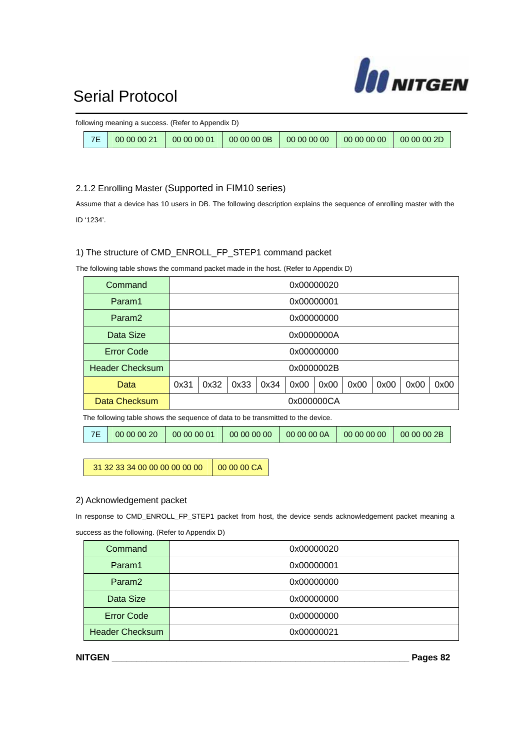

|           | following meaning a success. (Refer to Appendix D) |  |  |
|-----------|----------------------------------------------------|--|--|
| <b>7E</b> | $00000021$   00 00 00 01   00 00 00 0B             |  |  |

#### 2.1.2 Enrolling Master (Supported in FIM10 series)

Assume that a device has 10 users in DB. The following description explains the sequence of enrolling master with the ID '1234'.

#### 1) The structure of CMD\_ENROLL\_FP\_STEP1 command packet

The following table shows the command packet made in the host. (Refer to Appendix D)

| Command                |            | 0x00000020 |      |      |      |      |      |      |      |      |
|------------------------|------------|------------|------|------|------|------|------|------|------|------|
| Param1                 | 0x00000001 |            |      |      |      |      |      |      |      |      |
| Param <sub>2</sub>     |            | 0x00000000 |      |      |      |      |      |      |      |      |
| Data Size              | 0x0000000A |            |      |      |      |      |      |      |      |      |
| <b>Error Code</b>      | 0x00000000 |            |      |      |      |      |      |      |      |      |
| <b>Header Checksum</b> |            | 0x0000002B |      |      |      |      |      |      |      |      |
| Data                   | 0x31       | 0x32       | 0x33 | 0x34 | 0x00 | 0x00 | 0x00 | 0x00 | 0x00 | 0x00 |
| Data Checksum          | 0x000000CA |            |      |      |      |      |      |      |      |      |
|                        |            |            |      |      |      |      |      |      |      |      |

The following table shows the sequence of data to be transmitted to the device.

|  | 7E   00 00 00 20 | 00 00 00 01 |  | 00 00 00 00   00 00 00 0A   00 00 00 00   00 00 00 2B |  |  |
|--|------------------|-------------|--|-------------------------------------------------------|--|--|
|--|------------------|-------------|--|-------------------------------------------------------|--|--|

31 32 33 34 00 00 00 00 00 00 00 00 00 CA

#### 2) Acknowledgement packet

In response to CMD\_ENROLL\_FP\_STEP1 packet from host, the device sends acknowledgement packet meaning a success as the following. (Refer to Appendix D)

| Command                | 0x00000020 |
|------------------------|------------|
| Param1                 | 0x00000001 |
| Param <sub>2</sub>     | 0x00000000 |
| Data Size              | 0x00000000 |
| <b>Error Code</b>      | 0x00000000 |
| <b>Header Checksum</b> | 0x00000021 |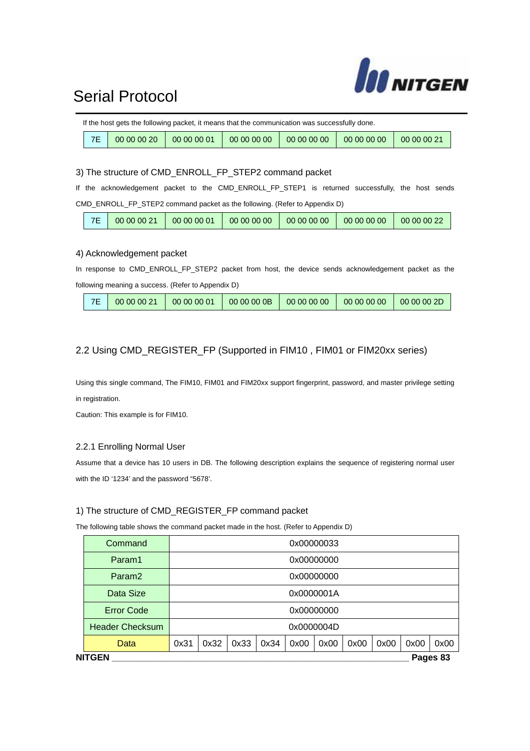

|     |                        | If the host gets the following packet, it means that the communication was successfully done. |             |                                 |             |
|-----|------------------------|-----------------------------------------------------------------------------------------------|-------------|---------------------------------|-------------|
| 7E/ | $00000020$ 00 00 00 01 |                                                                                               | 00 00 00 00 | $00000000$ 00 00 00 00 00 00 00 | 00 00 00 21 |

3) The structure of CMD\_ENROLL\_FP\_STEP2 command packet

If the acknowledgement packet to the CMD\_ENROLL\_FP\_STEP1 is returned successfully, the host sends CMD\_ENROLL\_FP\_STEP2 command packet as the following. (Refer to Appendix D)

| 7E<br>00 00 00 00   00 00 00 00<br>00 00 00 21<br>00 00 00 01<br>00 00 00 00<br>$-00000022$ |
|---------------------------------------------------------------------------------------------|
|---------------------------------------------------------------------------------------------|

#### 4) Acknowledgement packet

In response to CMD\_ENROLL\_FP\_STEP2 packet from host, the device sends acknowledgement packet as the following meaning a success. (Refer to Appendix D)

| 7F | 00 00 00 21 | 00 00 00 01 | 0000000 | 00 00 00 00 | 00000000 | 00 00 00 2D |
|----|-------------|-------------|---------|-------------|----------|-------------|
|----|-------------|-------------|---------|-------------|----------|-------------|

#### 2.2 Using CMD\_REGISTER\_FP (Supported in FIM10, FIM01 or FIM20xx series)

Using this single command, The FIM10, FIM01 and FIM20xx support fingerprint, password, and master privilege setting in registration.

Caution: This example is for FIM10.

#### 2.2.1 Enrolling Normal User

Assume that a device has 10 users in DB. The following description explains the sequence of registering normal user with the ID '1234' and the password "5678'.

#### 1) The structure of CMD\_REGISTER\_FP command packet

The following table shows the command packet made in the host. (Refer to Appendix D)

| <b>NITGEN</b>          |            |            |      |      |      |            |      |      |      | Pages 83 |
|------------------------|------------|------------|------|------|------|------------|------|------|------|----------|
| Data                   | 0x31       | 0x32       | 0x33 | 0x34 | 0x00 | 0x00       | 0x00 | 0x00 | 0x00 | 0x00     |
| <b>Header Checksum</b> | 0x0000004D |            |      |      |      |            |      |      |      |          |
| <b>Error Code</b>      | 0x00000000 |            |      |      |      |            |      |      |      |          |
| Data Size              |            | 0x0000001A |      |      |      |            |      |      |      |          |
| Param <sub>2</sub>     |            | 0x00000000 |      |      |      |            |      |      |      |          |
| Param1                 |            | 0x00000000 |      |      |      |            |      |      |      |          |
| Command                |            |            |      |      |      | 0x00000033 |      |      |      |          |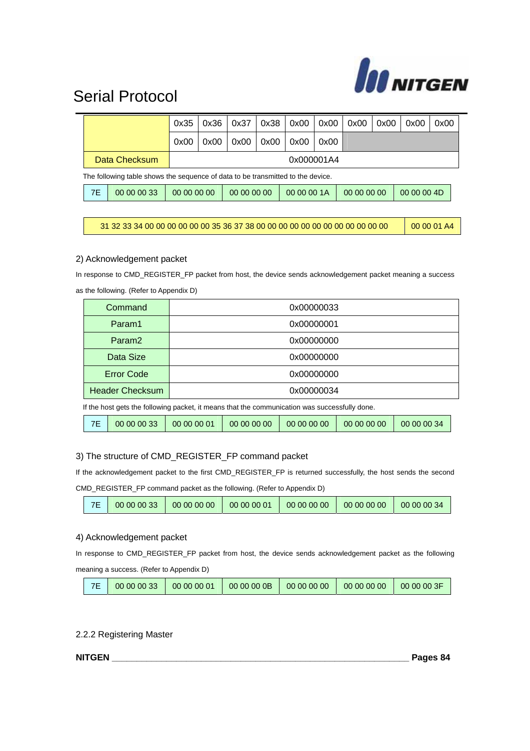

|                                                                                 |             | 0x35        | 0x36 | 0x37        | 0x38 | 0x00        | 0x00       | 0x00        | 0x00 | 0x00        | 0x00 |  |
|---------------------------------------------------------------------------------|-------------|-------------|------|-------------|------|-------------|------------|-------------|------|-------------|------|--|
|                                                                                 |             | 0x00        | 0x00 | 0x00        | 0x00 | 0x00        | 0x00       |             |      |             |      |  |
| Data Checksum                                                                   |             |             |      |             |      |             | 0x000001A4 |             |      |             |      |  |
| The following table shows the sequence of data to be transmitted to the device. |             |             |      |             |      |             |            |             |      |             |      |  |
| 7E                                                                              | 00 00 00 33 | 00 00 00 00 |      | 00 00 00 00 |      | 00 00 00 1A |            | 00 00 00 00 |      | 00 00 00 4D |      |  |

31 32 33 34 00 00 00 00 00 00 35 36 37 38 00 00 00 00 00 00 00 00 00 00 00 00 00 00 01 A4

#### 2) Acknowledgement packet

In response to CMD\_REGISTER\_FP packet from host, the device sends acknowledgement packet meaning a success

| Command                | 0x00000033 |
|------------------------|------------|
| Param1                 | 0x00000001 |
| Param <sub>2</sub>     | 0x00000000 |
| Data Size              | 0x00000000 |
| <b>Error Code</b>      | 0x00000000 |
| <b>Header Checksum</b> | 0x00000034 |

as the following. (Refer to Appendix D)

If the host gets the following packet, it means that the communication was successfully done.

| 7E | 00 00 00 33 | 100000001 | 00 00 00 00 | 00 00 00 00 | 00 00 00 00 | 100000034 |
|----|-------------|-----------|-------------|-------------|-------------|-----------|
|----|-------------|-----------|-------------|-------------|-------------|-----------|

#### 3) The structure of CMD\_REGISTER\_FP command packet

If the acknowledgement packet to the first CMD\_REGISTER\_FP is returned successfully, the host sends the second

CMD\_REGISTER\_FP command packet as the following. (Refer to Appendix D)

| 7F | 00 00 00 33 | 00 00 00 00 | 00 00 00 01 | 00 00 00 00 | 00 00 00 00 | 00 00 00 34 |
|----|-------------|-------------|-------------|-------------|-------------|-------------|
|----|-------------|-------------|-------------|-------------|-------------|-------------|

#### 4) Acknowledgement packet

In response to CMD\_REGISTER\_FP packet from host, the device sends acknowledgement packet as the following meaning a success. (Refer to Appendix D)

|  | 00 00 00 33 | 00 00 00 01 | 00 00 00 0B | 00 00 00 00 | 00 00 00 00 | 00 00 00 3F |
|--|-------------|-------------|-------------|-------------|-------------|-------------|
|--|-------------|-------------|-------------|-------------|-------------|-------------|

#### 2.2.2 Registering Master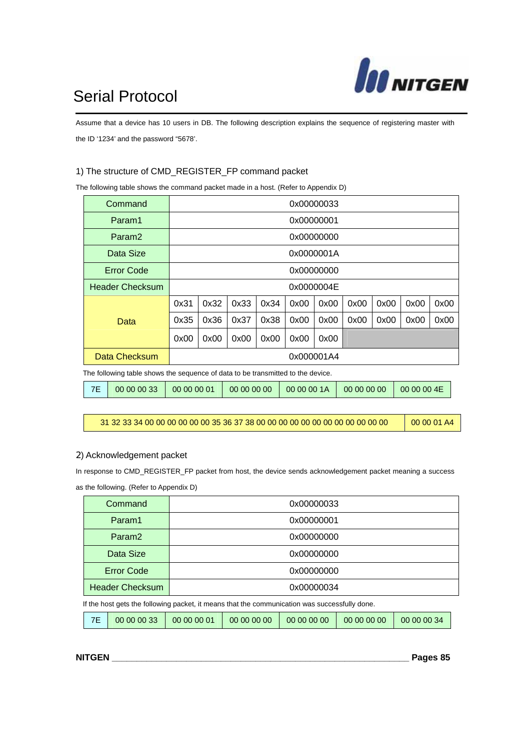

Assume that a device has 10 users in DB. The following description explains the sequence of registering master with the ID '1234' and the password "5678'.

#### 1) The structure of CMD\_REGISTER\_FP command packet

The following table shows the command packet made in a host. (Refer to Appendix D)

| Command                                                                         |            |            |      |      |      | 0x00000033 |      |      |      |      |
|---------------------------------------------------------------------------------|------------|------------|------|------|------|------------|------|------|------|------|
| Param1                                                                          |            | 0x00000001 |      |      |      |            |      |      |      |      |
| Param <sub>2</sub>                                                              |            | 0x00000000 |      |      |      |            |      |      |      |      |
| Data Size                                                                       |            | 0x0000001A |      |      |      |            |      |      |      |      |
| Error Code                                                                      |            | 0x00000000 |      |      |      |            |      |      |      |      |
| <b>Header Checksum</b>                                                          | 0x0000004E |            |      |      |      |            |      |      |      |      |
|                                                                                 | 0x31       | 0x32       | 0x33 | 0x34 | 0x00 | 0x00       | 0x00 | 0x00 | 0x00 | 0x00 |
| Data                                                                            | 0x35       | 0x36       | 0x37 | 0x38 | 0x00 | 0x00       | 0x00 | 0x00 | 0x00 | 0x00 |
|                                                                                 | 0x00       | 0x00       | 0x00 | 0x00 | 0x00 | 0x00       |      |      |      |      |
| Data Checksum                                                                   | 0x000001A4 |            |      |      |      |            |      |      |      |      |
| The following table shows the sequence of data to be transmitted to the device. |            |            |      |      |      |            |      |      |      |      |
|                                                                                 |            |            |      |      |      |            |      |      |      |      |

7E 00 00 00 33 00 00 00 01 00 00 00 00 00 00 00 1A 00 00 00 00 00 00 4E

31 32 33 34 00 00 00 00 00 00 35 36 37 38 00 00 00 00 00 00 00 00 00 00 00 00 00 00 01 A4

#### 2) Acknowledgement packet

In response to CMD\_REGISTER\_FP packet from host, the device sends acknowledgement packet meaning a success as the following. (Refer to Appendix D)

| Command                | 0x00000033 |
|------------------------|------------|
| Param1                 | 0x00000001 |
| Param <sub>2</sub>     | 0x00000000 |
| Data Size              | 0x00000000 |
| <b>Error Code</b>      | 0x00000000 |
| <b>Header Checksum</b> | 0x00000034 |

If the host gets the following packet, it means that the communication was successfully done.

|  | 00 00 00 33 | 00 00 00 01 | 00 00 00 00 | 00 00 00 00 | 00 00 00 00 | 00 00 00 34 |
|--|-------------|-------------|-------------|-------------|-------------|-------------|
|--|-------------|-------------|-------------|-------------|-------------|-------------|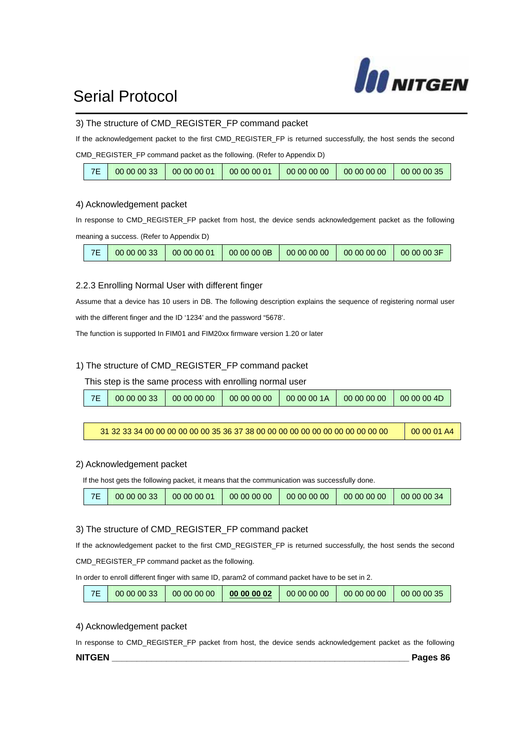

#### 3) The structure of CMD\_REGISTER\_FP command packet

If the acknowledgement packet to the first CMD\_REGISTER\_FP is returned successfully, the host sends the second

CMD\_REGISTER\_FP command packet as the following. (Refer to Appendix D)

| 00000033 | 00 00 00 01 | 00 00 00 01 | 00 00 00 00 | 00 00 00 00 | 00000035 |
|----------|-------------|-------------|-------------|-------------|----------|
|          |             |             |             |             |          |

#### 4) Acknowledgement packet

In response to CMD\_REGISTER\_FP packet from host, the device sends acknowledgement packet as the following meaning a success. (Refer to Appendix D)

| 7E<br>00 00 00 33<br>0000000<br>00 00 00 01<br>00 00 00 00<br>00 00 00 00 | $-0000003F$ |
|---------------------------------------------------------------------------|-------------|
|---------------------------------------------------------------------------|-------------|

#### 2.2.3 Enrolling Normal User with different finger

Assume that a device has 10 users in DB. The following description explains the sequence of registering normal user with the different finger and the ID '1234' and the password "5678'.

The function is supported In FIM01 and FIM20xx firmware version 1.20 or later

#### 1) The structure of CMD\_REGISTER\_FP command packet

This step is the same process with enrolling normal user

|  | 7F | 00 00 00 33 | 00 00 00 00 | 00 00 00 00 | 00 00 00 1A | 00 00 00 00 | 00 00 00 4D |
|--|----|-------------|-------------|-------------|-------------|-------------|-------------|
|--|----|-------------|-------------|-------------|-------------|-------------|-------------|

| 00 00 01 A4 |
|-------------|
|             |

#### 2) Acknowledgement packet

If the host gets the following packet, it means that the communication was successfully done.

| 00 00 00 33 | 00 00 00 01 | 00 00 00 00 | 00 00 00 00 | 00 00 00 00 | 00 00 00 34 |
|-------------|-------------|-------------|-------------|-------------|-------------|
|-------------|-------------|-------------|-------------|-------------|-------------|

#### 3) The structure of CMD\_REGISTER\_FP command packet

If the acknowledgement packet to the first CMD\_REGISTER\_FP is returned successfully, the host sends the second

CMD\_REGISTER\_FP command packet as the following.

In order to enroll different finger with same ID, param2 of command packet have to be set in 2.

| 7E | 00 00 00 33 | 00 00 00 00 | 00 00 00 02 | 00 00 00 00 | 00 00 00 00 | 00 00 00 35 |
|----|-------------|-------------|-------------|-------------|-------------|-------------|
|----|-------------|-------------|-------------|-------------|-------------|-------------|

#### 4) Acknowledgement packet

In response to CMD\_REGISTER\_FP packet from host, the device sends acknowledgement packet as the following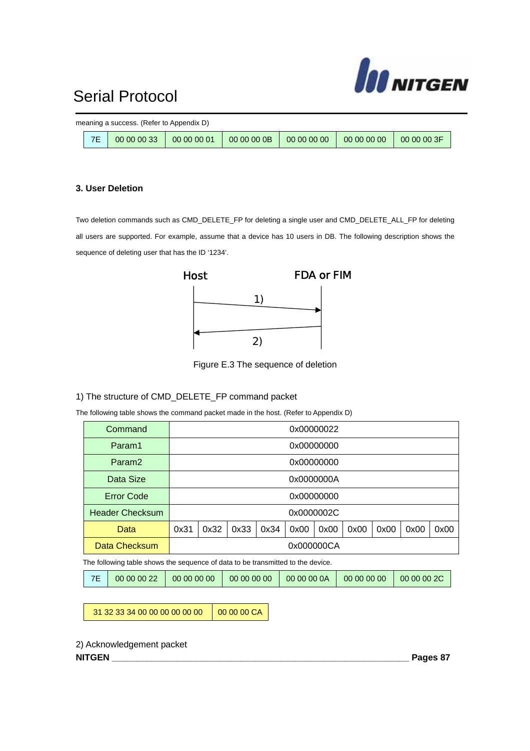

|    | meaning a success. (Refer to Appendix D) |         |          |  |
|----|------------------------------------------|---------|----------|--|
| 7E | $00000033$ 00 00 00 00 01                | 0000000 | 00000000 |  |

#### **3. User Deletion**

Two deletion commands such as CMD\_DELETE\_FP for deleting a single user and CMD\_DELETE\_ALL\_FP for deleting all users are supported. For example, assume that a device has 10 users in DB. The following description shows the sequence of deleting user that has the ID '1234'.



Figure E.3 The sequence of deletion

#### 1) The structure of CMD\_DELETE\_FP command packet

The following table shows the command packet made in the host. (Refer to Appendix D)

| Command                |                                                                      |            |  |  |  | 0x00000022 |      |  |  |  |
|------------------------|----------------------------------------------------------------------|------------|--|--|--|------------|------|--|--|--|
| Param1                 |                                                                      | 0x00000000 |  |  |  |            |      |  |  |  |
| Param <sub>2</sub>     |                                                                      | 0x00000000 |  |  |  |            |      |  |  |  |
| Data Size              |                                                                      | 0x0000000A |  |  |  |            |      |  |  |  |
| <b>Error Code</b>      |                                                                      | 0x00000000 |  |  |  |            |      |  |  |  |
| <b>Header Checksum</b> |                                                                      | 0x0000002C |  |  |  |            |      |  |  |  |
| Data                   | 0x32<br>0x33<br>0x34<br>0x00<br>0x31<br>0x00<br>0x00<br>0x00<br>0x00 |            |  |  |  |            | 0x00 |  |  |  |
| Data Checksum          |                                                                      | 0x000000CA |  |  |  |            |      |  |  |  |

The following table shows the sequence of data to be transmitted to the device.

|  | $\vert$ 7E $\vert$ 00 00 00 22 $\vert$ 00 00 00 00 |  | 00 00 00 00 |  | 00 00 00 0A   00 00 00 00   00 00 00 2C |  |
|--|----------------------------------------------------|--|-------------|--|-----------------------------------------|--|
|--|----------------------------------------------------|--|-------------|--|-----------------------------------------|--|

31 32 33 34 00 00 00 00 00 00 00 00 00 CA

2) Acknowledgement packet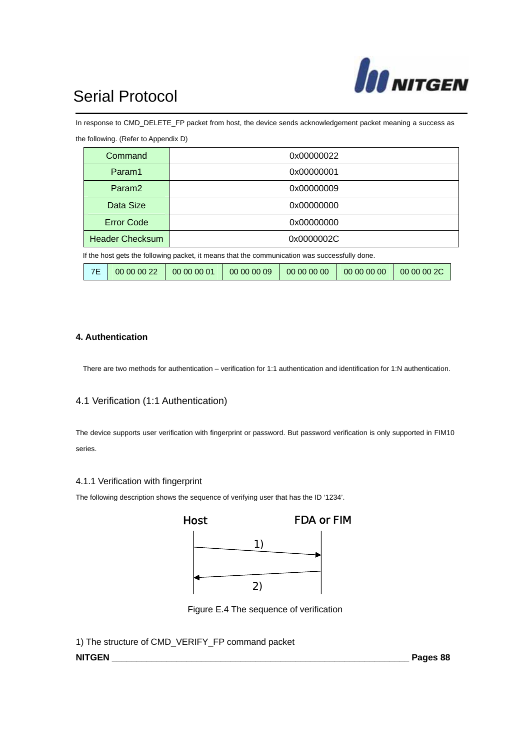

the following. (Refer to Appendix D)

In response to CMD\_DELETE\_FP packet from host, the device sends acknowledgement packet meaning a success as

|                                                                                               | Command                |             |             | 0x00000022  |             |             |  |  |  |
|-----------------------------------------------------------------------------------------------|------------------------|-------------|-------------|-------------|-------------|-------------|--|--|--|
|                                                                                               | Param1                 |             |             | 0x00000001  |             |             |  |  |  |
|                                                                                               | Param <sub>2</sub>     |             |             | 0x00000009  |             |             |  |  |  |
| Data Size<br>0x00000000                                                                       |                        |             |             |             |             |             |  |  |  |
|                                                                                               | <b>Error Code</b>      |             |             | 0x00000000  |             |             |  |  |  |
|                                                                                               | <b>Header Checksum</b> |             | 0x0000002C  |             |             |             |  |  |  |
| If the host gets the following packet, it means that the communication was successfully done. |                        |             |             |             |             |             |  |  |  |
| 7E                                                                                            | 00 00 00 22            | 00 00 00 01 | 00 00 00 09 | 00 00 00 00 | 00 00 00 00 | 00 00 00 2C |  |  |  |

**4. Authentication** 

There are two methods for authentication – verification for 1:1 authentication and identification for 1:N authentication.

#### 4.1 Verification (1:1 Authentication)

The device supports user verification with fingerprint or password. But password verification is only supported in FIM10 series.

#### 4.1.1 Verification with fingerprint

The following description shows the sequence of verifying user that has the ID '1234'.



Figure E.4 The sequence of verification

1) The structure of CMD\_VERIFY\_FP command packet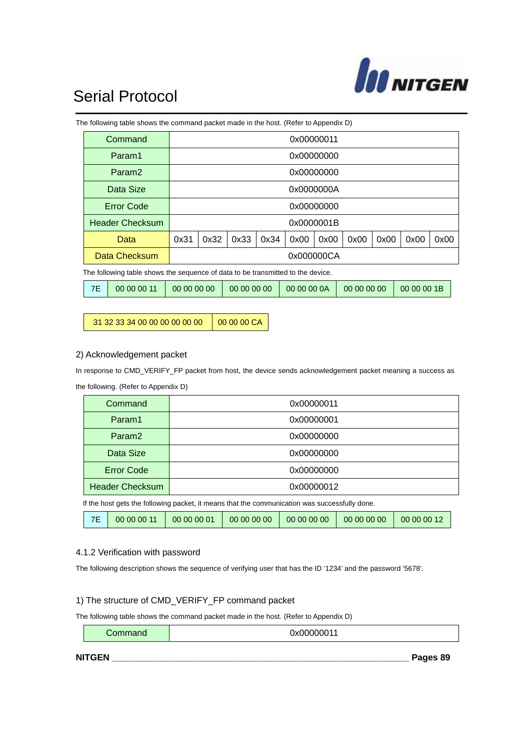

|                                                                      |    | The following table shows the command packet made in the host. (Refer to Appendix D) |             |            |             |      |             |  |             |  |             |  |  |
|----------------------------------------------------------------------|----|--------------------------------------------------------------------------------------|-------------|------------|-------------|------|-------------|--|-------------|--|-------------|--|--|
|                                                                      |    | Command                                                                              |             | 0x00000011 |             |      |             |  |             |  |             |  |  |
|                                                                      |    | Param1                                                                               |             |            |             |      | 0x00000000  |  |             |  |             |  |  |
|                                                                      |    | Param <sub>2</sub>                                                                   |             |            |             |      | 0x00000000  |  |             |  |             |  |  |
|                                                                      |    | Data Size                                                                            |             |            |             |      | 0x0000000A  |  |             |  |             |  |  |
|                                                                      |    | <b>Error Code</b><br>0x00000000                                                      |             |            |             |      |             |  |             |  |             |  |  |
|                                                                      |    | <b>Header Checksum</b>                                                               | 0x0000001B  |            |             |      |             |  |             |  |             |  |  |
| 0x31<br>0x32<br>0x33<br>0x34<br>0x00<br>0x00<br>0x00<br>0x00<br>Data |    |                                                                                      |             |            |             | 0x00 | 0x00        |  |             |  |             |  |  |
|                                                                      |    | Data Checksum<br>0x000000CA                                                          |             |            |             |      |             |  |             |  |             |  |  |
|                                                                      |    | The following table shows the sequence of data to be transmitted to the device.      |             |            |             |      |             |  |             |  |             |  |  |
|                                                                      | 7E | 00 00 00 11                                                                          | 00 00 00 00 |            | 00 00 00 00 |      | 00 00 00 0A |  | 00 00 00 00 |  | 00 00 00 1B |  |  |

31 32 33 34 00 00 00 00 00 00 00 00 00 CA

#### 2) Acknowledgement packet

the following. (Refer to Appendix D)

In response to CMD\_VERIFY\_FP packet from host, the device sends acknowledgement packet meaning a success as

|                                                                                               | Command                         |  |            |  | 0x00000011 |             |  |  |  |
|-----------------------------------------------------------------------------------------------|---------------------------------|--|------------|--|------------|-------------|--|--|--|
|                                                                                               | Param1                          |  |            |  | 0x00000001 |             |  |  |  |
|                                                                                               | Param <sub>2</sub>              |  |            |  | 0x00000000 |             |  |  |  |
| Data Size<br>0x00000000                                                                       |                                 |  |            |  |            |             |  |  |  |
|                                                                                               | <b>Error Code</b><br>0x00000000 |  |            |  |            |             |  |  |  |
|                                                                                               | <b>Header Checksum</b>          |  | 0x00000012 |  |            |             |  |  |  |
| If the host gets the following packet, it means that the communication was successfully done. |                                 |  |            |  |            |             |  |  |  |
| 7E<br>00 00 00 01<br>00 00 00 00<br>00 00 00 00<br>00 00 00 11<br>00 00 00 00                 |                                 |  |            |  |            | 00 00 00 12 |  |  |  |

#### 4.1.2 Verification with password

The following description shows the sequence of verifying user that has the ID '1234' and the password '5678'.

#### 1) The structure of CMD\_VERIFY\_FP command packet

The following table shows the command packet made in the host. (Refer to Appendix D)

**Command 1** 0x00000011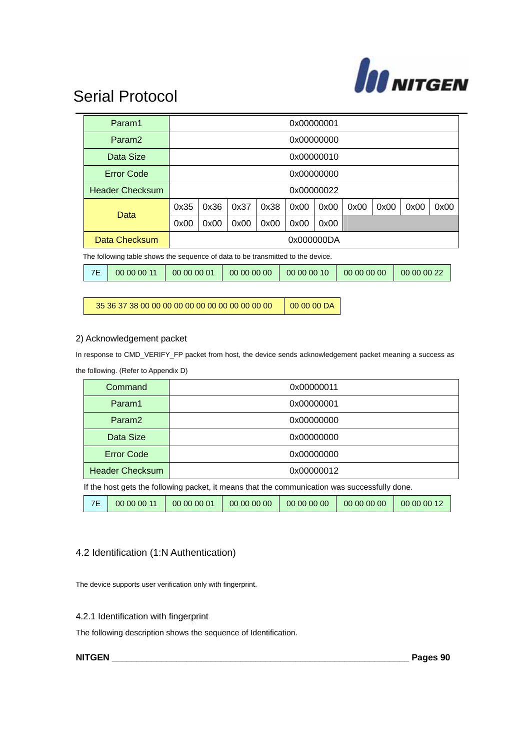

|                                                                | Param1                                                                          |                                              |      |      |             |      | 0x00000001  |      |      |      |      |
|----------------------------------------------------------------|---------------------------------------------------------------------------------|----------------------------------------------|------|------|-------------|------|-------------|------|------|------|------|
|                                                                | Param <sub>2</sub>                                                              |                                              |      |      |             |      | 0x00000000  |      |      |      |      |
|                                                                | Data Size                                                                       |                                              |      |      |             |      | 0x00000010  |      |      |      |      |
| <b>Error Code</b><br>0x00000000                                |                                                                                 |                                              |      |      |             |      |             |      |      |      |      |
| <b>Header Checksum</b>                                         |                                                                                 |                                              |      |      |             |      | 0x00000022  |      |      |      |      |
|                                                                | Data                                                                            | 0x35                                         | 0x36 | 0x37 | 0x38        | 0x00 | 0x00        | 0x00 | 0x00 | 0x00 | 0x00 |
|                                                                |                                                                                 | 0x00<br>0x00<br>0x00<br>0x00<br>0x00<br>0x00 |      |      |             |      |             |      |      |      |      |
| Data Checksum<br>0x000000DA                                    |                                                                                 |                                              |      |      |             |      |             |      |      |      |      |
|                                                                | The following table shows the sequence of data to be transmitted to the device. |                                              |      |      |             |      |             |      |      |      |      |
| 7E<br>00 00 00 11<br>00 00 00 01<br>00 00 00 10<br>00 00 00 00 |                                                                                 |                                              |      |      | 00 00 00 00 |      | 00 00 00 22 |      |      |      |      |

35 36 37 38 00 00 00 00 00 00 00 00 00 00 00 00 00 00 00 DA

#### 2) Acknowledgement packet

In response to CMD\_VERIFY\_FP packet from host, the device sends acknowledgement packet meaning a success as the following. (Refer to Appendix D)

|                                                                                               | Command                |             |             | 0x00000011  |             |             |  |  |
|-----------------------------------------------------------------------------------------------|------------------------|-------------|-------------|-------------|-------------|-------------|--|--|
|                                                                                               | Param1                 |             |             | 0x00000001  |             |             |  |  |
|                                                                                               | Param <sub>2</sub>     |             |             | 0x00000000  |             |             |  |  |
| Data Size<br>0x00000000                                                                       |                        |             |             |             |             |             |  |  |
| <b>Error Code</b><br>0x00000000                                                               |                        |             |             |             |             |             |  |  |
|                                                                                               | <b>Header Checksum</b> | 0x00000012  |             |             |             |             |  |  |
| If the host gets the following packet, it means that the communication was successfully done. |                        |             |             |             |             |             |  |  |
| 7E                                                                                            | 00 00 00 11            | 00 00 00 01 | 00 00 00 00 | 00 00 00 00 | 00 00 00 00 | 00 00 00 12 |  |  |

#### 4.2 Identification (1:N Authentication)

The device supports user verification only with fingerprint.

#### 4.2.1 Identification with fingerprint

The following description shows the sequence of Identification.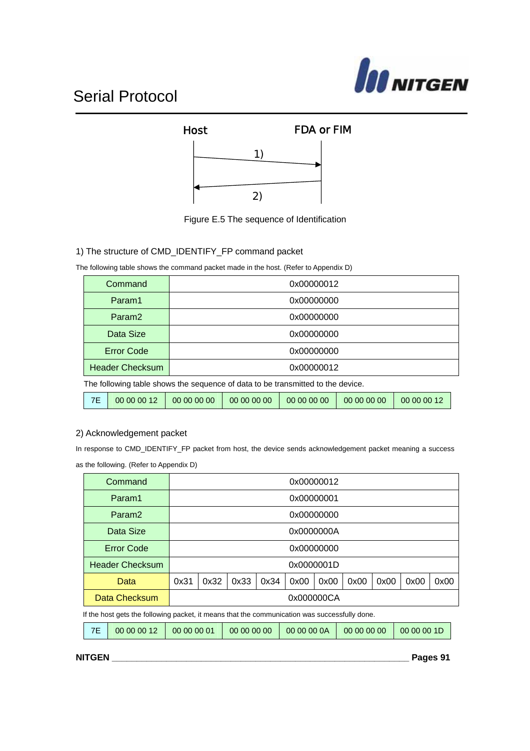





#### 1) The structure of CMD\_IDENTIFY\_FP command packet

The following table shows the command packet made in the host. (Refer to Appendix D)

| Command                                                                         | 0x00000012 |  |  |  |  |  |
|---------------------------------------------------------------------------------|------------|--|--|--|--|--|
| Param1                                                                          | 0x00000000 |  |  |  |  |  |
| Param <sub>2</sub>                                                              | 0x00000000 |  |  |  |  |  |
| Data Size<br>0x00000000                                                         |            |  |  |  |  |  |
| <b>Error Code</b><br>0x00000000                                                 |            |  |  |  |  |  |
| <b>Header Checksum</b><br>0x00000012                                            |            |  |  |  |  |  |
| The following table shows the sequence of data to be transmitted to the device. |            |  |  |  |  |  |

#### 2) Acknowledgement packet

In response to CMD\_IDENTIFY\_FP packet from host, the device sends acknowledgement packet meaning a success as the following. (Refer to Appendix D)

7E 00 00 00 12 00 00 00 00 00 00 00 00 00 00 00 00 00 00 00 00 00 00 00 12

| Command                |                                                                      |            |  |  |  | 0x00000012 |  |      |  |  |
|------------------------|----------------------------------------------------------------------|------------|--|--|--|------------|--|------|--|--|
| Param1                 |                                                                      | 0x00000001 |  |  |  |            |  |      |  |  |
| Param <sub>2</sub>     |                                                                      |            |  |  |  | 0x00000000 |  |      |  |  |
| Data Size              |                                                                      |            |  |  |  | 0x0000000A |  |      |  |  |
| <b>Error Code</b>      |                                                                      | 0x00000000 |  |  |  |            |  |      |  |  |
| <b>Header Checksum</b> |                                                                      |            |  |  |  | 0x0000001D |  |      |  |  |
| Data                   | 0x32<br>0x33<br>0x34<br>0x00<br>0x00<br>0x31<br>0x00<br>0x00<br>0x00 |            |  |  |  |            |  | 0x00 |  |  |
| Data Checksum          |                                                                      |            |  |  |  | 0x000000CA |  |      |  |  |

If the host gets the following packet, it means that the communication was successfully done.

|  | 00 00 00 12 | 00 00 00 01 | 00 00 00 00 | 00 00 00 0A |  |  |
|--|-------------|-------------|-------------|-------------|--|--|
|--|-------------|-------------|-------------|-------------|--|--|

**NITGEN \_\_\_\_\_\_\_\_\_\_\_\_\_\_\_\_\_\_\_\_\_\_\_\_\_\_\_\_\_\_\_\_\_\_\_\_\_\_\_\_\_\_\_\_\_\_\_\_\_\_\_\_\_\_\_\_\_\_\_\_ Pages 91**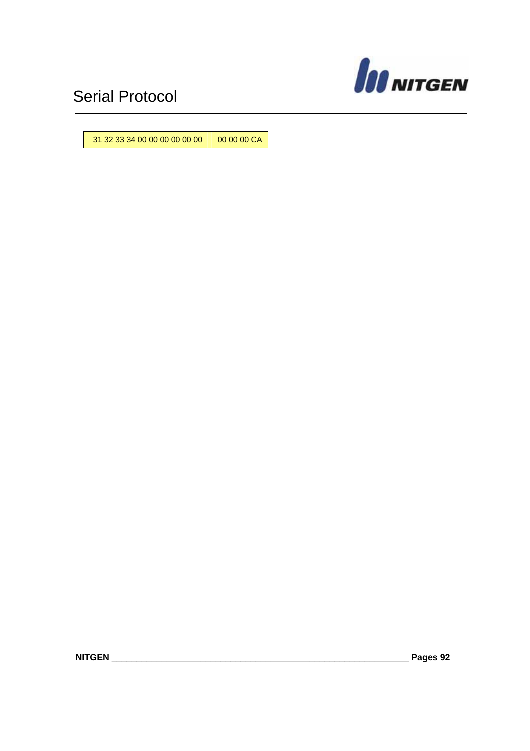

31 32 33 34 00 00 00 00 00 00 00 00 00 CA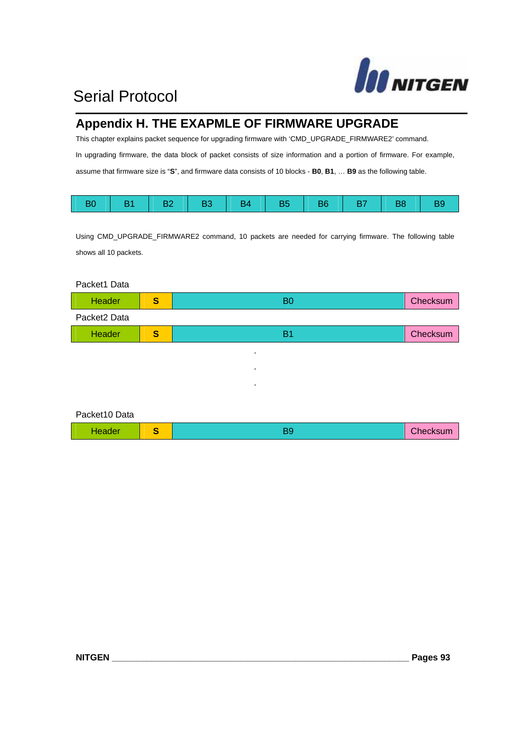

### **Appendix H. THE EXAPMLE OF FIRMWARE UPGRADE**

This chapter explains packet sequence for upgrading firmware with 'CMD\_UPGRADE\_FIRMWARE2' command. In upgrading firmware, the data block of packet consists of size information and a portion of firmware. For example, assume that firmware size is "**S**", and firmware data consists of 10 blocks - **B0**, **B1**, … **B9** as the following table.

| B1   B2   B3   B4   B5   B6   B7   B8   B9 |  |  |  |  |  |
|--------------------------------------------|--|--|--|--|--|
|                                            |  |  |  |  |  |

Using CMD\_UPGRADE\_FIRMWARE2 command, 10 packets are needed for carrying firmware. The following table shows all 10 packets.

Packet1 Data

| Header       | S | B <sub>0</sub> | Checksum |
|--------------|---|----------------|----------|
| Packet2 Data |   |                |          |
| Header       | S | <b>B1</b>      | Checksum |
|              |   | ٠              |          |
|              |   | ٠              |          |
|              |   | ٠              |          |
|              |   |                |          |

### Packet10 Data

| Header |  | Checksum |
|--------|--|----------|
|        |  |          |